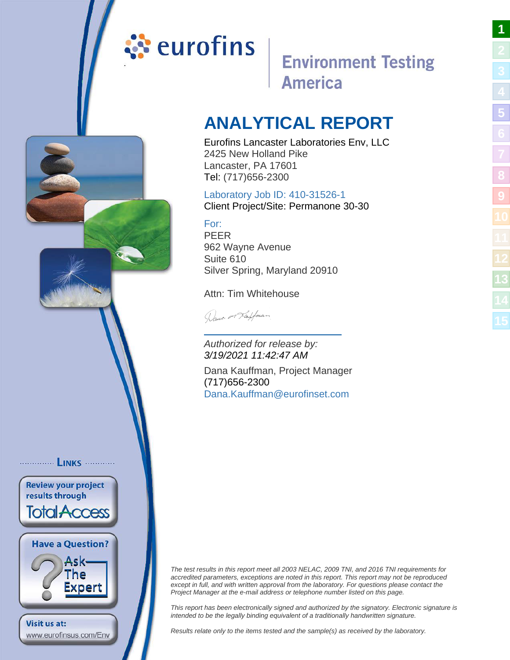# <span id="page-0-1"></span><span id="page-0-0"></span>ं**:** eurofins

# **Environment Testing America**

# **ANALYTICAL REPORT**

Eurofins Lancaster Laboratories Env, LLC 2425 New Holland Pike Lancaster, PA 17601 Tel: (717)656-2300

# Laboratory Job ID: 410-31526-1

Client Project/Site: Permanone 30-30

# For:

PEER 962 Wayne Avenue Suite 610 Silver Spring, Maryland 20910

Attn: Tim Whitehouse

Dance or Kaffman

Authorized for release by: 3/19/2021 11:42:47 AM

Dana Kauffman, Project Manager (717)656-2300 [Dana.Kauffman@eurofinset](mailto:Dana.Kauffman@eurofinset.com).com

The test results in this report meet all 2003 NELAC, 2009 TNI, and 2016 TNI requirements for accredited parameters, exceptions are noted in this report. This report may not be reproduced except in full, and with written approval from the laboratory. For questions please contact the Project Manager at the e-mail address or telephone number listed on this page.

This report has been electronically signed and authorized by the signatory. Electronic signature is intended to be the legally binding equivalent of a traditionally handwritten signature.

Results relate only to the items tested and the sample(s) as received by the laboratory.

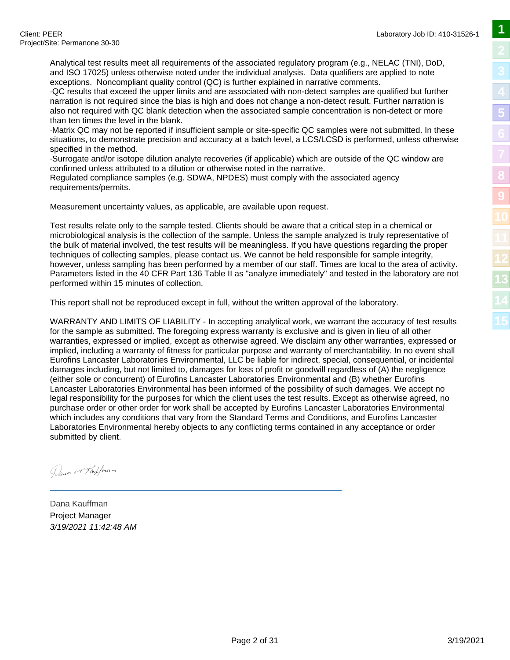Analytical test results meet all requirements of the associated regulatory program (e.g., NELAC (TNI), DoD, and ISO 17025) unless otherwise noted under the individual analysis. Data qualifiers are applied to note exceptions. Noncompliant quality control (QC) is further explained in narrative comments.

· QC results that exceed the upper limits and are associated with non-detect samples are qualified but further narration is not required since the bias is high and does not change a non-detect result. Further narration is also not required with QC blank detection when the associated sample concentration is non-detect or more than ten times the level in the blank.

· Matrix QC may not be reported if insufficient sample or site-specific QC samples were not submitted. In these situations, to demonstrate precision and accuracy at a batch level, a LCS/LCSD is performed, unless otherwise specified in the method.

· Surrogate and/or isotope dilution analyte recoveries (if applicable) which are outside of the QC window are confirmed unless attributed to a dilution or otherwise noted in the narrative.

Regulated compliance samples (e.g. SDWA, NPDES) must comply with the associated agency requirements/permits.

Measurement uncertainty values, as applicable, are available upon request.

Test results relate only to the sample tested. Clients should be aware that a critical step in a chemical or microbiological analysis is the collection of the sample. Unless the sample analyzed is truly representative of the bulk of material involved, the test results will be meaningless. If you have questions regarding the proper techniques of collecting samples, please contact us. We cannot be held responsible for sample integrity, however, unless sampling has been performed by a member of our staff. Times are local to the area of activity. Parameters listed in the 40 CFR Part 136 Table II as "analyze immediately" and tested in the laboratory are not performed within 15 minutes of collection.

This report shall not be reproduced except in full, without the written approval of the laboratory.

WARRANTY AND LIMITS OF LIABILITY - In accepting analytical work, we warrant the accuracy of test results for the sample as submitted. The foregoing express warranty is exclusive and is given in lieu of all other warranties, expressed or implied, except as otherwise agreed. We disclaim any other warranties, expressed or implied, including a warranty of fitness for particular purpose and warranty of merchantability. In no event shall Eurofins Lancaster Laboratories Environmental, LLC be liable for indirect, special, consequential, or incidental damages including, but not limited to, damages for loss of profit or goodwill regardless of (A) the negligence (either sole or concurrent) of Eurofins Lancaster Laboratories Environmental and (B) whether Eurofins Lancaster Laboratories Environmental has been informed of the possibility of such damages. We accept no legal responsibility for the purposes for which the client uses the test results. Except as otherwise agreed, no purchase order or other order for work shall be accepted by Eurofins Lancaster Laboratories Environmental which includes any conditions that vary from the Standard Terms and Conditions, and Eurofins Lancaster Laboratories Environmental hereby objects to any conflicting terms contained in any acceptance or order submitted by client.

Dance or Kaffman

Dana Kauffman Project Manager 3/19/2021 11:42:48 AM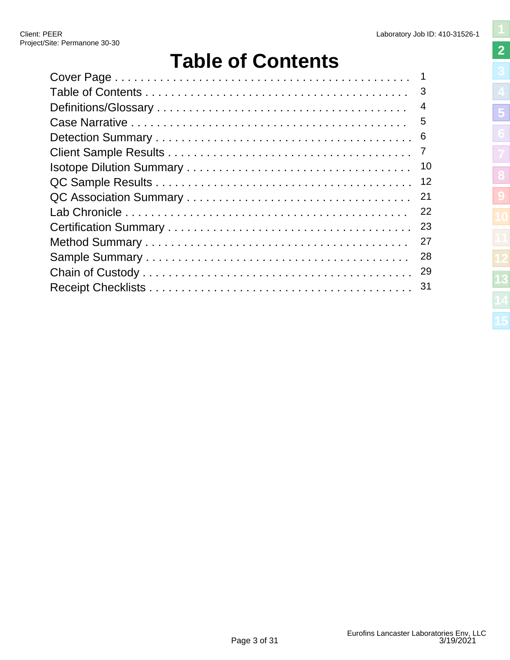# **Table of Contents**

<span id="page-2-1"></span><span id="page-2-0"></span>

| 1              |
|----------------|
| 3              |
| $\overline{4}$ |
| 5              |
| 6              |
| $\overline{7}$ |
| 10             |
| 12             |
| 21             |
| 22             |
| 23             |
| 27             |
| 28             |
| 29             |
| 31             |
|                |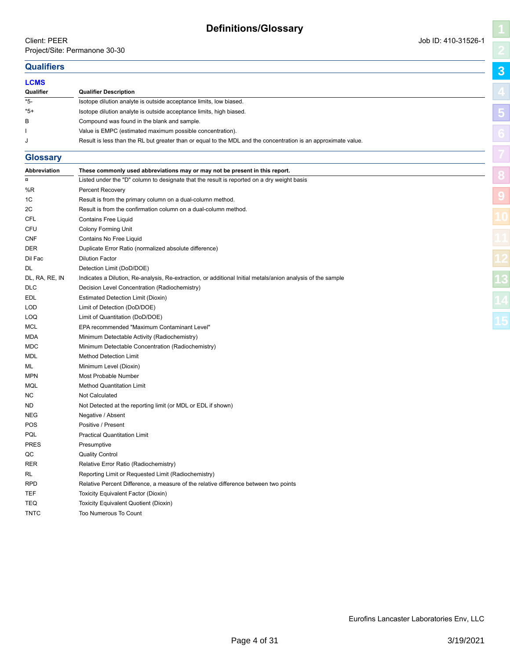# <span id="page-3-1"></span><span id="page-3-0"></span>**Qualifiers**

| <b>Qualifiers</b> |                                                                                                                |            |
|-------------------|----------------------------------------------------------------------------------------------------------------|------------|
| <b>LCMS</b>       |                                                                                                                |            |
| Qualifier         | <b>Qualifier Description</b>                                                                                   |            |
| *5-               | Isotope dilution analyte is outside acceptance limits, low biased.                                             |            |
| $*5+$             | Isotope dilution analyte is outside acceptance limits, high biased.                                            | $\sqrt{5}$ |
| B                 | Compound was found in the blank and sample.                                                                    |            |
|                   | Value is EMPC (estimated maximum possible concentration).                                                      |            |
|                   | Result is less than the RL but greater than or equal to the MDL and the concentration is an approximate value. |            |

### **Glossary**

| Listed under the "D" column to designate that the result is reported on a dry weight basis<br>$\alpha$<br>%R<br>Percent Recovery<br>1C<br>Result is from the primary column on a dual-column method.<br>2C<br>Result is from the confirmation column on a dual-column method.<br><b>CFL</b><br><b>Contains Free Liquid</b><br>CFU<br><b>Colony Forming Unit</b><br><b>CNF</b><br>Contains No Free Liquid<br><b>DER</b><br>Duplicate Error Ratio (normalized absolute difference)<br>Dil Fac<br><b>Dilution Factor</b><br>Detection Limit (DoD/DOE)<br>DL<br>DL, RA, RE, IN<br>Indicates a Dilution, Re-analysis, Re-extraction, or additional Initial metals/anion analysis of the sample<br><b>DLC</b><br>Decision Level Concentration (Radiochemistry)<br>Estimated Detection Limit (Dioxin)<br>EDL<br>LOD<br>Limit of Detection (DoD/DOE)<br>Limit of Quantitation (DoD/DOE)<br>LOQ<br>EPA recommended "Maximum Contaminant Level"<br>MCL<br>Minimum Detectable Activity (Radiochemistry)<br>MDA<br>Minimum Detectable Concentration (Radiochemistry)<br>MDC<br>MDL<br><b>Method Detection Limit</b><br>Minimum Level (Dioxin)<br>ML<br><b>MPN</b><br>Most Probable Number<br><b>Method Quantitation Limit</b><br>MQL<br><b>Not Calculated</b><br>ΝC<br>Not Detected at the reporting limit (or MDL or EDL if shown)<br>ND<br><b>NEG</b><br>Negative / Absent<br><b>POS</b><br>Positive / Present<br>PQL<br><b>Practical Quantitation Limit</b><br><b>PRES</b><br>Presumptive<br><b>Quality Control</b><br>QC<br>Relative Error Ratio (Radiochemistry)<br><b>RER</b><br>Reporting Limit or Requested Limit (Radiochemistry)<br>RL<br>Relative Percent Difference, a measure of the relative difference between two points<br><b>RPD</b><br>TEF<br>Toxicity Equivalent Factor (Dioxin)<br>TEQ<br>Toxicity Equivalent Quotient (Dioxin)<br><b>TNTC</b><br><b>Too Numerous To Count</b> | Abbreviation | These commonly used abbreviations may or may not be present in this report. |  |
|-----------------------------------------------------------------------------------------------------------------------------------------------------------------------------------------------------------------------------------------------------------------------------------------------------------------------------------------------------------------------------------------------------------------------------------------------------------------------------------------------------------------------------------------------------------------------------------------------------------------------------------------------------------------------------------------------------------------------------------------------------------------------------------------------------------------------------------------------------------------------------------------------------------------------------------------------------------------------------------------------------------------------------------------------------------------------------------------------------------------------------------------------------------------------------------------------------------------------------------------------------------------------------------------------------------------------------------------------------------------------------------------------------------------------------------------------------------------------------------------------------------------------------------------------------------------------------------------------------------------------------------------------------------------------------------------------------------------------------------------------------------------------------------------------------------------------------------------------------------------------------------------|--------------|-----------------------------------------------------------------------------|--|
|                                                                                                                                                                                                                                                                                                                                                                                                                                                                                                                                                                                                                                                                                                                                                                                                                                                                                                                                                                                                                                                                                                                                                                                                                                                                                                                                                                                                                                                                                                                                                                                                                                                                                                                                                                                                                                                                                         |              |                                                                             |  |
|                                                                                                                                                                                                                                                                                                                                                                                                                                                                                                                                                                                                                                                                                                                                                                                                                                                                                                                                                                                                                                                                                                                                                                                                                                                                                                                                                                                                                                                                                                                                                                                                                                                                                                                                                                                                                                                                                         |              |                                                                             |  |
|                                                                                                                                                                                                                                                                                                                                                                                                                                                                                                                                                                                                                                                                                                                                                                                                                                                                                                                                                                                                                                                                                                                                                                                                                                                                                                                                                                                                                                                                                                                                                                                                                                                                                                                                                                                                                                                                                         |              |                                                                             |  |
|                                                                                                                                                                                                                                                                                                                                                                                                                                                                                                                                                                                                                                                                                                                                                                                                                                                                                                                                                                                                                                                                                                                                                                                                                                                                                                                                                                                                                                                                                                                                                                                                                                                                                                                                                                                                                                                                                         |              |                                                                             |  |
|                                                                                                                                                                                                                                                                                                                                                                                                                                                                                                                                                                                                                                                                                                                                                                                                                                                                                                                                                                                                                                                                                                                                                                                                                                                                                                                                                                                                                                                                                                                                                                                                                                                                                                                                                                                                                                                                                         |              |                                                                             |  |
|                                                                                                                                                                                                                                                                                                                                                                                                                                                                                                                                                                                                                                                                                                                                                                                                                                                                                                                                                                                                                                                                                                                                                                                                                                                                                                                                                                                                                                                                                                                                                                                                                                                                                                                                                                                                                                                                                         |              |                                                                             |  |
|                                                                                                                                                                                                                                                                                                                                                                                                                                                                                                                                                                                                                                                                                                                                                                                                                                                                                                                                                                                                                                                                                                                                                                                                                                                                                                                                                                                                                                                                                                                                                                                                                                                                                                                                                                                                                                                                                         |              |                                                                             |  |
|                                                                                                                                                                                                                                                                                                                                                                                                                                                                                                                                                                                                                                                                                                                                                                                                                                                                                                                                                                                                                                                                                                                                                                                                                                                                                                                                                                                                                                                                                                                                                                                                                                                                                                                                                                                                                                                                                         |              |                                                                             |  |
|                                                                                                                                                                                                                                                                                                                                                                                                                                                                                                                                                                                                                                                                                                                                                                                                                                                                                                                                                                                                                                                                                                                                                                                                                                                                                                                                                                                                                                                                                                                                                                                                                                                                                                                                                                                                                                                                                         |              |                                                                             |  |
|                                                                                                                                                                                                                                                                                                                                                                                                                                                                                                                                                                                                                                                                                                                                                                                                                                                                                                                                                                                                                                                                                                                                                                                                                                                                                                                                                                                                                                                                                                                                                                                                                                                                                                                                                                                                                                                                                         |              |                                                                             |  |
|                                                                                                                                                                                                                                                                                                                                                                                                                                                                                                                                                                                                                                                                                                                                                                                                                                                                                                                                                                                                                                                                                                                                                                                                                                                                                                                                                                                                                                                                                                                                                                                                                                                                                                                                                                                                                                                                                         |              |                                                                             |  |
|                                                                                                                                                                                                                                                                                                                                                                                                                                                                                                                                                                                                                                                                                                                                                                                                                                                                                                                                                                                                                                                                                                                                                                                                                                                                                                                                                                                                                                                                                                                                                                                                                                                                                                                                                                                                                                                                                         |              |                                                                             |  |
|                                                                                                                                                                                                                                                                                                                                                                                                                                                                                                                                                                                                                                                                                                                                                                                                                                                                                                                                                                                                                                                                                                                                                                                                                                                                                                                                                                                                                                                                                                                                                                                                                                                                                                                                                                                                                                                                                         |              |                                                                             |  |
|                                                                                                                                                                                                                                                                                                                                                                                                                                                                                                                                                                                                                                                                                                                                                                                                                                                                                                                                                                                                                                                                                                                                                                                                                                                                                                                                                                                                                                                                                                                                                                                                                                                                                                                                                                                                                                                                                         |              |                                                                             |  |
|                                                                                                                                                                                                                                                                                                                                                                                                                                                                                                                                                                                                                                                                                                                                                                                                                                                                                                                                                                                                                                                                                                                                                                                                                                                                                                                                                                                                                                                                                                                                                                                                                                                                                                                                                                                                                                                                                         |              |                                                                             |  |
|                                                                                                                                                                                                                                                                                                                                                                                                                                                                                                                                                                                                                                                                                                                                                                                                                                                                                                                                                                                                                                                                                                                                                                                                                                                                                                                                                                                                                                                                                                                                                                                                                                                                                                                                                                                                                                                                                         |              |                                                                             |  |
|                                                                                                                                                                                                                                                                                                                                                                                                                                                                                                                                                                                                                                                                                                                                                                                                                                                                                                                                                                                                                                                                                                                                                                                                                                                                                                                                                                                                                                                                                                                                                                                                                                                                                                                                                                                                                                                                                         |              |                                                                             |  |
|                                                                                                                                                                                                                                                                                                                                                                                                                                                                                                                                                                                                                                                                                                                                                                                                                                                                                                                                                                                                                                                                                                                                                                                                                                                                                                                                                                                                                                                                                                                                                                                                                                                                                                                                                                                                                                                                                         |              |                                                                             |  |
|                                                                                                                                                                                                                                                                                                                                                                                                                                                                                                                                                                                                                                                                                                                                                                                                                                                                                                                                                                                                                                                                                                                                                                                                                                                                                                                                                                                                                                                                                                                                                                                                                                                                                                                                                                                                                                                                                         |              |                                                                             |  |
|                                                                                                                                                                                                                                                                                                                                                                                                                                                                                                                                                                                                                                                                                                                                                                                                                                                                                                                                                                                                                                                                                                                                                                                                                                                                                                                                                                                                                                                                                                                                                                                                                                                                                                                                                                                                                                                                                         |              |                                                                             |  |
|                                                                                                                                                                                                                                                                                                                                                                                                                                                                                                                                                                                                                                                                                                                                                                                                                                                                                                                                                                                                                                                                                                                                                                                                                                                                                                                                                                                                                                                                                                                                                                                                                                                                                                                                                                                                                                                                                         |              |                                                                             |  |
|                                                                                                                                                                                                                                                                                                                                                                                                                                                                                                                                                                                                                                                                                                                                                                                                                                                                                                                                                                                                                                                                                                                                                                                                                                                                                                                                                                                                                                                                                                                                                                                                                                                                                                                                                                                                                                                                                         |              |                                                                             |  |
|                                                                                                                                                                                                                                                                                                                                                                                                                                                                                                                                                                                                                                                                                                                                                                                                                                                                                                                                                                                                                                                                                                                                                                                                                                                                                                                                                                                                                                                                                                                                                                                                                                                                                                                                                                                                                                                                                         |              |                                                                             |  |
|                                                                                                                                                                                                                                                                                                                                                                                                                                                                                                                                                                                                                                                                                                                                                                                                                                                                                                                                                                                                                                                                                                                                                                                                                                                                                                                                                                                                                                                                                                                                                                                                                                                                                                                                                                                                                                                                                         |              |                                                                             |  |
|                                                                                                                                                                                                                                                                                                                                                                                                                                                                                                                                                                                                                                                                                                                                                                                                                                                                                                                                                                                                                                                                                                                                                                                                                                                                                                                                                                                                                                                                                                                                                                                                                                                                                                                                                                                                                                                                                         |              |                                                                             |  |
|                                                                                                                                                                                                                                                                                                                                                                                                                                                                                                                                                                                                                                                                                                                                                                                                                                                                                                                                                                                                                                                                                                                                                                                                                                                                                                                                                                                                                                                                                                                                                                                                                                                                                                                                                                                                                                                                                         |              |                                                                             |  |
|                                                                                                                                                                                                                                                                                                                                                                                                                                                                                                                                                                                                                                                                                                                                                                                                                                                                                                                                                                                                                                                                                                                                                                                                                                                                                                                                                                                                                                                                                                                                                                                                                                                                                                                                                                                                                                                                                         |              |                                                                             |  |
|                                                                                                                                                                                                                                                                                                                                                                                                                                                                                                                                                                                                                                                                                                                                                                                                                                                                                                                                                                                                                                                                                                                                                                                                                                                                                                                                                                                                                                                                                                                                                                                                                                                                                                                                                                                                                                                                                         |              |                                                                             |  |
|                                                                                                                                                                                                                                                                                                                                                                                                                                                                                                                                                                                                                                                                                                                                                                                                                                                                                                                                                                                                                                                                                                                                                                                                                                                                                                                                                                                                                                                                                                                                                                                                                                                                                                                                                                                                                                                                                         |              |                                                                             |  |
|                                                                                                                                                                                                                                                                                                                                                                                                                                                                                                                                                                                                                                                                                                                                                                                                                                                                                                                                                                                                                                                                                                                                                                                                                                                                                                                                                                                                                                                                                                                                                                                                                                                                                                                                                                                                                                                                                         |              |                                                                             |  |
|                                                                                                                                                                                                                                                                                                                                                                                                                                                                                                                                                                                                                                                                                                                                                                                                                                                                                                                                                                                                                                                                                                                                                                                                                                                                                                                                                                                                                                                                                                                                                                                                                                                                                                                                                                                                                                                                                         |              |                                                                             |  |
|                                                                                                                                                                                                                                                                                                                                                                                                                                                                                                                                                                                                                                                                                                                                                                                                                                                                                                                                                                                                                                                                                                                                                                                                                                                                                                                                                                                                                                                                                                                                                                                                                                                                                                                                                                                                                                                                                         |              |                                                                             |  |
|                                                                                                                                                                                                                                                                                                                                                                                                                                                                                                                                                                                                                                                                                                                                                                                                                                                                                                                                                                                                                                                                                                                                                                                                                                                                                                                                                                                                                                                                                                                                                                                                                                                                                                                                                                                                                                                                                         |              |                                                                             |  |
|                                                                                                                                                                                                                                                                                                                                                                                                                                                                                                                                                                                                                                                                                                                                                                                                                                                                                                                                                                                                                                                                                                                                                                                                                                                                                                                                                                                                                                                                                                                                                                                                                                                                                                                                                                                                                                                                                         |              |                                                                             |  |
|                                                                                                                                                                                                                                                                                                                                                                                                                                                                                                                                                                                                                                                                                                                                                                                                                                                                                                                                                                                                                                                                                                                                                                                                                                                                                                                                                                                                                                                                                                                                                                                                                                                                                                                                                                                                                                                                                         |              |                                                                             |  |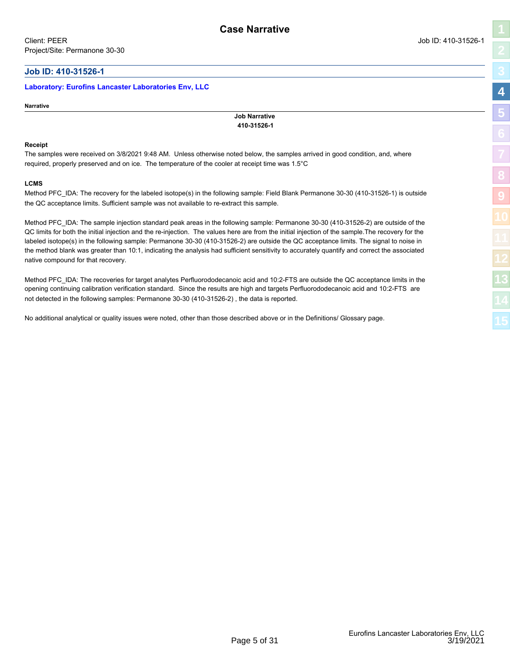### <span id="page-4-1"></span><span id="page-4-0"></span>**Job ID: 410-31526-1**

### **Laboratory: Eurofins Lancaster Laboratories Env, LLC**

### **Narrative**

**Job Narrative 410-31526-1**

### **Receipt**

The samples were received on 3/8/2021 9:48 AM. Unless otherwise noted below, the samples arrived in good condition, and, where required, properly preserved and on ice. The temperature of the cooler at receipt time was 1.5°C

### **LCMS**

Method PFC\_IDA: The recovery for the labeled isotope(s) in the following sample: Field Blank Permanone 30-30 (410-31526-1) is outside the QC acceptance limits. Sufficient sample was not available to re-extract this sample.

Method PFC IDA: The sample injection standard peak areas in the following sample: Permanone 30-30 (410-31526-2) are outside of the QC limits for both the initial injection and the re-injection. The values here are from the initial injection of the sample.The recovery for the labeled isotope(s) in the following sample: Permanone 30-30 (410-31526-2) are outside the QC acceptance limits. The signal to noise in the method blank was greater than 10:1, indicating the analysis had sufficient sensitivity to accurately quantify and correct the associated native compound for that recovery.

Method PFC\_IDA: The recoveries for target analytes Perfluorododecanoic acid and 10:2-FTS are outside the QC acceptance limits in the opening continuing calibration verification standard. Since the results are high and targets Perfluorododecanoic acid and 10:2-FTS are not detected in the following samples: Permanone 30-30 (410-31526-2) , the data is reported.

No additional analytical or quality issues were noted, other than those described above or in the Definitions/ Glossary page.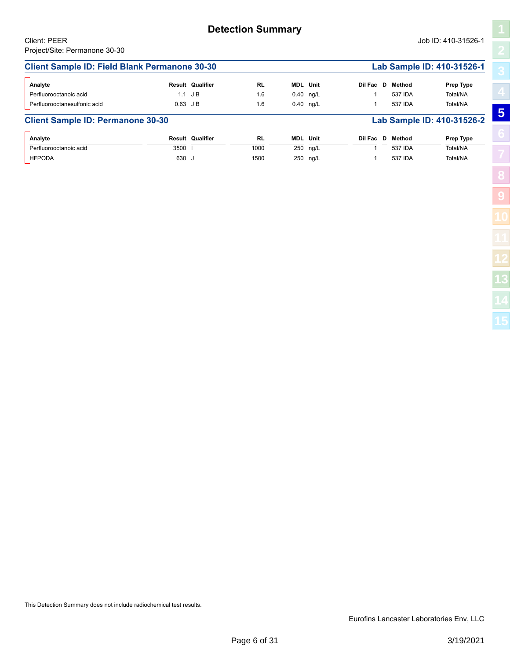### <span id="page-5-1"></span><span id="page-5-0"></span>**Client Sample ID: Field Blank Permanone 30-30 Lab Sample ID: 410-31526-1** Perfluorooctanoic acid **RL** 1.6 ng/L 0.40 1.1 J B 1 537 IDA Total/NA **MDL Analyte Result Qualifier Unit Dil Fac D Method Prep Type** Perfluorooctanesulfonic acid acid acid 1.6 0.40 ng/L 1.6 1.537 IDA Total/NA **Client Sample ID: Permanone 30-30 Lab Sample ID: 410-31526-2** Perfluorooctanoic acid **RL** 1000 ng/L 250 **MDL Analyte Result Qualifier Unit Dil Fac D Method Prep Type** 3500 I 1 537 IDA Total/NA HFPODA 630 J 1500 250 ng/L 1 537 IDA Total/NA

**[5](#page-5-0) [9](#page-20-0)**

This Detection Summary does not include radiochemical test results.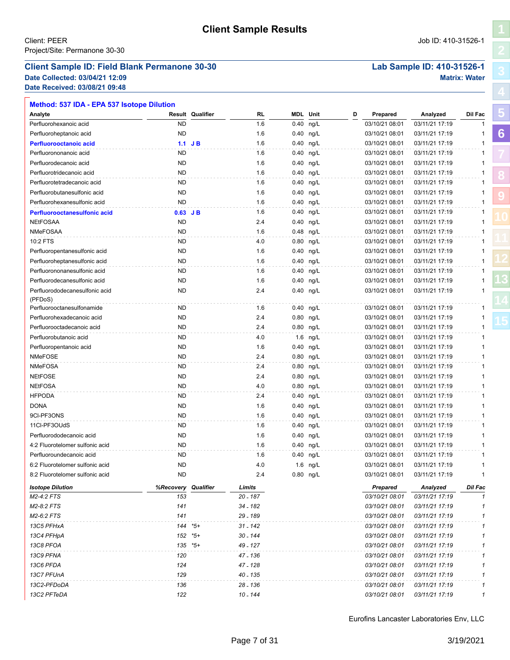### <span id="page-6-1"></span><span id="page-6-0"></span>**Client Sample ID: Field Blank Permanone 30-30 Lab Sample ID: 410-31526-1**

**Date Collected: 03/04/21 12:09 Matrix: Water Date Received: 03/08/21 09:48**

| Result Qualifier<br>RL<br><b>MDL</b> Unit<br>Analyte<br>D<br>Analyzed<br>Dil Fac<br>Prepared<br><b>ND</b><br>1.6<br>0.40<br>ng/L<br>03/10/21 08:01<br>03/11/21 17:19<br>Perfluorohexanoic acid<br><b>ND</b><br>1.6<br>0.40 ng/L<br>03/10/21 08:01<br>03/11/21 17:19<br>Perfluoroheptanoic acid<br>1<br>1.6<br>03/10/21 08:01<br>03/11/21 17:19<br>$0.40$ ng/L<br>1<br>$1.1$ JB<br><b>Perfluorooctanoic acid</b><br><b>ND</b><br>1.6<br>03/10/21 08:01<br>03/11/21 17:19<br>Perfluorononanoic acid<br>0.40<br>ng/L<br>1<br><b>ND</b><br>1.6<br>0.40<br>03/10/21 08:01<br>03/11/21 17:19<br>Perfluorodecanoic acid<br>ng/L<br>1<br><b>ND</b><br>1.6<br>03/10/21 08:01<br>03/11/21 17:19<br>Perfluorotridecanoic acid<br>$0.40$ ng/L<br>1<br><b>ND</b><br>0.40<br>03/10/21 08:01<br>03/11/21 17:19<br>Perfluorotetradecanoic acid<br>1.6<br>ng/L<br>1<br><b>ND</b><br>1.6<br>0.40<br>03/10/21 08:01<br>03/11/21 17:19<br>Perfluorobutanesulfonic acid<br>ng/L<br>1<br><b>ND</b><br>Perfluorohexanesulfonic acid<br>1.6<br>$0.40$ ng/L<br>03/10/21 08:01<br>03/11/21 17:19<br>1<br>1.6<br>0.40 ng/L<br>03/10/21 08:01<br>03/11/21 17:19<br>$0.63$ JB<br>Perfluorooctanesulfonic acid<br>1<br><b>NEtFOSAA</b><br><b>ND</b><br>2.4<br>0.40 ng/L<br>03/10/21 08:01<br>03/11/21 17:19<br>1<br><b>NMeFOSAA</b><br><b>ND</b><br>1.6<br>0.48 ng/L<br>03/10/21 08:01<br>03/11/21 17:19<br>1<br>10:2 FTS<br><b>ND</b><br>4.0<br>0.80 ng/L<br>03/10/21 08:01<br>03/11/21 17:19<br>1<br><b>ND</b><br>1.6<br>0.40 ng/L<br>03/10/21 08:01<br>03/11/21 17:19<br>Perfluoropentanesulfonic acid<br>-1<br><b>ND</b><br>1.6<br>0.40 ng/L<br>03/10/21 08:01<br>03/11/21 17:19<br>Perfluoroheptanesulfonic acid<br>1<br>1.6<br>0.40 ng/L<br>03/10/21 08:01<br>03/11/21 17:19<br>Perfluorononanesulfonic acid<br>ND<br>1<br>Perfluorodecanesulfonic acid<br><b>ND</b><br>1.6<br>0.40 ng/L<br>03/10/21 08:01<br>03/11/21 17:19<br>1<br><b>ND</b><br>2.4<br>0.40 ng/L<br>03/10/21 08:01<br>03/11/21 17:19<br>1<br>Perfluorododecanesulfonic acid<br>(PFDoS)<br>Perfluorooctanesulfonamide<br>03/10/21 08:01<br>ND<br>1.6<br>$0.40$ ng/L<br>03/11/21 17:19<br>1<br><b>ND</b><br>2.4<br>0.80 ng/L<br>03/10/21 08:01<br>03/11/21 17:19<br>Perfluorohexadecanoic acid<br>1<br><b>ND</b><br>2.4<br>0.80 ng/L<br>03/10/21 08:01<br>03/11/21 17:19<br>Perfluorooctadecanoic acid<br>1<br><b>ND</b><br>4.0<br>1.6 ng/L<br>03/10/21 08:01<br>03/11/21 17:19<br>Perfluorobutanoic acid<br>1<br><b>ND</b><br>1.6<br>0.40 ng/L<br>03/10/21 08:01<br>03/11/21 17:19<br>Perfluoropentanoic acid<br>1<br><b>NMeFOSE</b><br><b>ND</b><br>2.4<br>0.80 ng/L<br>03/10/21 08:01<br>03/11/21 17:19<br>1<br><b>NMeFOSA</b><br><b>ND</b><br>2.4<br>0.80 ng/L<br>03/10/21 08:01<br>03/11/21 17:19<br>1<br><b>NEtFOSE</b><br><b>ND</b><br>2.4<br>0.80 ng/L<br>03/10/21 08:01<br>03/11/21 17:19<br>1<br><b>NEtFOSA</b><br><b>ND</b><br>4.0<br>0.80 ng/L<br>03/10/21 08:01<br>03/11/21 17:19<br>1<br><b>HFPODA</b><br><b>ND</b><br>0.40 ng/L<br>03/10/21 08:01<br>03/11/21 17:19<br>2.4<br>1<br><b>DONA</b><br><b>ND</b><br>1.6<br>03/10/21 08:01<br>03/11/21 17:19<br>$0.40$ ng/L<br>1<br>9CI-PF3ONS<br><b>ND</b><br>1.6<br>03/10/21 08:01<br>03/11/21 17:19<br>$0.40$ ng/L<br>1<br>11Cl-PF3OUdS<br><b>ND</b><br>0.40 ng/L<br>03/10/21 08:01<br>03/11/21 17:19<br>1.6<br>1<br><b>ND</b><br>1.6<br>0.40 ng/L<br>03/10/21 08:01<br>03/11/21 17:19<br>Perfluorododecanoic acid<br>1<br><b>ND</b><br>1.6<br>0.40 ng/L<br>03/10/21 08:01<br>4:2 Fluorotelomer sulfonic acid<br>03/11/21 17:19<br>1<br>0.40 ng/L<br>03/10/21 08:01<br>03/11/21 17:19<br>Perfluoroundecanoic acid<br>ND<br>1.6<br>1<br><b>ND</b><br>4.0<br>03/10/21 08:01<br>03/11/21 17:19<br>6:2 Fluorotelomer sulfonic acid<br>1.6 ng/L<br>1<br>8:2 Fluorotelomer sulfonic acid<br><b>ND</b><br>0.80 ng/L<br>03/10/21 08:01<br>03/11/21 17:19<br>2.4<br>%Recovery<br>Qualifier<br>Limits<br>Dil Fac<br><b>Isotope Dilution</b><br>Prepared<br>Analyzed<br>153<br>20 - 187<br>$\mathbf{1}$<br>M2-4:2 FTS<br>03/10/21 08:01<br>03/11/21 17:19<br>M2-8:2 FTS<br>141<br>34 - 182<br>03/10/21 08:01<br>03/11/21 17:19<br>1<br>29 - 189<br>M2-6:2 FTS<br>141<br>03/10/21 08:01<br>03/11/21 17:19<br>1<br>13C5 PFHxA<br>144 *5+<br>$31 - 142$<br>03/10/21 08:01<br>03/11/21 17:19<br>1<br>13C4 PFHpA<br>152<br>*5+<br>30 - 144<br>03/10/21 08:01<br>03/11/21 17:19<br>1<br>135<br>13C8 PFOA<br>*5+<br>49 - 127<br>03/10/21 08:01<br>03/11/21 17:19<br>1<br>13C9 PFNA<br>120<br>47 - 136<br>03/10/21 08:01<br>03/11/21 17:19<br>1<br>13C6 PFDA<br>124<br>47 - 128<br>03/10/21 08:01<br>03/11/21 17:19<br>1<br>13C7 PFUnA<br>129<br>40 - 135<br>03/10/21 08:01<br>03/11/21 17:19<br>1<br>13C2-PFDoDA<br>136<br>03/10/21 08:01<br>03/11/21 17:19<br>28 - 136<br>1<br>122<br>13C2 PFTeDA<br>10 - 144<br>03/10/21 08:01<br>03/11/21 17:19<br>1 | Method: 537 IDA - EPA 537 Isotope Dilution |  |  |  |  |  |
|-------------------------------------------------------------------------------------------------------------------------------------------------------------------------------------------------------------------------------------------------------------------------------------------------------------------------------------------------------------------------------------------------------------------------------------------------------------------------------------------------------------------------------------------------------------------------------------------------------------------------------------------------------------------------------------------------------------------------------------------------------------------------------------------------------------------------------------------------------------------------------------------------------------------------------------------------------------------------------------------------------------------------------------------------------------------------------------------------------------------------------------------------------------------------------------------------------------------------------------------------------------------------------------------------------------------------------------------------------------------------------------------------------------------------------------------------------------------------------------------------------------------------------------------------------------------------------------------------------------------------------------------------------------------------------------------------------------------------------------------------------------------------------------------------------------------------------------------------------------------------------------------------------------------------------------------------------------------------------------------------------------------------------------------------------------------------------------------------------------------------------------------------------------------------------------------------------------------------------------------------------------------------------------------------------------------------------------------------------------------------------------------------------------------------------------------------------------------------------------------------------------------------------------------------------------------------------------------------------------------------------------------------------------------------------------------------------------------------------------------------------------------------------------------------------------------------------------------------------------------------------------------------------------------------------------------------------------------------------------------------------------------------------------------------------------------------------------------------------------------------------------------------------------------------------------------------------------------------------------------------------------------------------------------------------------------------------------------------------------------------------------------------------------------------------------------------------------------------------------------------------------------------------------------------------------------------------------------------------------------------------------------------------------------------------------------------------------------------------------------------------------------------------------------------------------------------------------------------------------------------------------------------------------------------------------------------------------------------------------------------------------------------------------------------------------------------------------------------------------------------------------------------------------------------------------------------------------------------------------------------------------------------------------------------------------------------------------------------------------------------------------------------------------------------------------------------------------------------------------------------------------------------------------------------------------------------------------------------------------------------------------------------------------------------------------------------------------------------------------------------------------------------------------------------------------------------------------------|--------------------------------------------|--|--|--|--|--|
|                                                                                                                                                                                                                                                                                                                                                                                                                                                                                                                                                                                                                                                                                                                                                                                                                                                                                                                                                                                                                                                                                                                                                                                                                                                                                                                                                                                                                                                                                                                                                                                                                                                                                                                                                                                                                                                                                                                                                                                                                                                                                                                                                                                                                                                                                                                                                                                                                                                                                                                                                                                                                                                                                                                                                                                                                                                                                                                                                                                                                                                                                                                                                                                                                                                                                                                                                                                                                                                                                                                                                                                                                                                                                                                                                                                                                                                                                                                                                                                                                                                                                                                                                                                                                                                                                                                                                                                                                                                                                                                                                                                                                                                                                                                                                                                                                                           |                                            |  |  |  |  |  |
|                                                                                                                                                                                                                                                                                                                                                                                                                                                                                                                                                                                                                                                                                                                                                                                                                                                                                                                                                                                                                                                                                                                                                                                                                                                                                                                                                                                                                                                                                                                                                                                                                                                                                                                                                                                                                                                                                                                                                                                                                                                                                                                                                                                                                                                                                                                                                                                                                                                                                                                                                                                                                                                                                                                                                                                                                                                                                                                                                                                                                                                                                                                                                                                                                                                                                                                                                                                                                                                                                                                                                                                                                                                                                                                                                                                                                                                                                                                                                                                                                                                                                                                                                                                                                                                                                                                                                                                                                                                                                                                                                                                                                                                                                                                                                                                                                                           |                                            |  |  |  |  |  |
|                                                                                                                                                                                                                                                                                                                                                                                                                                                                                                                                                                                                                                                                                                                                                                                                                                                                                                                                                                                                                                                                                                                                                                                                                                                                                                                                                                                                                                                                                                                                                                                                                                                                                                                                                                                                                                                                                                                                                                                                                                                                                                                                                                                                                                                                                                                                                                                                                                                                                                                                                                                                                                                                                                                                                                                                                                                                                                                                                                                                                                                                                                                                                                                                                                                                                                                                                                                                                                                                                                                                                                                                                                                                                                                                                                                                                                                                                                                                                                                                                                                                                                                                                                                                                                                                                                                                                                                                                                                                                                                                                                                                                                                                                                                                                                                                                                           |                                            |  |  |  |  |  |
|                                                                                                                                                                                                                                                                                                                                                                                                                                                                                                                                                                                                                                                                                                                                                                                                                                                                                                                                                                                                                                                                                                                                                                                                                                                                                                                                                                                                                                                                                                                                                                                                                                                                                                                                                                                                                                                                                                                                                                                                                                                                                                                                                                                                                                                                                                                                                                                                                                                                                                                                                                                                                                                                                                                                                                                                                                                                                                                                                                                                                                                                                                                                                                                                                                                                                                                                                                                                                                                                                                                                                                                                                                                                                                                                                                                                                                                                                                                                                                                                                                                                                                                                                                                                                                                                                                                                                                                                                                                                                                                                                                                                                                                                                                                                                                                                                                           |                                            |  |  |  |  |  |
|                                                                                                                                                                                                                                                                                                                                                                                                                                                                                                                                                                                                                                                                                                                                                                                                                                                                                                                                                                                                                                                                                                                                                                                                                                                                                                                                                                                                                                                                                                                                                                                                                                                                                                                                                                                                                                                                                                                                                                                                                                                                                                                                                                                                                                                                                                                                                                                                                                                                                                                                                                                                                                                                                                                                                                                                                                                                                                                                                                                                                                                                                                                                                                                                                                                                                                                                                                                                                                                                                                                                                                                                                                                                                                                                                                                                                                                                                                                                                                                                                                                                                                                                                                                                                                                                                                                                                                                                                                                                                                                                                                                                                                                                                                                                                                                                                                           |                                            |  |  |  |  |  |
|                                                                                                                                                                                                                                                                                                                                                                                                                                                                                                                                                                                                                                                                                                                                                                                                                                                                                                                                                                                                                                                                                                                                                                                                                                                                                                                                                                                                                                                                                                                                                                                                                                                                                                                                                                                                                                                                                                                                                                                                                                                                                                                                                                                                                                                                                                                                                                                                                                                                                                                                                                                                                                                                                                                                                                                                                                                                                                                                                                                                                                                                                                                                                                                                                                                                                                                                                                                                                                                                                                                                                                                                                                                                                                                                                                                                                                                                                                                                                                                                                                                                                                                                                                                                                                                                                                                                                                                                                                                                                                                                                                                                                                                                                                                                                                                                                                           |                                            |  |  |  |  |  |
|                                                                                                                                                                                                                                                                                                                                                                                                                                                                                                                                                                                                                                                                                                                                                                                                                                                                                                                                                                                                                                                                                                                                                                                                                                                                                                                                                                                                                                                                                                                                                                                                                                                                                                                                                                                                                                                                                                                                                                                                                                                                                                                                                                                                                                                                                                                                                                                                                                                                                                                                                                                                                                                                                                                                                                                                                                                                                                                                                                                                                                                                                                                                                                                                                                                                                                                                                                                                                                                                                                                                                                                                                                                                                                                                                                                                                                                                                                                                                                                                                                                                                                                                                                                                                                                                                                                                                                                                                                                                                                                                                                                                                                                                                                                                                                                                                                           |                                            |  |  |  |  |  |
|                                                                                                                                                                                                                                                                                                                                                                                                                                                                                                                                                                                                                                                                                                                                                                                                                                                                                                                                                                                                                                                                                                                                                                                                                                                                                                                                                                                                                                                                                                                                                                                                                                                                                                                                                                                                                                                                                                                                                                                                                                                                                                                                                                                                                                                                                                                                                                                                                                                                                                                                                                                                                                                                                                                                                                                                                                                                                                                                                                                                                                                                                                                                                                                                                                                                                                                                                                                                                                                                                                                                                                                                                                                                                                                                                                                                                                                                                                                                                                                                                                                                                                                                                                                                                                                                                                                                                                                                                                                                                                                                                                                                                                                                                                                                                                                                                                           |                                            |  |  |  |  |  |
|                                                                                                                                                                                                                                                                                                                                                                                                                                                                                                                                                                                                                                                                                                                                                                                                                                                                                                                                                                                                                                                                                                                                                                                                                                                                                                                                                                                                                                                                                                                                                                                                                                                                                                                                                                                                                                                                                                                                                                                                                                                                                                                                                                                                                                                                                                                                                                                                                                                                                                                                                                                                                                                                                                                                                                                                                                                                                                                                                                                                                                                                                                                                                                                                                                                                                                                                                                                                                                                                                                                                                                                                                                                                                                                                                                                                                                                                                                                                                                                                                                                                                                                                                                                                                                                                                                                                                                                                                                                                                                                                                                                                                                                                                                                                                                                                                                           |                                            |  |  |  |  |  |
|                                                                                                                                                                                                                                                                                                                                                                                                                                                                                                                                                                                                                                                                                                                                                                                                                                                                                                                                                                                                                                                                                                                                                                                                                                                                                                                                                                                                                                                                                                                                                                                                                                                                                                                                                                                                                                                                                                                                                                                                                                                                                                                                                                                                                                                                                                                                                                                                                                                                                                                                                                                                                                                                                                                                                                                                                                                                                                                                                                                                                                                                                                                                                                                                                                                                                                                                                                                                                                                                                                                                                                                                                                                                                                                                                                                                                                                                                                                                                                                                                                                                                                                                                                                                                                                                                                                                                                                                                                                                                                                                                                                                                                                                                                                                                                                                                                           |                                            |  |  |  |  |  |
|                                                                                                                                                                                                                                                                                                                                                                                                                                                                                                                                                                                                                                                                                                                                                                                                                                                                                                                                                                                                                                                                                                                                                                                                                                                                                                                                                                                                                                                                                                                                                                                                                                                                                                                                                                                                                                                                                                                                                                                                                                                                                                                                                                                                                                                                                                                                                                                                                                                                                                                                                                                                                                                                                                                                                                                                                                                                                                                                                                                                                                                                                                                                                                                                                                                                                                                                                                                                                                                                                                                                                                                                                                                                                                                                                                                                                                                                                                                                                                                                                                                                                                                                                                                                                                                                                                                                                                                                                                                                                                                                                                                                                                                                                                                                                                                                                                           |                                            |  |  |  |  |  |
|                                                                                                                                                                                                                                                                                                                                                                                                                                                                                                                                                                                                                                                                                                                                                                                                                                                                                                                                                                                                                                                                                                                                                                                                                                                                                                                                                                                                                                                                                                                                                                                                                                                                                                                                                                                                                                                                                                                                                                                                                                                                                                                                                                                                                                                                                                                                                                                                                                                                                                                                                                                                                                                                                                                                                                                                                                                                                                                                                                                                                                                                                                                                                                                                                                                                                                                                                                                                                                                                                                                                                                                                                                                                                                                                                                                                                                                                                                                                                                                                                                                                                                                                                                                                                                                                                                                                                                                                                                                                                                                                                                                                                                                                                                                                                                                                                                           |                                            |  |  |  |  |  |
|                                                                                                                                                                                                                                                                                                                                                                                                                                                                                                                                                                                                                                                                                                                                                                                                                                                                                                                                                                                                                                                                                                                                                                                                                                                                                                                                                                                                                                                                                                                                                                                                                                                                                                                                                                                                                                                                                                                                                                                                                                                                                                                                                                                                                                                                                                                                                                                                                                                                                                                                                                                                                                                                                                                                                                                                                                                                                                                                                                                                                                                                                                                                                                                                                                                                                                                                                                                                                                                                                                                                                                                                                                                                                                                                                                                                                                                                                                                                                                                                                                                                                                                                                                                                                                                                                                                                                                                                                                                                                                                                                                                                                                                                                                                                                                                                                                           |                                            |  |  |  |  |  |
|                                                                                                                                                                                                                                                                                                                                                                                                                                                                                                                                                                                                                                                                                                                                                                                                                                                                                                                                                                                                                                                                                                                                                                                                                                                                                                                                                                                                                                                                                                                                                                                                                                                                                                                                                                                                                                                                                                                                                                                                                                                                                                                                                                                                                                                                                                                                                                                                                                                                                                                                                                                                                                                                                                                                                                                                                                                                                                                                                                                                                                                                                                                                                                                                                                                                                                                                                                                                                                                                                                                                                                                                                                                                                                                                                                                                                                                                                                                                                                                                                                                                                                                                                                                                                                                                                                                                                                                                                                                                                                                                                                                                                                                                                                                                                                                                                                           |                                            |  |  |  |  |  |
|                                                                                                                                                                                                                                                                                                                                                                                                                                                                                                                                                                                                                                                                                                                                                                                                                                                                                                                                                                                                                                                                                                                                                                                                                                                                                                                                                                                                                                                                                                                                                                                                                                                                                                                                                                                                                                                                                                                                                                                                                                                                                                                                                                                                                                                                                                                                                                                                                                                                                                                                                                                                                                                                                                                                                                                                                                                                                                                                                                                                                                                                                                                                                                                                                                                                                                                                                                                                                                                                                                                                                                                                                                                                                                                                                                                                                                                                                                                                                                                                                                                                                                                                                                                                                                                                                                                                                                                                                                                                                                                                                                                                                                                                                                                                                                                                                                           |                                            |  |  |  |  |  |
|                                                                                                                                                                                                                                                                                                                                                                                                                                                                                                                                                                                                                                                                                                                                                                                                                                                                                                                                                                                                                                                                                                                                                                                                                                                                                                                                                                                                                                                                                                                                                                                                                                                                                                                                                                                                                                                                                                                                                                                                                                                                                                                                                                                                                                                                                                                                                                                                                                                                                                                                                                                                                                                                                                                                                                                                                                                                                                                                                                                                                                                                                                                                                                                                                                                                                                                                                                                                                                                                                                                                                                                                                                                                                                                                                                                                                                                                                                                                                                                                                                                                                                                                                                                                                                                                                                                                                                                                                                                                                                                                                                                                                                                                                                                                                                                                                                           |                                            |  |  |  |  |  |
|                                                                                                                                                                                                                                                                                                                                                                                                                                                                                                                                                                                                                                                                                                                                                                                                                                                                                                                                                                                                                                                                                                                                                                                                                                                                                                                                                                                                                                                                                                                                                                                                                                                                                                                                                                                                                                                                                                                                                                                                                                                                                                                                                                                                                                                                                                                                                                                                                                                                                                                                                                                                                                                                                                                                                                                                                                                                                                                                                                                                                                                                                                                                                                                                                                                                                                                                                                                                                                                                                                                                                                                                                                                                                                                                                                                                                                                                                                                                                                                                                                                                                                                                                                                                                                                                                                                                                                                                                                                                                                                                                                                                                                                                                                                                                                                                                                           |                                            |  |  |  |  |  |
|                                                                                                                                                                                                                                                                                                                                                                                                                                                                                                                                                                                                                                                                                                                                                                                                                                                                                                                                                                                                                                                                                                                                                                                                                                                                                                                                                                                                                                                                                                                                                                                                                                                                                                                                                                                                                                                                                                                                                                                                                                                                                                                                                                                                                                                                                                                                                                                                                                                                                                                                                                                                                                                                                                                                                                                                                                                                                                                                                                                                                                                                                                                                                                                                                                                                                                                                                                                                                                                                                                                                                                                                                                                                                                                                                                                                                                                                                                                                                                                                                                                                                                                                                                                                                                                                                                                                                                                                                                                                                                                                                                                                                                                                                                                                                                                                                                           |                                            |  |  |  |  |  |
|                                                                                                                                                                                                                                                                                                                                                                                                                                                                                                                                                                                                                                                                                                                                                                                                                                                                                                                                                                                                                                                                                                                                                                                                                                                                                                                                                                                                                                                                                                                                                                                                                                                                                                                                                                                                                                                                                                                                                                                                                                                                                                                                                                                                                                                                                                                                                                                                                                                                                                                                                                                                                                                                                                                                                                                                                                                                                                                                                                                                                                                                                                                                                                                                                                                                                                                                                                                                                                                                                                                                                                                                                                                                                                                                                                                                                                                                                                                                                                                                                                                                                                                                                                                                                                                                                                                                                                                                                                                                                                                                                                                                                                                                                                                                                                                                                                           |                                            |  |  |  |  |  |
|                                                                                                                                                                                                                                                                                                                                                                                                                                                                                                                                                                                                                                                                                                                                                                                                                                                                                                                                                                                                                                                                                                                                                                                                                                                                                                                                                                                                                                                                                                                                                                                                                                                                                                                                                                                                                                                                                                                                                                                                                                                                                                                                                                                                                                                                                                                                                                                                                                                                                                                                                                                                                                                                                                                                                                                                                                                                                                                                                                                                                                                                                                                                                                                                                                                                                                                                                                                                                                                                                                                                                                                                                                                                                                                                                                                                                                                                                                                                                                                                                                                                                                                                                                                                                                                                                                                                                                                                                                                                                                                                                                                                                                                                                                                                                                                                                                           |                                            |  |  |  |  |  |
|                                                                                                                                                                                                                                                                                                                                                                                                                                                                                                                                                                                                                                                                                                                                                                                                                                                                                                                                                                                                                                                                                                                                                                                                                                                                                                                                                                                                                                                                                                                                                                                                                                                                                                                                                                                                                                                                                                                                                                                                                                                                                                                                                                                                                                                                                                                                                                                                                                                                                                                                                                                                                                                                                                                                                                                                                                                                                                                                                                                                                                                                                                                                                                                                                                                                                                                                                                                                                                                                                                                                                                                                                                                                                                                                                                                                                                                                                                                                                                                                                                                                                                                                                                                                                                                                                                                                                                                                                                                                                                                                                                                                                                                                                                                                                                                                                                           |                                            |  |  |  |  |  |
|                                                                                                                                                                                                                                                                                                                                                                                                                                                                                                                                                                                                                                                                                                                                                                                                                                                                                                                                                                                                                                                                                                                                                                                                                                                                                                                                                                                                                                                                                                                                                                                                                                                                                                                                                                                                                                                                                                                                                                                                                                                                                                                                                                                                                                                                                                                                                                                                                                                                                                                                                                                                                                                                                                                                                                                                                                                                                                                                                                                                                                                                                                                                                                                                                                                                                                                                                                                                                                                                                                                                                                                                                                                                                                                                                                                                                                                                                                                                                                                                                                                                                                                                                                                                                                                                                                                                                                                                                                                                                                                                                                                                                                                                                                                                                                                                                                           |                                            |  |  |  |  |  |
|                                                                                                                                                                                                                                                                                                                                                                                                                                                                                                                                                                                                                                                                                                                                                                                                                                                                                                                                                                                                                                                                                                                                                                                                                                                                                                                                                                                                                                                                                                                                                                                                                                                                                                                                                                                                                                                                                                                                                                                                                                                                                                                                                                                                                                                                                                                                                                                                                                                                                                                                                                                                                                                                                                                                                                                                                                                                                                                                                                                                                                                                                                                                                                                                                                                                                                                                                                                                                                                                                                                                                                                                                                                                                                                                                                                                                                                                                                                                                                                                                                                                                                                                                                                                                                                                                                                                                                                                                                                                                                                                                                                                                                                                                                                                                                                                                                           |                                            |  |  |  |  |  |
|                                                                                                                                                                                                                                                                                                                                                                                                                                                                                                                                                                                                                                                                                                                                                                                                                                                                                                                                                                                                                                                                                                                                                                                                                                                                                                                                                                                                                                                                                                                                                                                                                                                                                                                                                                                                                                                                                                                                                                                                                                                                                                                                                                                                                                                                                                                                                                                                                                                                                                                                                                                                                                                                                                                                                                                                                                                                                                                                                                                                                                                                                                                                                                                                                                                                                                                                                                                                                                                                                                                                                                                                                                                                                                                                                                                                                                                                                                                                                                                                                                                                                                                                                                                                                                                                                                                                                                                                                                                                                                                                                                                                                                                                                                                                                                                                                                           |                                            |  |  |  |  |  |
|                                                                                                                                                                                                                                                                                                                                                                                                                                                                                                                                                                                                                                                                                                                                                                                                                                                                                                                                                                                                                                                                                                                                                                                                                                                                                                                                                                                                                                                                                                                                                                                                                                                                                                                                                                                                                                                                                                                                                                                                                                                                                                                                                                                                                                                                                                                                                                                                                                                                                                                                                                                                                                                                                                                                                                                                                                                                                                                                                                                                                                                                                                                                                                                                                                                                                                                                                                                                                                                                                                                                                                                                                                                                                                                                                                                                                                                                                                                                                                                                                                                                                                                                                                                                                                                                                                                                                                                                                                                                                                                                                                                                                                                                                                                                                                                                                                           |                                            |  |  |  |  |  |
|                                                                                                                                                                                                                                                                                                                                                                                                                                                                                                                                                                                                                                                                                                                                                                                                                                                                                                                                                                                                                                                                                                                                                                                                                                                                                                                                                                                                                                                                                                                                                                                                                                                                                                                                                                                                                                                                                                                                                                                                                                                                                                                                                                                                                                                                                                                                                                                                                                                                                                                                                                                                                                                                                                                                                                                                                                                                                                                                                                                                                                                                                                                                                                                                                                                                                                                                                                                                                                                                                                                                                                                                                                                                                                                                                                                                                                                                                                                                                                                                                                                                                                                                                                                                                                                                                                                                                                                                                                                                                                                                                                                                                                                                                                                                                                                                                                           |                                            |  |  |  |  |  |
|                                                                                                                                                                                                                                                                                                                                                                                                                                                                                                                                                                                                                                                                                                                                                                                                                                                                                                                                                                                                                                                                                                                                                                                                                                                                                                                                                                                                                                                                                                                                                                                                                                                                                                                                                                                                                                                                                                                                                                                                                                                                                                                                                                                                                                                                                                                                                                                                                                                                                                                                                                                                                                                                                                                                                                                                                                                                                                                                                                                                                                                                                                                                                                                                                                                                                                                                                                                                                                                                                                                                                                                                                                                                                                                                                                                                                                                                                                                                                                                                                                                                                                                                                                                                                                                                                                                                                                                                                                                                                                                                                                                                                                                                                                                                                                                                                                           |                                            |  |  |  |  |  |
|                                                                                                                                                                                                                                                                                                                                                                                                                                                                                                                                                                                                                                                                                                                                                                                                                                                                                                                                                                                                                                                                                                                                                                                                                                                                                                                                                                                                                                                                                                                                                                                                                                                                                                                                                                                                                                                                                                                                                                                                                                                                                                                                                                                                                                                                                                                                                                                                                                                                                                                                                                                                                                                                                                                                                                                                                                                                                                                                                                                                                                                                                                                                                                                                                                                                                                                                                                                                                                                                                                                                                                                                                                                                                                                                                                                                                                                                                                                                                                                                                                                                                                                                                                                                                                                                                                                                                                                                                                                                                                                                                                                                                                                                                                                                                                                                                                           |                                            |  |  |  |  |  |
|                                                                                                                                                                                                                                                                                                                                                                                                                                                                                                                                                                                                                                                                                                                                                                                                                                                                                                                                                                                                                                                                                                                                                                                                                                                                                                                                                                                                                                                                                                                                                                                                                                                                                                                                                                                                                                                                                                                                                                                                                                                                                                                                                                                                                                                                                                                                                                                                                                                                                                                                                                                                                                                                                                                                                                                                                                                                                                                                                                                                                                                                                                                                                                                                                                                                                                                                                                                                                                                                                                                                                                                                                                                                                                                                                                                                                                                                                                                                                                                                                                                                                                                                                                                                                                                                                                                                                                                                                                                                                                                                                                                                                                                                                                                                                                                                                                           |                                            |  |  |  |  |  |
|                                                                                                                                                                                                                                                                                                                                                                                                                                                                                                                                                                                                                                                                                                                                                                                                                                                                                                                                                                                                                                                                                                                                                                                                                                                                                                                                                                                                                                                                                                                                                                                                                                                                                                                                                                                                                                                                                                                                                                                                                                                                                                                                                                                                                                                                                                                                                                                                                                                                                                                                                                                                                                                                                                                                                                                                                                                                                                                                                                                                                                                                                                                                                                                                                                                                                                                                                                                                                                                                                                                                                                                                                                                                                                                                                                                                                                                                                                                                                                                                                                                                                                                                                                                                                                                                                                                                                                                                                                                                                                                                                                                                                                                                                                                                                                                                                                           |                                            |  |  |  |  |  |
|                                                                                                                                                                                                                                                                                                                                                                                                                                                                                                                                                                                                                                                                                                                                                                                                                                                                                                                                                                                                                                                                                                                                                                                                                                                                                                                                                                                                                                                                                                                                                                                                                                                                                                                                                                                                                                                                                                                                                                                                                                                                                                                                                                                                                                                                                                                                                                                                                                                                                                                                                                                                                                                                                                                                                                                                                                                                                                                                                                                                                                                                                                                                                                                                                                                                                                                                                                                                                                                                                                                                                                                                                                                                                                                                                                                                                                                                                                                                                                                                                                                                                                                                                                                                                                                                                                                                                                                                                                                                                                                                                                                                                                                                                                                                                                                                                                           |                                            |  |  |  |  |  |
|                                                                                                                                                                                                                                                                                                                                                                                                                                                                                                                                                                                                                                                                                                                                                                                                                                                                                                                                                                                                                                                                                                                                                                                                                                                                                                                                                                                                                                                                                                                                                                                                                                                                                                                                                                                                                                                                                                                                                                                                                                                                                                                                                                                                                                                                                                                                                                                                                                                                                                                                                                                                                                                                                                                                                                                                                                                                                                                                                                                                                                                                                                                                                                                                                                                                                                                                                                                                                                                                                                                                                                                                                                                                                                                                                                                                                                                                                                                                                                                                                                                                                                                                                                                                                                                                                                                                                                                                                                                                                                                                                                                                                                                                                                                                                                                                                                           |                                            |  |  |  |  |  |
|                                                                                                                                                                                                                                                                                                                                                                                                                                                                                                                                                                                                                                                                                                                                                                                                                                                                                                                                                                                                                                                                                                                                                                                                                                                                                                                                                                                                                                                                                                                                                                                                                                                                                                                                                                                                                                                                                                                                                                                                                                                                                                                                                                                                                                                                                                                                                                                                                                                                                                                                                                                                                                                                                                                                                                                                                                                                                                                                                                                                                                                                                                                                                                                                                                                                                                                                                                                                                                                                                                                                                                                                                                                                                                                                                                                                                                                                                                                                                                                                                                                                                                                                                                                                                                                                                                                                                                                                                                                                                                                                                                                                                                                                                                                                                                                                                                           |                                            |  |  |  |  |  |
|                                                                                                                                                                                                                                                                                                                                                                                                                                                                                                                                                                                                                                                                                                                                                                                                                                                                                                                                                                                                                                                                                                                                                                                                                                                                                                                                                                                                                                                                                                                                                                                                                                                                                                                                                                                                                                                                                                                                                                                                                                                                                                                                                                                                                                                                                                                                                                                                                                                                                                                                                                                                                                                                                                                                                                                                                                                                                                                                                                                                                                                                                                                                                                                                                                                                                                                                                                                                                                                                                                                                                                                                                                                                                                                                                                                                                                                                                                                                                                                                                                                                                                                                                                                                                                                                                                                                                                                                                                                                                                                                                                                                                                                                                                                                                                                                                                           |                                            |  |  |  |  |  |
|                                                                                                                                                                                                                                                                                                                                                                                                                                                                                                                                                                                                                                                                                                                                                                                                                                                                                                                                                                                                                                                                                                                                                                                                                                                                                                                                                                                                                                                                                                                                                                                                                                                                                                                                                                                                                                                                                                                                                                                                                                                                                                                                                                                                                                                                                                                                                                                                                                                                                                                                                                                                                                                                                                                                                                                                                                                                                                                                                                                                                                                                                                                                                                                                                                                                                                                                                                                                                                                                                                                                                                                                                                                                                                                                                                                                                                                                                                                                                                                                                                                                                                                                                                                                                                                                                                                                                                                                                                                                                                                                                                                                                                                                                                                                                                                                                                           |                                            |  |  |  |  |  |
|                                                                                                                                                                                                                                                                                                                                                                                                                                                                                                                                                                                                                                                                                                                                                                                                                                                                                                                                                                                                                                                                                                                                                                                                                                                                                                                                                                                                                                                                                                                                                                                                                                                                                                                                                                                                                                                                                                                                                                                                                                                                                                                                                                                                                                                                                                                                                                                                                                                                                                                                                                                                                                                                                                                                                                                                                                                                                                                                                                                                                                                                                                                                                                                                                                                                                                                                                                                                                                                                                                                                                                                                                                                                                                                                                                                                                                                                                                                                                                                                                                                                                                                                                                                                                                                                                                                                                                                                                                                                                                                                                                                                                                                                                                                                                                                                                                           |                                            |  |  |  |  |  |
|                                                                                                                                                                                                                                                                                                                                                                                                                                                                                                                                                                                                                                                                                                                                                                                                                                                                                                                                                                                                                                                                                                                                                                                                                                                                                                                                                                                                                                                                                                                                                                                                                                                                                                                                                                                                                                                                                                                                                                                                                                                                                                                                                                                                                                                                                                                                                                                                                                                                                                                                                                                                                                                                                                                                                                                                                                                                                                                                                                                                                                                                                                                                                                                                                                                                                                                                                                                                                                                                                                                                                                                                                                                                                                                                                                                                                                                                                                                                                                                                                                                                                                                                                                                                                                                                                                                                                                                                                                                                                                                                                                                                                                                                                                                                                                                                                                           |                                            |  |  |  |  |  |
|                                                                                                                                                                                                                                                                                                                                                                                                                                                                                                                                                                                                                                                                                                                                                                                                                                                                                                                                                                                                                                                                                                                                                                                                                                                                                                                                                                                                                                                                                                                                                                                                                                                                                                                                                                                                                                                                                                                                                                                                                                                                                                                                                                                                                                                                                                                                                                                                                                                                                                                                                                                                                                                                                                                                                                                                                                                                                                                                                                                                                                                                                                                                                                                                                                                                                                                                                                                                                                                                                                                                                                                                                                                                                                                                                                                                                                                                                                                                                                                                                                                                                                                                                                                                                                                                                                                                                                                                                                                                                                                                                                                                                                                                                                                                                                                                                                           |                                            |  |  |  |  |  |
|                                                                                                                                                                                                                                                                                                                                                                                                                                                                                                                                                                                                                                                                                                                                                                                                                                                                                                                                                                                                                                                                                                                                                                                                                                                                                                                                                                                                                                                                                                                                                                                                                                                                                                                                                                                                                                                                                                                                                                                                                                                                                                                                                                                                                                                                                                                                                                                                                                                                                                                                                                                                                                                                                                                                                                                                                                                                                                                                                                                                                                                                                                                                                                                                                                                                                                                                                                                                                                                                                                                                                                                                                                                                                                                                                                                                                                                                                                                                                                                                                                                                                                                                                                                                                                                                                                                                                                                                                                                                                                                                                                                                                                                                                                                                                                                                                                           |                                            |  |  |  |  |  |
|                                                                                                                                                                                                                                                                                                                                                                                                                                                                                                                                                                                                                                                                                                                                                                                                                                                                                                                                                                                                                                                                                                                                                                                                                                                                                                                                                                                                                                                                                                                                                                                                                                                                                                                                                                                                                                                                                                                                                                                                                                                                                                                                                                                                                                                                                                                                                                                                                                                                                                                                                                                                                                                                                                                                                                                                                                                                                                                                                                                                                                                                                                                                                                                                                                                                                                                                                                                                                                                                                                                                                                                                                                                                                                                                                                                                                                                                                                                                                                                                                                                                                                                                                                                                                                                                                                                                                                                                                                                                                                                                                                                                                                                                                                                                                                                                                                           |                                            |  |  |  |  |  |
|                                                                                                                                                                                                                                                                                                                                                                                                                                                                                                                                                                                                                                                                                                                                                                                                                                                                                                                                                                                                                                                                                                                                                                                                                                                                                                                                                                                                                                                                                                                                                                                                                                                                                                                                                                                                                                                                                                                                                                                                                                                                                                                                                                                                                                                                                                                                                                                                                                                                                                                                                                                                                                                                                                                                                                                                                                                                                                                                                                                                                                                                                                                                                                                                                                                                                                                                                                                                                                                                                                                                                                                                                                                                                                                                                                                                                                                                                                                                                                                                                                                                                                                                                                                                                                                                                                                                                                                                                                                                                                                                                                                                                                                                                                                                                                                                                                           |                                            |  |  |  |  |  |
|                                                                                                                                                                                                                                                                                                                                                                                                                                                                                                                                                                                                                                                                                                                                                                                                                                                                                                                                                                                                                                                                                                                                                                                                                                                                                                                                                                                                                                                                                                                                                                                                                                                                                                                                                                                                                                                                                                                                                                                                                                                                                                                                                                                                                                                                                                                                                                                                                                                                                                                                                                                                                                                                                                                                                                                                                                                                                                                                                                                                                                                                                                                                                                                                                                                                                                                                                                                                                                                                                                                                                                                                                                                                                                                                                                                                                                                                                                                                                                                                                                                                                                                                                                                                                                                                                                                                                                                                                                                                                                                                                                                                                                                                                                                                                                                                                                           |                                            |  |  |  |  |  |
|                                                                                                                                                                                                                                                                                                                                                                                                                                                                                                                                                                                                                                                                                                                                                                                                                                                                                                                                                                                                                                                                                                                                                                                                                                                                                                                                                                                                                                                                                                                                                                                                                                                                                                                                                                                                                                                                                                                                                                                                                                                                                                                                                                                                                                                                                                                                                                                                                                                                                                                                                                                                                                                                                                                                                                                                                                                                                                                                                                                                                                                                                                                                                                                                                                                                                                                                                                                                                                                                                                                                                                                                                                                                                                                                                                                                                                                                                                                                                                                                                                                                                                                                                                                                                                                                                                                                                                                                                                                                                                                                                                                                                                                                                                                                                                                                                                           |                                            |  |  |  |  |  |
|                                                                                                                                                                                                                                                                                                                                                                                                                                                                                                                                                                                                                                                                                                                                                                                                                                                                                                                                                                                                                                                                                                                                                                                                                                                                                                                                                                                                                                                                                                                                                                                                                                                                                                                                                                                                                                                                                                                                                                                                                                                                                                                                                                                                                                                                                                                                                                                                                                                                                                                                                                                                                                                                                                                                                                                                                                                                                                                                                                                                                                                                                                                                                                                                                                                                                                                                                                                                                                                                                                                                                                                                                                                                                                                                                                                                                                                                                                                                                                                                                                                                                                                                                                                                                                                                                                                                                                                                                                                                                                                                                                                                                                                                                                                                                                                                                                           |                                            |  |  |  |  |  |
|                                                                                                                                                                                                                                                                                                                                                                                                                                                                                                                                                                                                                                                                                                                                                                                                                                                                                                                                                                                                                                                                                                                                                                                                                                                                                                                                                                                                                                                                                                                                                                                                                                                                                                                                                                                                                                                                                                                                                                                                                                                                                                                                                                                                                                                                                                                                                                                                                                                                                                                                                                                                                                                                                                                                                                                                                                                                                                                                                                                                                                                                                                                                                                                                                                                                                                                                                                                                                                                                                                                                                                                                                                                                                                                                                                                                                                                                                                                                                                                                                                                                                                                                                                                                                                                                                                                                                                                                                                                                                                                                                                                                                                                                                                                                                                                                                                           |                                            |  |  |  |  |  |
|                                                                                                                                                                                                                                                                                                                                                                                                                                                                                                                                                                                                                                                                                                                                                                                                                                                                                                                                                                                                                                                                                                                                                                                                                                                                                                                                                                                                                                                                                                                                                                                                                                                                                                                                                                                                                                                                                                                                                                                                                                                                                                                                                                                                                                                                                                                                                                                                                                                                                                                                                                                                                                                                                                                                                                                                                                                                                                                                                                                                                                                                                                                                                                                                                                                                                                                                                                                                                                                                                                                                                                                                                                                                                                                                                                                                                                                                                                                                                                                                                                                                                                                                                                                                                                                                                                                                                                                                                                                                                                                                                                                                                                                                                                                                                                                                                                           |                                            |  |  |  |  |  |
|                                                                                                                                                                                                                                                                                                                                                                                                                                                                                                                                                                                                                                                                                                                                                                                                                                                                                                                                                                                                                                                                                                                                                                                                                                                                                                                                                                                                                                                                                                                                                                                                                                                                                                                                                                                                                                                                                                                                                                                                                                                                                                                                                                                                                                                                                                                                                                                                                                                                                                                                                                                                                                                                                                                                                                                                                                                                                                                                                                                                                                                                                                                                                                                                                                                                                                                                                                                                                                                                                                                                                                                                                                                                                                                                                                                                                                                                                                                                                                                                                                                                                                                                                                                                                                                                                                                                                                                                                                                                                                                                                                                                                                                                                                                                                                                                                                           |                                            |  |  |  |  |  |
|                                                                                                                                                                                                                                                                                                                                                                                                                                                                                                                                                                                                                                                                                                                                                                                                                                                                                                                                                                                                                                                                                                                                                                                                                                                                                                                                                                                                                                                                                                                                                                                                                                                                                                                                                                                                                                                                                                                                                                                                                                                                                                                                                                                                                                                                                                                                                                                                                                                                                                                                                                                                                                                                                                                                                                                                                                                                                                                                                                                                                                                                                                                                                                                                                                                                                                                                                                                                                                                                                                                                                                                                                                                                                                                                                                                                                                                                                                                                                                                                                                                                                                                                                                                                                                                                                                                                                                                                                                                                                                                                                                                                                                                                                                                                                                                                                                           |                                            |  |  |  |  |  |
|                                                                                                                                                                                                                                                                                                                                                                                                                                                                                                                                                                                                                                                                                                                                                                                                                                                                                                                                                                                                                                                                                                                                                                                                                                                                                                                                                                                                                                                                                                                                                                                                                                                                                                                                                                                                                                                                                                                                                                                                                                                                                                                                                                                                                                                                                                                                                                                                                                                                                                                                                                                                                                                                                                                                                                                                                                                                                                                                                                                                                                                                                                                                                                                                                                                                                                                                                                                                                                                                                                                                                                                                                                                                                                                                                                                                                                                                                                                                                                                                                                                                                                                                                                                                                                                                                                                                                                                                                                                                                                                                                                                                                                                                                                                                                                                                                                           |                                            |  |  |  |  |  |
|                                                                                                                                                                                                                                                                                                                                                                                                                                                                                                                                                                                                                                                                                                                                                                                                                                                                                                                                                                                                                                                                                                                                                                                                                                                                                                                                                                                                                                                                                                                                                                                                                                                                                                                                                                                                                                                                                                                                                                                                                                                                                                                                                                                                                                                                                                                                                                                                                                                                                                                                                                                                                                                                                                                                                                                                                                                                                                                                                                                                                                                                                                                                                                                                                                                                                                                                                                                                                                                                                                                                                                                                                                                                                                                                                                                                                                                                                                                                                                                                                                                                                                                                                                                                                                                                                                                                                                                                                                                                                                                                                                                                                                                                                                                                                                                                                                           |                                            |  |  |  |  |  |

Eurofins Lancaster Laboratories Env, LLC

**[5](#page-5-0) [6](#page-6-0)**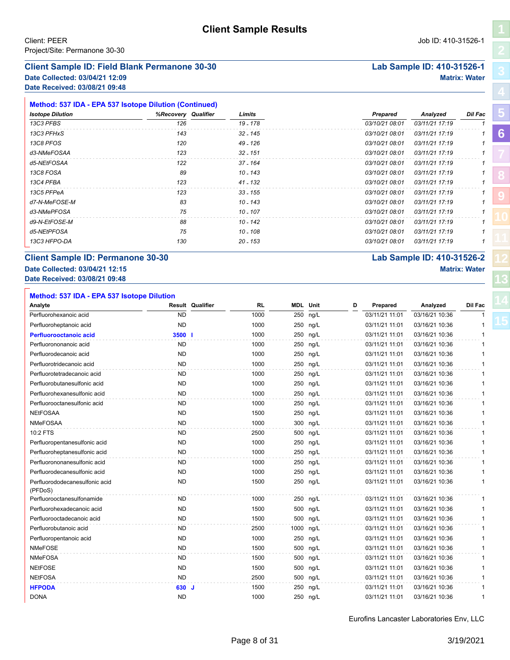### **Client Sample ID: Field Blank Permanone 30-30 Lab Sample ID: 410-31526-1**

**Date Collected: 03/04/21 12:09 Matrix: Water Date Received: 03/08/21 09:48**

| Method: 537 IDA - EPA 537 Isotope Dilution (Continued) |                     |            |                |                |         |
|--------------------------------------------------------|---------------------|------------|----------------|----------------|---------|
| <b>Isotope Dilution</b>                                | %Recovery Qualifier | Limits     | Prepared       | Analyzed       | Dil Fac |
| 13C3 PFBS                                              | 126                 | 19 - 178   | 03/10/21 08:01 | 03/11/21 17:19 |         |
| 13C3 PFHxS                                             | 143                 | $32 - 145$ | 03/10/21 08:01 | 03/11/21 17:19 |         |
| 13C8 PFOS                                              | 120                 | 49 - 126   | 03/10/21 08:01 | 03/11/21 17:19 |         |
| d3-NMeFOSAA                                            | 123                 | $32 - 151$ | 03/10/21 08:01 | 03/11/21 17:19 |         |
| d5-NEtFOSAA                                            | 122                 | $37 - 164$ | 03/10/21 08:01 | 03/11/21 17:19 |         |
| 13C8 FOSA                                              | 89                  | 10 - 143   | 03/10/21 08:01 | 03/11/21 17:19 |         |
| 13C4 PFBA                                              | 123                 | 41 - 132   | 03/10/21 08:01 | 03/11/21 17:19 |         |
| 13C5 PFPeA                                             | 123                 | $33 - 155$ | 03/10/21 08:01 | 03/11/21 17:19 |         |
| d7-N-MeFOSE-M                                          | 83                  | 10 - 143   | 03/10/21 08:01 | 03/11/21 17:19 |         |
| d3-NMePFOSA                                            | 75                  | 10 - 107   | 03/10/21 08:01 | 03/11/21 17:19 |         |
| d9-N-EtFOSE-M                                          | 88                  | 10 - 142   | 03/10/21 08:01 | 03/11/21 17:19 |         |
| d5-NEtPFOSA                                            | 75                  | 10 - 108   | 03/10/21 08:01 | 03/11/21 17:19 |         |
| 13C3 HFPO-DA                                           | 130                 | $20 - 153$ | 03/10/21 08:01 | 03/11/21 17:19 |         |

# **Client Sample ID: Permanone 30-30 Lab Sample ID: 410-31526-2**

# **Date Collected: 03/04/21 12:15 Matrix: Water**

**Date Received: 03/08/21 09:48**

| Method: 537 IDA - EPA 537 Isotope Dilution |           |                         |           |                 |          |   |                |                |         |
|--------------------------------------------|-----------|-------------------------|-----------|-----------------|----------|---|----------------|----------------|---------|
| Analyte                                    |           | <b>Result Qualifier</b> | <b>RL</b> | <b>MDL</b> Unit |          | D | Prepared       | Analyzed       | Dil Fac |
| Perfluorohexanoic acid                     | <b>ND</b> |                         | 1000      |                 | 250 ng/L |   | 03/11/21 11:01 | 03/16/21 10:36 |         |
| Perfluoroheptanoic acid                    | <b>ND</b> |                         | 1000      |                 | 250 ng/L |   | 03/11/21 11:01 | 03/16/21 10:36 | 1       |
| Perfluorooctanoic acid                     | 3500 l    |                         | 1000      |                 | 250 ng/L |   | 03/11/21 11:01 | 03/16/21 10:36 | 1       |
| Perfluorononanoic acid                     | <b>ND</b> |                         | 1000      |                 | 250 ng/L |   | 03/11/21 11:01 | 03/16/21 10:36 | 1       |
| Perfluorodecanoic acid                     | <b>ND</b> |                         | 1000      |                 | 250 ng/L |   | 03/11/21 11:01 | 03/16/21 10:36 | 1       |
| Perfluorotridecanoic acid                  | <b>ND</b> |                         | 1000      |                 | 250 ng/L |   | 03/11/21 11:01 | 03/16/21 10:36 | 1       |
| Perfluorotetradecanoic acid                | ND.       |                         | 1000      |                 | 250 ng/L |   | 03/11/21 11:01 | 03/16/21 10:36 | 1       |
| Perfluorobutanesulfonic acid               | <b>ND</b> |                         | 1000      |                 | 250 ng/L |   | 03/11/21 11:01 | 03/16/21 10:36 | 1       |
| Perfluorohexanesulfonic acid               | <b>ND</b> |                         | 1000      |                 | 250 ng/L |   | 03/11/21 11:01 | 03/16/21 10:36 | 1       |
| Perfluorooctanesulfonic acid               | <b>ND</b> |                         | 1000      |                 | 250 ng/L |   | 03/11/21 11:01 | 03/16/21 10:36 | 1       |
| <b>NEtFOSAA</b>                            | <b>ND</b> |                         | 1500      |                 | 250 ng/L |   | 03/11/21 11:01 | 03/16/21 10:36 | 1       |
| <b>NMeFOSAA</b>                            | <b>ND</b> |                         | 1000      |                 | 300 ng/L |   | 03/11/21 11:01 | 03/16/21 10:36 | 1       |
| 10:2 FTS                                   | ND.       |                         | 2500      |                 | 500 ng/L |   | 03/11/21 11:01 | 03/16/21 10:36 | 1       |
| Perfluoropentanesulfonic acid              | <b>ND</b> |                         | 1000      |                 | 250 ng/L |   | 03/11/21 11:01 | 03/16/21 10:36 | 1       |
| Perfluoroheptanesulfonic acid              | <b>ND</b> |                         | 1000      |                 | 250 ng/L |   | 03/11/21 11:01 | 03/16/21 10:36 | 1       |
| Perfluorononanesulfonic acid               | ND.       |                         | 1000      |                 | 250 ng/L |   | 03/11/21 11:01 | 03/16/21 10:36 | 1       |
| Perfluorodecanesulfonic acid               | <b>ND</b> |                         | 1000      |                 | 250 ng/L |   | 03/11/21 11:01 | 03/16/21 10:36 | 1       |
| Perfluorododecanesulfonic acid<br>(PFDoS)  | <b>ND</b> |                         | 1500      |                 | 250 ng/L |   | 03/11/21 11:01 | 03/16/21 10:36 | 1       |
| Perfluorooctanesulfonamide                 | ND.       |                         | 1000      |                 | 250 ng/L |   | 03/11/21 11:01 | 03/16/21 10:36 | 1       |
| Perfluorohexadecanoic acid                 | <b>ND</b> |                         | 1500      |                 | 500 ng/L |   | 03/11/21 11:01 | 03/16/21 10:36 | 1       |
| Perfluorooctadecanoic acid                 | <b>ND</b> |                         | 1500      |                 | 500 ng/L |   | 03/11/21 11:01 | 03/16/21 10:36 | 1       |
| Perfluorobutanoic acid                     | ND.       |                         | 2500      | 1000 ng/L       |          |   | 03/11/21 11:01 | 03/16/21 10:36 | 1       |
| Perfluoropentanoic acid                    | <b>ND</b> |                         | 1000      |                 | 250 ng/L |   | 03/11/21 11:01 | 03/16/21 10:36 | 1       |
| <b>NMeFOSE</b>                             | <b>ND</b> |                         | 1500      |                 | 500 ng/L |   | 03/11/21 11:01 | 03/16/21 10:36 | 1       |
| <b>NMeFOSA</b>                             | ND.       |                         | 1500      |                 | 500 ng/L |   | 03/11/21 11:01 | 03/16/21 10:36 | 1       |
| <b>NEtFOSE</b>                             | <b>ND</b> |                         | 1500      |                 | 500 ng/L |   | 03/11/21 11:01 | 03/16/21 10:36 | 1       |
| <b>NEtFOSA</b>                             | <b>ND</b> |                         | 2500      |                 | 500 ng/L |   | 03/11/21 11:01 | 03/16/21 10:36 | 1       |
| <b>HFPODA</b>                              | 630 J     |                         | 1500      |                 | 250 ng/L |   | 03/11/21 11:01 | 03/16/21 10:36 | 1       |
| <b>DONA</b>                                | <b>ND</b> |                         | 1000      |                 | 250 ng/L |   | 03/11/21 11:01 | 03/16/21 10:36 | 1       |

Eurofins Lancaster Laboratories Env, LLC

**[5](#page-5-0)**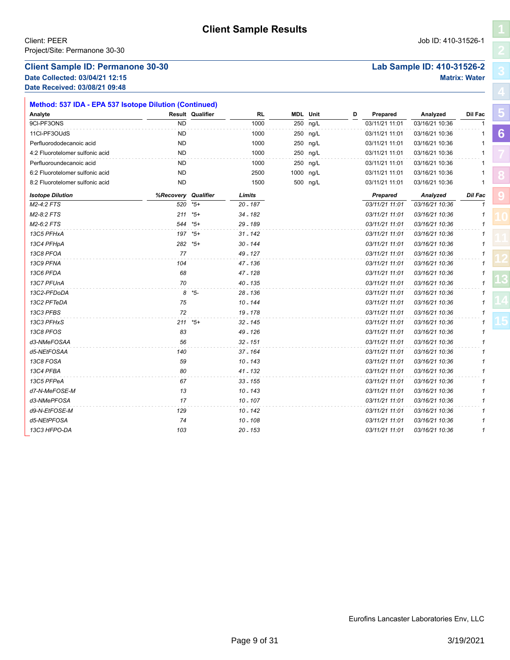### **Client Sample ID: Permanone 30-30 Lab Sample ID: 410-31526-2**

**Date Collected: 03/04/21 12:15 Matrix: Water Date Received: 03/08/21 09:48**

| Method: 537 IDA - EPA 537 Isotope Dilution (Continued) |           |                         |            |                 |   |                |                |         |   |
|--------------------------------------------------------|-----------|-------------------------|------------|-----------------|---|----------------|----------------|---------|---|
| Analyte                                                |           | <b>Result Qualifier</b> | <b>RL</b>  | <b>MDL</b> Unit | D | Prepared       | Analyzed       | Dil Fac | ю |
| 9CI-PF3ONS                                             | <b>ND</b> |                         | 1000       | 250 ng/L        |   | 03/11/21 11:01 | 03/16/21 10:36 |         |   |
| 11Cl-PF3OUdS                                           | <b>ND</b> |                         | 1000       | 250 ng/L        |   | 03/11/21 11:01 | 03/16/21 10:36 |         | 6 |
| Perfluorododecanoic acid                               | ND        |                         | 1000       | 250 ng/L        |   | 03/11/21 11:01 | 03/16/21 10:36 |         |   |
| 4:2 Fluorotelomer sulfonic acid                        | <b>ND</b> |                         | 1000       | 250 ng/L        |   | 03/11/21 11:01 | 03/16/21 10:36 |         |   |
| Perfluoroundecanoic acid                               | ND        |                         | 1000       | 250 ng/L        |   | 03/11/21 11:01 | 03/16/21 10:36 |         |   |
| 6:2 Fluorotelomer sulfonic acid                        | <b>ND</b> |                         | 2500       | 1000 ng/L       |   | 03/11/21 11:01 | 03/16/21 10:36 |         |   |
| 8:2 Fluorotelomer sulfonic acid                        | <b>ND</b> |                         | 1500       | 500 ng/L        |   | 03/11/21 11:01 | 03/16/21 10:36 |         |   |
| <b>Isotope Dilution</b>                                | %Recovery | Qualifier               | Limits     |                 |   | Prepared       | Analyzed       | Dil Fac |   |
| M2-4:2 FTS                                             | 520       | $*5+$                   | 20 - 187   |                 |   | 03/11/21 11:01 | 03/16/21 10:36 | 1       |   |
| M2-8:2 FTS                                             | 211       | $*5+$                   | 34 - 182   |                 |   | 03/11/21 11:01 | 03/16/21 10:36 |         |   |
| M2-6:2 FTS                                             | 544       | *5+                     | 29 - 189   |                 |   | 03/11/21 11:01 | 03/16/21 10:36 |         |   |
| 13C5 PFHxA                                             |           | 197 *5+                 | $31 - 142$ |                 |   | 03/11/21 11:01 | 03/16/21 10:36 |         |   |
| 13C4 PFHpA                                             |           | 282 *5+                 | 30 - 144   |                 |   | 03/11/21 11:01 | 03/16/21 10:36 |         |   |
| 13C8 PFOA                                              | 77        |                         | 49 - 127   |                 |   | 03/11/21 11:01 | 03/16/21 10:36 |         |   |
| 13C9 PFNA                                              | 104       |                         | 47 - 136   |                 |   | 03/11/21 11:01 | 03/16/21 10:36 |         |   |
| 13C6 PFDA                                              | 68        |                         | 47 - 128   |                 |   | 03/11/21 11:01 | 03/16/21 10:36 |         |   |
| 13C7 PFUnA                                             | 70        |                         | 40 - 135   |                 |   | 03/11/21 11:01 | 03/16/21 10:36 |         |   |
| 13C2-PFDoDA                                            |           | 8 *5-                   | 28 - 136   |                 |   | 03/11/21 11:01 | 03/16/21 10:36 |         |   |
| 13C2 PFTeDA                                            | 75        |                         | $10 - 144$ |                 |   | 03/11/21 11:01 | 03/16/21 10:36 |         |   |
| 13C3 PFBS                                              | 72        |                         | 19 - 178   |                 |   | 03/11/21 11:01 | 03/16/21 10:36 |         |   |
| 13C3 PFHxS                                             |           | $211 * 5+$              | $32 - 145$ |                 |   | 03/11/21 11:01 | 03/16/21 10:36 |         |   |
| 13C8 PFOS                                              | 83        |                         | 49 - 126   |                 |   | 03/11/21 11:01 | 03/16/21 10:36 |         |   |
| d3-NMeFOSAA                                            | 56        |                         | $32 - 151$ |                 |   | 03/11/21 11:01 | 03/16/21 10:36 |         |   |
| d5-NEtFOSAA                                            | 140       |                         | 37 - 164   |                 |   | 03/11/21 11:01 | 03/16/21 10:36 |         |   |
| 13C8 FOSA                                              | 59        |                         | $10 - 143$ |                 |   | 03/11/21 11:01 | 03/16/21 10:36 |         |   |
| 13C4 PFBA                                              | 80        |                         | 41 - 132   |                 |   | 03/11/21 11:01 | 03/16/21 10:36 |         |   |
| 13C5 PFPeA                                             | 67        |                         | $33 - 155$ |                 |   | 03/11/21 11:01 | 03/16/21 10:36 |         |   |
| d7-N-MeFOSE-M                                          | 13        |                         | $10 - 143$ |                 |   | 03/11/21 11:01 | 03/16/21 10:36 |         |   |
| d3-NMePFOSA                                            | 17        |                         | $10 - 107$ |                 |   | 03/11/21 11:01 | 03/16/21 10:36 |         |   |
| d9-N-EtFOSE-M                                          | 129       |                         | 10 - 142   |                 |   | 03/11/21 11:01 | 03/16/21 10:36 |         |   |
| d5-NEtPFOSA                                            | 74        |                         | $10 - 108$ |                 |   | 03/11/21 11:01 | 03/16/21 10:36 |         |   |
| 13C3 HFPO-DA                                           | 103       |                         | 20 - 153   |                 |   | 03/11/21 11:01 | 03/16/21 10:36 |         |   |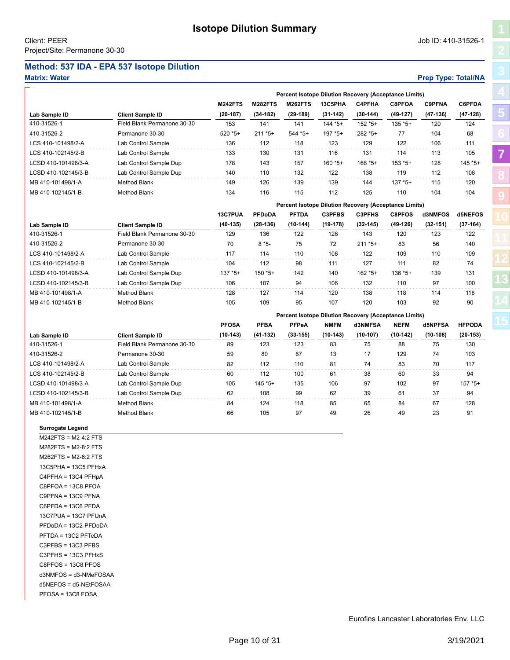# <span id="page-9-1"></span><span id="page-9-0"></span>**Method: 537 IDA - EPA 537 Isotope Dilution**

### **Matrix: Water Prep Type: Total/NA**

**[5](#page-5-0)**

**[7](#page-9-0)**

**[8](#page-11-0)**

**[9](#page-20-0)**

|                     |                             | Percent Isotope Dilution Recovery (Acceptance Limits) |                |                |            |               |            |               |               |  |  |
|---------------------|-----------------------------|-------------------------------------------------------|----------------|----------------|------------|---------------|------------|---------------|---------------|--|--|
|                     |                             | <b>M242FTS</b>                                        | <b>M282FTS</b> | <b>M262FTS</b> | 13C5PHA    | <b>C4PFHA</b> | C8PFOA     | <b>C9PFNA</b> | <b>C6PFDA</b> |  |  |
| Lab Sample ID       | <b>Client Sample ID</b>     | $(20-187)$                                            | $(34-182)$     | $(29-189)$     | $(31-142)$ | $(30-144)$    | $(49-127)$ | $(47-136)$    | $(47-128)$    |  |  |
| 410-31526-1         | Field Blank Permanone 30-30 | 153                                                   | 141            | 141            | $144*5+$   | $152 * 5+$    | $135 * 5+$ | 120           | 124           |  |  |
| 410-31526-2         | Permanone 30-30             | $520 * 5+$                                            | $211 * 5+$     | $544*5+$       | $197*5+$   | 282 * 5+      | 77         | 104           | 68            |  |  |
| LCS 410-101498/2-A  | Lab Control Sample          | 136                                                   | 112            | 118            | 123        | 129           | 122        | 106           | 111           |  |  |
| LCS 410-102145/2-B  | Lab Control Sample          | 133                                                   | 130            | 131            | 116        | 131           | 114        | 113           | 105           |  |  |
| LCSD 410-101498/3-A | Lab Control Sample Dup      | 178                                                   | 143            | 157            | $160*5+$   | $168*5+$      | $153 * 5+$ | 128           | $145 * 5+$    |  |  |
| LCSD 410-102145/3-B | Lab Control Sample Dup      | 140                                                   | 110            | 132            | 122        | 138           | 119        | 112           | 108           |  |  |
| MB 410-101498/1-A   | Method Blank                | 149                                                   | 126            | 139            | 139        | 144           | $137 * 5+$ | 115           | 120           |  |  |
| MB 410-102145/1-B   | Method Blank                | 134                                                   | 116            | 115            | 112        | 125           | 110        | 104           | 104           |  |  |

|                     |                             |            |               |              | <b>Percent Isotope Dilution Recovery (Acceptance Limits)</b> |               |               |            |            |
|---------------------|-----------------------------|------------|---------------|--------------|--------------------------------------------------------------|---------------|---------------|------------|------------|
|                     |                             | 13C7PUA    | <b>PFDoDA</b> | <b>PFTDA</b> | <b>C3PFBS</b>                                                | <b>C3PFHS</b> | <b>C8PFOS</b> | d3NMFOS    | d5NEFOS    |
| Lab Sample ID       | <b>Client Sample ID</b>     | $(40-135)$ | $(28-136)$    | $(10-144)$   | (19-178)                                                     | $(32-145)$    | $(49-126)$    | $(32-151)$ | $(37-164)$ |
| 410-31526-1         | Field Blank Permanone 30-30 | 129        | 136           | 122          | 126                                                          | 143           | 120           | 123        | 122        |
| 410-31526-2         | Permanone 30-30             | 70         | $8*5-$        | 75           | 72                                                           | $211 * 5+$    | 83            | 56         | 140        |
| LCS 410-101498/2-A  | Lab Control Sample          | 117        | 114           | 110          | 108                                                          | 122           | 109           | 110        | 109        |
| LCS 410-102145/2-B  | Lab Control Sample          | 104        | 112           | 98           | 111                                                          | 127           | 111           | 82         | 74         |
| LCSD 410-101498/3-A | Lab Control Sample Dup      | $137 * 5+$ | $150*5+$      | 142          | 140                                                          | $162 * 5+$    | $136 * 5+$    | 139        | 131        |
| LCSD 410-102145/3-B | Lab Control Sample Dup      | 106        | 107           | 94           | 106                                                          | 132           | 110           | 97         | 100        |
| MB 410-101498/1-A   | Method Blank                | 128        | 127           | 114          | 120                                                          | 138           | 118           | 114        | 118        |
| MB 410-102145/1-B   | Method Blank                | 105        | 109           | 95           | 107                                                          | 120           | 103           | 92         | 90         |

|                     |                             |              |             |            |             | Percent Isotope Dilution Recovery (Acceptance Limits) |             |            |               |  |  |
|---------------------|-----------------------------|--------------|-------------|------------|-------------|-------------------------------------------------------|-------------|------------|---------------|--|--|
|                     |                             | <b>PFOSA</b> | <b>PFBA</b> | PFPeA      | <b>NMFM</b> | d3NMFSA                                               | <b>NEFM</b> | d5NPFSA    | <b>HFPODA</b> |  |  |
| Lab Sample ID       | <b>Client Sample ID</b>     | $(10-143)$   | $(41-132)$  | $(33-155)$ | $(10-143)$  | $(10-107)$                                            | $(10-142)$  | $(10-108)$ | $(20-153)$    |  |  |
| 410-31526-1         | Field Blank Permanone 30-30 | 89           | 123         | 123        | 83          | 75                                                    | 88          | 75         | 130           |  |  |
| 410-31526-2         | Permanone 30-30             | 59           | 80          | 67         | 13          | 17                                                    | 129         | 74         | 103           |  |  |
| LCS 410-101498/2-A  | Lab Control Sample          | 82           | 112         | 110        | 81          | 74                                                    | 83          | 70         | 117           |  |  |
| LCS 410-102145/2-B  | Lab Control Sample          | 60           | 112         | 100        | 61          | 38                                                    | 60          | 33         | 94            |  |  |
| LCSD 410-101498/3-A | Lab Control Sample Dup      | 105          | $145 * 5+$  | 135        | 106         | 97                                                    | 102         | 97         | $157 * 5+$    |  |  |
| LCSD 410-102145/3-B | Lab Control Sample Dup      | 62           | 108         | 99         | 62          | 39                                                    | 61          | 37         | 94            |  |  |
| MB 410-101498/1-A   | Method Blank                | 84           | 124         | 118        | 85          | 65                                                    | 84          | 67         | 128           |  |  |
| MB 410-102145/1-B   | Method Blank                | 66           | 105         | 97         | 49          | 26                                                    | 49          | 23         | 91            |  |  |

**Surrogate Legend**

M242FTS = M2-4:2 FTS M282FTS = M2-8:2 FTS M262FTS = M2-6:2 FTS 13C5PHA = 13C5 PFHxA C4PFHA = 13C4 PFHpA C8PFOA = 13C8 PFOA C9PFNA = 13C9 PFNA C6PFDA = 13C6 PFDA 13C7PUA = 13C7 PFUnA PFDoDA = 13C2-PFDoDA PFTDA = 13C2 PFTeDA C3PFBS = 13C3 PFBS C3PFHS = 13C3 PFHxS C8PFOS = 13C8 PFOS d3NMFOS = d3-NMeFOSAA d5NEFOS = d5-NEtFOSAA PFOSA = 13C8 FOSA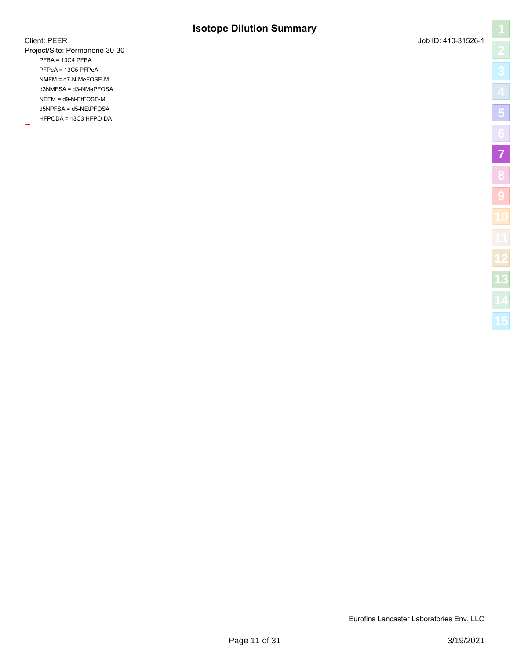# **Isotope Dilution Summary**

Project/Site: Permanone 30-30 PFBA = 13C4 PFBA PFPeA = 13C5 PFPeA NMFM = d7-N-MeFOSE-M d3NMFSA = d3-NMePFOSA NEFM = d9-N-EtFOSE-M d5NPFSA = d5-NEtPFOSA HFPODA = 13C3 HFPO-DA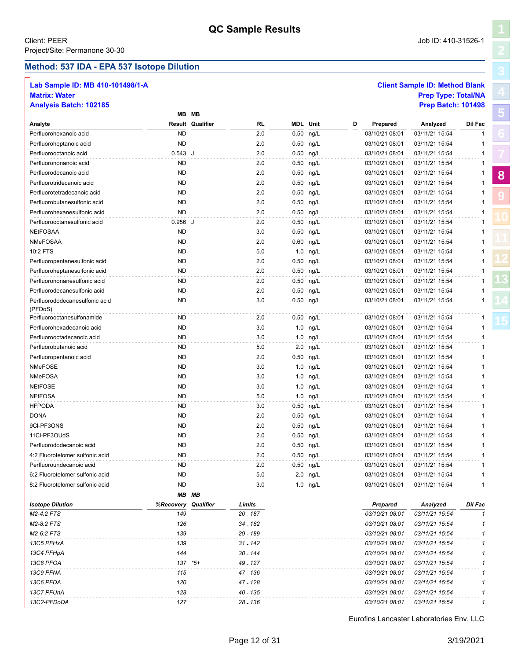### <span id="page-11-1"></span><span id="page-11-0"></span>**Method: 537 IDA - EPA 537 Isotope Dilution**

## **Lab Sample ID: MB 410-101498/1-A Client Sample ID: Method Blank**

**[8](#page-11-0)**

**[9](#page-20-0)**

# **Matrix: Water Prep Type: Total/NA Analysis Batch: 102185 Prep Batch: 101498**

|                                           |           | MB MB                   |            |                 |             |   |                |                |              |
|-------------------------------------------|-----------|-------------------------|------------|-----------------|-------------|---|----------------|----------------|--------------|
| Analyte                                   |           | <b>Result Qualifier</b> | RL         | <b>MDL</b> Unit |             | D | Prepared       | Analyzed       | Dil Fac      |
| Perfluorohexanoic acid                    | <b>ND</b> |                         | 2.0        | 0.50            | ng/L        |   | 03/10/21 08:01 | 03/11/21 15:54 |              |
| Perfluoroheptanoic acid                   | <b>ND</b> |                         | 2.0        |                 | 0.50 ng/L   |   | 03/10/21 08:01 | 03/11/21 15:54 | 1            |
| Perfluorooctanoic acid                    | 0.543 J   |                         | 2.0        |                 | 0.50 ng/L   |   | 03/10/21 08:01 | 03/11/21 15:54 | 1            |
| Perfluorononanoic acid                    | <b>ND</b> |                         | 2.0        |                 | 0.50 ng/L   |   | 03/10/21 08:01 | 03/11/21 15:54 |              |
| Perfluorodecanoic acid                    | <b>ND</b> |                         | 2.0        |                 | 0.50 ng/L   |   | 03/10/21 08:01 | 03/11/21 15:54 |              |
| Perfluorotridecanoic acid                 | <b>ND</b> |                         | 2.0        |                 | 0.50 ng/L   |   | 03/10/21 08:01 | 03/11/21 15:54 | 1            |
| Perfluorotetradecanoic acid               | <b>ND</b> |                         | 2.0        | 0.50            | ng/L        |   | 03/10/21 08:01 | 03/11/21 15:54 | 1            |
| Perfluorobutanesulfonic acid              | <b>ND</b> |                         | 2.0        | 0.50            | ng/L        |   | 03/10/21 08:01 | 03/11/21 15:54 | 1            |
| Perfluorohexanesulfonic acid              | <b>ND</b> |                         | 2.0        |                 | 0.50 ng/L   |   | 03/10/21 08:01 | 03/11/21 15:54 | 1            |
| Perfluorooctanesulfonic acid              | $0.956$ J |                         | 2.0        |                 | 0.50 ng/L   |   | 03/10/21 08:01 | 03/11/21 15:54 | 1            |
| <b>NEtFOSAA</b>                           | <b>ND</b> |                         | 3.0        |                 | 0.50 ng/L   |   | 03/10/21 08:01 | 03/11/21 15:54 | 1            |
| NMeFOSAA                                  | <b>ND</b> |                         | 2.0        |                 | 0.60 ng/L   |   | 03/10/21 08:01 | 03/11/21 15:54 | $\mathbf{1}$ |
| 10:2 FTS                                  | <b>ND</b> |                         | 5.0        | 1.0             | ng/L        |   | 03/10/21 08:01 | 03/11/21 15:54 | 1            |
| Perfluoropentanesulfonic acid             | <b>ND</b> |                         | 2.0        |                 | 0.50 ng/L   |   | 03/10/21 08:01 | 03/11/21 15:54 | 1            |
| Perfluoroheptanesulfonic acid             | <b>ND</b> |                         | 2.0        |                 | 0.50 ng/L   |   | 03/10/21 08:01 | 03/11/21 15:54 | 1            |
| Perfluorononanesulfonic acid              | <b>ND</b> |                         | 2.0        |                 | 0.50 ng/L   |   | 03/10/21 08:01 | 03/11/21 15:54 | 1            |
| Perfluorodecanesulfonic acid              | <b>ND</b> |                         | 2.0        |                 | 0.50 ng/L   |   | 03/10/21 08:01 | 03/11/21 15:54 | 1            |
| Perfluorododecanesulfonic acid<br>(PFDoS) | <b>ND</b> |                         | 3.0        |                 | 0.50 ng/L   |   | 03/10/21 08:01 | 03/11/21 15:54 | 1            |
| Perfluorooctanesulfonamide                | <b>ND</b> |                         | 2.0        | 0.50            | ng/L        |   | 03/10/21 08:01 | 03/11/21 15:54 | 1            |
| Perfluorohexadecanoic acid                | <b>ND</b> |                         | 3.0        | 1.0             | ng/L        |   | 03/10/21 08:01 | 03/11/21 15:54 | 1            |
| Perfluorooctadecanoic acid                | <b>ND</b> |                         | 3.0        |                 | $1.0$ ng/L  |   | 03/10/21 08:01 | 03/11/21 15:54 | 1            |
| Perfluorobutanoic acid                    | <b>ND</b> |                         | 5.0        | 2.0             | ng/L        |   | 03/10/21 08:01 | 03/11/21 15:54 | 1            |
| Perfluoropentanoic acid                   | <b>ND</b> |                         | 2.0        |                 | 0.50 ng/L   |   | 03/10/21 08:01 | 03/11/21 15:54 | 1            |
| <b>NMeFOSE</b>                            | <b>ND</b> |                         | 3.0        |                 | 1.0 ng/L    |   | 03/10/21 08:01 | 03/11/21 15:54 | 1            |
| <b>NMeFOSA</b>                            | <b>ND</b> |                         | 3.0        |                 | 1.0 ng/L    |   | 03/10/21 08:01 | 03/11/21 15:54 | 1            |
| <b>NEtFOSE</b>                            | <b>ND</b> |                         | 3.0        |                 | 1.0 ng/L    |   | 03/10/21 08:01 | 03/11/21 15:54 | 1            |
| <b>NEtFOSA</b>                            | <b>ND</b> |                         | 5.0        |                 | 1.0 ng/L    |   | 03/10/21 08:01 | 03/11/21 15:54 | 1            |
| <b>HFPODA</b>                             | ND.       |                         | 3.0        |                 | 0.50 ng/L   |   | 03/10/21 08:01 | 03/11/21 15:54 | 1            |
| <b>DONA</b>                               | <b>ND</b> |                         | 2.0        |                 | 0.50 ng/L   |   | 03/10/21 08:01 | 03/11/21 15:54 | 1            |
| 9CI-PF3ONS                                | <b>ND</b> |                         | 2.0        |                 | $0.50$ ng/L |   | 03/10/21 08:01 | 03/11/21 15:54 | 1            |
| 11CI-PF3OUdS                              | <b>ND</b> |                         | 2.0        |                 | 0.50 ng/L   |   | 03/10/21 08:01 | 03/11/21 15:54 | 1            |
| Perfluorododecanoic acid                  | <b>ND</b> |                         | 2.0        |                 | 0.50 ng/L   |   | 03/10/21 08:01 | 03/11/21 15:54 |              |
| 4:2 Fluorotelomer sulfonic acid           | <b>ND</b> |                         | 2.0        |                 | 0.50 ng/L   |   | 03/10/21 08:01 | 03/11/21 15:54 | 1            |
| Perfluoroundecanoic acid                  | ND        |                         | 2.0        |                 | 0.50 ng/L   |   | 03/10/21 08:01 | 03/11/21 15:54 | 1            |
| 6:2 Fluorotelomer sulfonic acid           | ND        |                         | 5.0        |                 | $2.0$ ng/L  |   | 03/10/21 08:01 | 03/11/21 15:54 | 1            |
| 8:2 Fluorotelomer sulfonic acid           | ND.       |                         | 3.0        |                 | $1.0$ ng/L  |   | 03/10/21 08:01 | 03/11/21 15:54 |              |
|                                           |           | MB MB                   |            |                 |             |   |                |                |              |
| <b>Isotope Dilution</b>                   | %Recovery | Qualifier               | Limits     |                 |             |   | Prepared       | Analyzed       | Dil Fac      |
| M2-4:2 FTS                                | 149       |                         | $20 - 187$ |                 |             |   | 03/10/21 08:01 | 03/11/21 15:54 |              |
| M2-8:2 FTS                                | 126       |                         | 34 - 182   |                 |             |   | 03/10/21 08:01 | 03/11/21 15:54 |              |
| M2-6:2 FTS                                | 139       |                         | 29 - 189   |                 |             |   | 03/10/21 08:01 | 03/11/21 15:54 |              |
| 13C5 PFHxA                                | 139       |                         | 31 - 142   |                 |             |   | 03/10/21 08:01 | 03/11/21 15:54 |              |
| 13C4 PFHpA                                | 144       |                         | 30 - 144   |                 |             |   | 03/10/21 08:01 | 03/11/21 15:54 |              |
| 13C8 PFOA                                 |           | 137 *5+                 | 49 - 127   |                 |             |   | 03/10/21 08:01 | 03/11/21 15:54 |              |
| 13C9 PFNA                                 | 115       |                         | 47 - 136   |                 |             |   | 03/10/21 08:01 | 03/11/21 15:54 |              |
| 13C6 PFDA                                 | 120       |                         | 47 - 128   |                 |             |   | 03/10/21 08:01 | 03/11/21 15:54 |              |
| 13C7 PFUnA                                | 128       |                         | 40 - 135   |                 |             |   | 03/10/21 08:01 | 03/11/21 15:54 | 1            |
| 13C2-PFDoDA                               | 127       |                         | 28 - 136   |                 |             |   | 03/10/21 08:01 | 03/11/21 15:54 | 1            |
|                                           |           |                         |            |                 |             |   |                |                |              |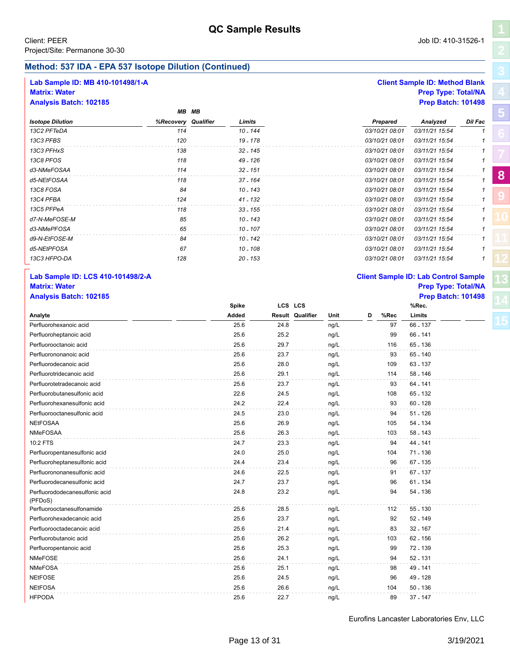# **Method: 537 IDA - EPA 537 Isotope Dilution (Continued)**

*MB MB*

# **Lab Sample ID: MB 410-101498/1-A Client Sample ID: Method Blank**

### **Matrix: Water Prep Type: Total/NA Analysis Batch: 102185 Prep Batch: 101498**

|                  |                     | MB MB |            |                |                |         |
|------------------|---------------------|-------|------------|----------------|----------------|---------|
| Isotope Dilution | %Recovery Qualifier |       | Limits     | Prepared       | Analyzed       | Dil Fac |
| 13C2 PFTeDA      | 114                 |       | 10 - 144   | 03/10/21 08:01 | 03/11/21 15:54 |         |
| 13C3 PFBS        | 120                 |       | 19 - 178   | 03/10/21 08:01 | 03/11/21 15:54 |         |
| 13C3 PFHxS       | 138                 |       | 32 - 145   | 03/10/21 08:01 | 03/11/21 15:54 |         |
| 13C8 PFOS        | 118                 |       | 49 - 126   | 03/10/21 08:01 | 03/11/21 15:54 |         |
| d3-NMeFOSAA      | 114                 |       | $32 - 151$ | 03/10/21 08:01 | 03/11/21 15:54 |         |
| d5-NEtFOSAA      | 118                 |       | $37 - 164$ | 03/10/21 08:01 | 03/11/21 15:54 |         |
| 13C8 FOSA        | 84                  |       | $10 - 143$ | 03/10/21 08:01 | 03/11/21 15:54 |         |
| 13C4 PFBA        | 124                 |       | 41 - 132   | 03/10/21 08:01 | 03/11/21 15:54 |         |
| 13C5 PFPeA       | 118                 |       | $33 - 155$ | 03/10/21 08:01 | 03/11/21 15:54 |         |
| d7-N-MeFOSE-M    | 85                  |       | 10 - 143   | 03/10/21 08:01 | 03/11/21 15:54 |         |
| d3-NMePFOSA      | 65                  |       | $10 - 107$ | 03/10/21 08:01 | 03/11/21 15:54 |         |
| d9-N-EtFOSE-M    | 84                  |       | 10 - 142   | 03/10/21 08:01 | 03/11/21 15:54 |         |
| d5-NEtPFOSA      | 67                  |       | 10 - 108   | 03/10/21 08:01 | 03/11/21 15:54 |         |
| 13C3 HFPO-DA     | 128                 |       | $20 - 153$ | 03/10/21 08:01 | 03/11/21 15:54 |         |
|                  |                     |       |            |                |                |         |

# **Lab Sample ID: LCS 410-101498/2-A Client Sample ID: Lab Control Sample Analysis Batch: 102185 Prep Batch: 101498**

|                                           | <b>Spike</b> |      | LCS LCS                  |   |      | %Rec.      |  |
|-------------------------------------------|--------------|------|--------------------------|---|------|------------|--|
| Analyte                                   | Added        |      | Result Qualifier<br>Unit | D | %Rec | Limits     |  |
| Perfluorohexanoic acid                    | 25.6         | 24.8 | ng/L                     |   | 97   | 66 - 137   |  |
| Perfluoroheptanoic acid                   | 25.6         | 25.2 | ng/L                     |   | 99   | 66 - 141   |  |
| Perfluorooctanoic acid                    | 25.6         | 29.7 | ng/L                     |   | 116  | $65 - 136$ |  |
| Perfluorononanoic acid                    | 25.6         | 23.7 | ng/L                     |   | 93   | 65 - 140   |  |
| Perfluorodecanoic acid                    | 25.6         | 28.0 | ng/L                     |   | 109  | 63 - 137   |  |
| Perfluorotridecanoic acid                 | 25.6         | 29.1 | ng/L                     |   | 114  | $58 - 146$ |  |
| Perfluorotetradecanoic acid               | 25.6         | 23.7 | ng/L                     |   | 93   | 64 - 141   |  |
| Perfluorobutanesulfonic acid              | 22.6         | 24.5 | ng/L                     |   | 108  | 65 - 132   |  |
| Perfluorohexanesulfonic acid              | 24.2         | 22.4 | ng/L                     |   | 93   | $60 - 128$ |  |
| Perfluorooctanesulfonic acid              | 24.5         | 23.0 | ng/L                     |   | 94   | $51 - 126$ |  |
| <b>NEtFOSAA</b>                           | 25.6         | 26.9 | ng/L                     |   | 105  | 54 - 134   |  |
| NMeFOSAA                                  | 25.6         | 26.3 | ng/L                     |   | 103  | 58 - 143   |  |
| 10:2 FTS                                  | 24.7         | 23.3 | ng/L                     |   | 94   | 44 - 141   |  |
| Perfluoropentanesulfonic acid             | 24.0         | 25.0 | ng/L                     |   | 104  | 71 - 136   |  |
| Perfluoroheptanesulfonic acid             | 24.4         | 23.4 | ng/L                     |   | 96   | 67 - 135   |  |
| Perfluorononanesulfonic acid              | 24.6         | 22.5 | ng/L                     |   | 91   | 67 - 137   |  |
| Perfluorodecanesulfonic acid              | 24.7         | 23.7 | ng/L                     |   | 96   | $61 - 134$ |  |
| Perfluorododecanesulfonic acid<br>(PFDoS) | 24.8         | 23.2 | ng/L                     |   | 94   | 54 - 136   |  |
| Perfluorooctanesulfonamide                | 25.6         | 28.5 | ng/L                     |   | 112  | 55 - 130   |  |
| Perfluorohexadecanoic acid                | 25.6         | 23.7 | ng/L                     |   | 92   | 52 - 149   |  |
| Perfluorooctadecanoic acid                | 25.6         | 21.4 | ng/L                     |   | 83   | $32 - 167$ |  |
| Perfluorobutanoic acid                    | 25.6         | 26.2 | ng/L                     |   | 103  | $62 - 156$ |  |
| Perfluoropentanoic acid                   | 25.6         | 25.3 | ng/L                     |   | 99   | 72 - 139   |  |
| <b>NMeFOSE</b>                            | 25.6         | 24.1 | ng/L                     |   | 94   | $52 - 131$ |  |
| <b>NMeFOSA</b>                            | 25.6         | 25.1 | ng/L                     |   | 98   | 49 - 141   |  |
| <b>NEtFOSE</b>                            | 25.6         | 24.5 | ng/L                     |   | 96   | 49 - 128   |  |
| <b>NEtFOSA</b>                            | 25.6         | 26.6 | ng/L                     |   | 104  | $50 - 136$ |  |
| <b>HFPODA</b>                             | 25.6         | 22.7 | ng/L                     |   | 89   | 37 - 147   |  |



# **Matrix: Water Prep Type: Total/NA**

**[5](#page-5-0)**

**[8](#page-11-0)**

**[9](#page-20-0)**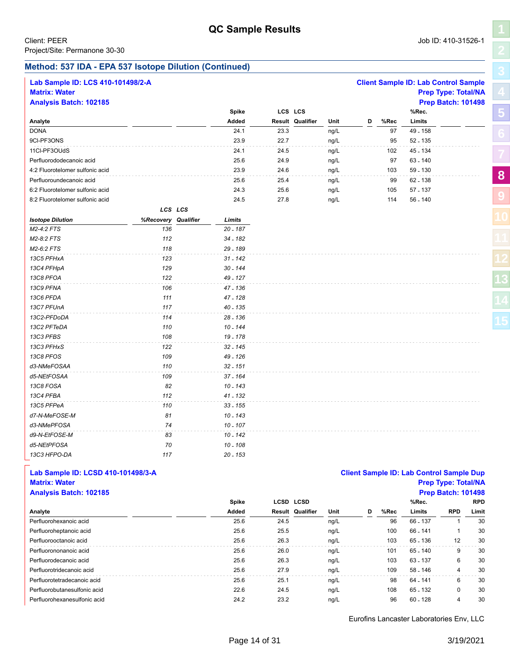**[5](#page-5-0)**

**[8](#page-11-0)**

**[9](#page-20-0)**

### **Method: 537 IDA - EPA 537 Isotope Dilution (Continued)**

| Lab Sample ID: LCS 410-101498/2-A<br><b>Matrix: Water</b><br><b>Analysis Batch: 102185</b> |                     |         |            |      |                  |      |   |      | <b>Client Sample ID: Lab Control Sample</b><br><b>Prep Type: Total/NA</b><br><b>Prep Batch: 101498</b> |  |
|--------------------------------------------------------------------------------------------|---------------------|---------|------------|------|------------------|------|---|------|--------------------------------------------------------------------------------------------------------|--|
|                                                                                            |                     |         | Spike      |      | LCS LCS          |      |   |      | %Rec.                                                                                                  |  |
| Analyte                                                                                    |                     |         | Added      |      | Result Qualifier | Unit | D | %Rec | Limits                                                                                                 |  |
| <b>DONA</b>                                                                                |                     |         | 24.1       | 23.3 |                  | ng/L |   | 97   | 49 - 158                                                                                               |  |
| 9CI-PF3ONS                                                                                 |                     |         | 23.9       | 22.7 |                  | ng/L |   | 95   | 52 - 135                                                                                               |  |
| 11Cl-PF3OUdS                                                                               |                     |         | 24.1       | 24.5 |                  | ng/L |   | 102  | 45 - 134                                                                                               |  |
| Perfluorododecanoic acid                                                                   |                     |         | 25.6       | 24.9 |                  | ng/L |   | 97   | 63 - 140                                                                                               |  |
| 4:2 Fluorotelomer sulfonic acid                                                            |                     |         | 23.9       | 24.6 |                  | ng/L |   | 103  | 59 - 130                                                                                               |  |
| Perfluoroundecanoic acid                                                                   |                     |         | 25.6       | 25.4 |                  | ng/L |   | 99   | 62 - 138                                                                                               |  |
| 6:2 Fluorotelomer sulfonic acid                                                            |                     |         | 24.3       | 25.6 |                  | ng/L |   | 105  | $57 - 137$                                                                                             |  |
| 8:2 Fluorotelomer sulfonic acid                                                            |                     |         | 24.5       | 27.8 |                  | ng/L |   | 114  | $56 - 140$                                                                                             |  |
|                                                                                            |                     | LCS LCS |            |      |                  |      |   |      |                                                                                                        |  |
| <b>Isotope Dilution</b>                                                                    | %Recovery Qualifier |         | Limits     |      |                  |      |   |      |                                                                                                        |  |
| M2-4:2 FTS                                                                                 | 136                 |         | $20 - 187$ |      |                  |      |   |      |                                                                                                        |  |
| M2-8:2 FTS                                                                                 | 112                 |         | 34 - 182   |      |                  |      |   |      |                                                                                                        |  |
| M2-6:2 FTS                                                                                 | 118                 |         | 29 - 189   |      |                  |      |   |      |                                                                                                        |  |
| 13C5 PFHxA                                                                                 | 123                 |         | $31 - 142$ |      |                  |      |   |      |                                                                                                        |  |
| 13C4 PFHpA                                                                                 | 129                 |         | $30 - 144$ |      |                  |      |   |      |                                                                                                        |  |
| 13C8 PFOA                                                                                  | 122                 |         | 49 - 127   |      |                  |      |   |      |                                                                                                        |  |
| 13C9 PFNA                                                                                  | 106                 |         | 47 - 136   |      |                  |      |   |      |                                                                                                        |  |
| 13C6 PFDA                                                                                  | 111                 |         | 47 - 128   |      |                  |      |   |      |                                                                                                        |  |
| 13C7 PFUnA                                                                                 | 117                 |         | $40 - 135$ |      |                  |      |   |      |                                                                                                        |  |
| 13C2-PFDoDA                                                                                | 114                 |         | $28 - 136$ |      |                  |      |   |      |                                                                                                        |  |
| 13C2 PFTeDA                                                                                | 110                 |         | $10 - 144$ |      |                  |      |   |      |                                                                                                        |  |
| 13C3 PFBS                                                                                  | 108                 |         | 19 - 178   |      |                  |      |   |      |                                                                                                        |  |
| 13C3 PFHxS                                                                                 | 122                 |         | 32 - 145   |      |                  |      |   |      |                                                                                                        |  |
| 13C8 PFOS                                                                                  | 109                 |         | 49 - 126   |      |                  |      |   |      |                                                                                                        |  |
| d3-NMeFOSAA                                                                                | 110                 |         | $32 - 151$ |      |                  |      |   |      |                                                                                                        |  |
| d5-NEtFOSAA                                                                                | 109                 |         | 37 - 164   |      |                  |      |   |      |                                                                                                        |  |
| 13C8 FOSA                                                                                  | 82                  |         | $10 - 143$ |      |                  |      |   |      |                                                                                                        |  |
| 13C4 PFBA                                                                                  | 112                 |         | $41 - 132$ |      |                  |      |   |      |                                                                                                        |  |
| 13C5 PFPeA                                                                                 | 110                 |         | $33 - 155$ |      |                  |      |   |      |                                                                                                        |  |
| d7-N-MeFOSE-M                                                                              | 81                  |         | $10 - 143$ |      |                  |      |   |      |                                                                                                        |  |
| d3-NMePFOSA                                                                                | 74                  |         | $10 - 107$ |      |                  |      |   |      |                                                                                                        |  |
| d9-N-EtFOSE-M                                                                              | 83                  |         | 10 - 142   |      |                  |      |   |      |                                                                                                        |  |
| d5-NEtPFOSA                                                                                | 70                  |         | $10 - 108$ |      |                  |      |   |      |                                                                                                        |  |
| 13C3 HFPO-DA                                                                               | 117                 |         | $20 - 153$ |      |                  |      |   |      |                                                                                                        |  |

### **Lab Sample ID: LCSD 410-101498/3-A Client Sample ID: Lab Control Sample Dup Matrix: Water Prep Type: Total/NA Analysis Batch: 102185 Prep Batch: 101498**

|                              | <b>Spike</b> |      | <b>LCSD LCSD</b>        |      |   |      | %Rec.      |            | <b>RPD</b> |
|------------------------------|--------------|------|-------------------------|------|---|------|------------|------------|------------|
| Analyte                      | Added        |      | <b>Result Qualifier</b> | Unit | D | %Rec | Limits     | <b>RPD</b> | Limit      |
| Perfluorohexanoic acid       | 25.6         | 24.5 |                         | ng/L |   | 96   | 66 - 137   |            | 30         |
| Perfluoroheptanoic acid      | 25.6         | 25.5 |                         | ng/L |   | 100  | 66 - 141   |            | 30         |
| Perfluorooctanoic acid       | 25.6         | 26.3 |                         | ng/L |   | 103  | 65 - 136   | 12         | 30         |
| Perfluorononanoic acid       | 25.6         | 26.0 |                         | ng/L |   | 101  | 65 - 140   | 9          | 30         |
| Perfluorodecanoic acid       | 25.6         | 26.3 |                         | ng/L |   | 103  | 63 - 137   | 6          | 30         |
| Perfluorotridecanoic acid    | 25.6         | 27.9 |                         | ng/L |   | 109  | 58 - 146   | 4          | 30         |
| Perfluorotetradecanoic acid  | 25.6         | 25.1 |                         | ng/L |   | 98   | 64 - 141   | 6          | 30         |
| Perfluorobutanesulfonic acid | 22.6         | 24.5 |                         | ng/L |   | 108  | 65 - 132   | 0          | 30         |
| Perfluorohexanesulfonic acid | 24.2         | 23.2 |                         | ng/L |   | 96   | $60 - 128$ | 4          | 30         |
|                              |              |      |                         |      |   |      |            |            |            |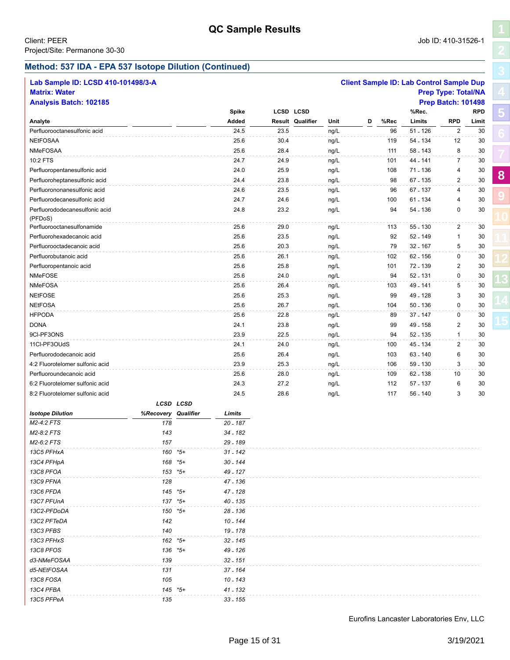**[5](#page-5-0)**

**[8](#page-11-0)**

**[9](#page-20-0)**

## **Method: 537 IDA - EPA 537 Isotope Dilution (Continued)**

| Lab Sample ID: LCSD 410-101498/3-A |                     |           |                     |      |                         |      |   |      | <b>Client Sample ID: Lab Control Sample Dup</b> |                            |            |
|------------------------------------|---------------------|-----------|---------------------|------|-------------------------|------|---|------|-------------------------------------------------|----------------------------|------------|
| <b>Matrix: Water</b>               |                     |           |                     |      |                         |      |   |      |                                                 | <b>Prep Type: Total/NA</b> |            |
| <b>Analysis Batch: 102185</b>      |                     |           |                     |      |                         |      |   |      |                                                 | <b>Prep Batch: 101498</b>  |            |
|                                    |                     |           | Spike               |      | <b>LCSD LCSD</b>        |      |   |      | %Rec.                                           |                            | <b>RPD</b> |
| Analyte                            |                     |           | Added               |      | <b>Result Qualifier</b> | Unit | D | %Rec | Limits                                          | <b>RPD</b>                 | Limit      |
| Perfluorooctanesulfonic acid       |                     |           | 24.5                | 23.5 |                         | ng/L |   | 96   | $51 - 126$                                      | $\overline{2}$             | 30         |
| <b>NEtFOSAA</b>                    |                     |           | 25.6                | 30.4 |                         | ng/L |   | 119  | 54 - 134                                        | 12                         | 30         |
| <b>NMeFOSAA</b>                    |                     |           | 25.6                | 28.4 |                         | ng/L |   | 111  | 58 - 143                                        | 8                          | 30         |
| 10:2 FTS                           |                     |           | 24.7                | 24.9 |                         | ng/L |   | 101  | 44 - 141                                        | $\overline{7}$             | 30         |
| Perfluoropentanesulfonic acid      |                     |           | 24.0                | 25.9 |                         | ng/L |   | 108  | 71 - 136                                        | 4                          | 30         |
| Perfluoroheptanesulfonic acid      |                     |           | 24.4                | 23.8 |                         | ng/L |   | 98   | 67 - 135                                        | $\overline{2}$             | 30         |
| Perfluorononanesulfonic acid       |                     |           | 24.6                | 23.5 |                         | ng/L |   | 96   | 67 - 137                                        | $\overline{4}$             | 30         |
| Perfluorodecanesulfonic acid       |                     |           | 24.7                | 24.6 |                         | ng/L |   | 100  | 61 - 134                                        | 4                          | 30         |
| Perfluorododecanesulfonic acid     |                     |           | 24.8                | 23.2 |                         | ng/L |   | 94   | 54 - 136                                        | 0                          | 30         |
| (PFDoS)                            |                     |           |                     |      |                         |      |   |      |                                                 |                            |            |
| Perfluorooctanesulfonamide         |                     |           | 25.6                | 29.0 |                         | ng/L |   | 113  | 55 - 130                                        | $\overline{2}$             | 30         |
| Perfluorohexadecanoic acid         |                     |           | 25.6                | 23.5 |                         | ng/L |   | 92   | 52 - 149                                        | $\mathbf{1}$               | 30         |
| Perfluorooctadecanoic acid         |                     |           | 25.6                | 20.3 |                         | ng/L |   | 79   | 32 - 167                                        | 5                          | 30         |
| Perfluorobutanoic acid             |                     |           | 25.6                | 26.1 |                         | ng/L |   | 102  | 62 - 156                                        | 0                          | 30         |
| Perfluoropentanoic acid            |                     |           | 25.6                | 25.8 |                         | ng/L |   | 101  | 72 - 139                                        | $\sqrt{2}$                 | 30         |
| NMeFOSE                            |                     |           | 25.6                | 24.0 |                         | ng/L |   | 94   | 52 - 131                                        | $\mathbf 0$                | 30         |
| <b>NMeFOSA</b>                     |                     |           | 25.6                | 26.4 |                         | ng/L |   | 103  | 49 - 141                                        | 5                          | 30         |
| <b>NEtFOSE</b>                     |                     |           | 25.6                | 25.3 |                         | ng/L |   | 99   | 49 - 128                                        | 3                          | 30         |
| <b>NEtFOSA</b>                     |                     |           | 25.6                | 26.7 |                         | ng/L |   | 104  | $50 - 136$                                      | $\mathbf 0$                | 30         |
| <b>HFPODA</b>                      |                     |           | 25.6                | 22.8 |                         | ng/L |   | 89   | 37 - 147                                        | 0                          | 30         |
| <b>DONA</b>                        |                     |           | 24.1                | 23.8 |                         | ng/L |   | 99   | 49 - 158                                        | $\overline{2}$             | 30         |
| 9CI-PF3ONS                         |                     |           | 23.9                | 22.5 |                         | ng/L |   | 94   | 52 - 135                                        | $\mathbf{1}$               | 30         |
| 11Cl-PF3OUdS                       |                     |           | 24.1                | 24.0 |                         | ng/L |   | 100  | 45 - 134                                        | $\overline{2}$             | 30         |
| Perfluorododecanoic acid           |                     |           | 25.6                | 26.4 |                         | ng/L |   | 103  | 63 - 140                                        | 6                          | 30         |
| 4:2 Fluorotelomer sulfonic acid    |                     |           | 23.9                | 25.3 |                         | ng/L |   | 106  | 59 - 130                                        | 3                          | 30         |
| Perfluoroundecanoic acid           |                     |           | 25.6                | 28.0 |                         | ng/L |   | 109  | 62 - 138                                        | 10                         | 30         |
| 6:2 Fluorotelomer sulfonic acid    |                     |           | 24.3                | 27.2 |                         | ng/L |   | 112  | 57 - 137                                        | 6                          | 30         |
| 8:2 Fluorotelomer sulfonic acid    |                     |           | 24.5                | 28.6 |                         | ng/L |   | 117  | 56 - 140                                        | 3                          | 30         |
|                                    |                     | LCSD LCSD |                     |      |                         |      |   |      |                                                 |                            |            |
| <b>Isotope Dilution</b>            | %Recovery Qualifier |           | Limits              |      |                         |      |   |      |                                                 |                            |            |
| M2-4:2 FTS                         | 178                 |           | $20 - 187$          |      |                         |      |   |      |                                                 |                            |            |
| M2-8:2 FTS                         | 143                 |           | 34 - 182            |      |                         |      |   |      |                                                 |                            |            |
| M2-6:2 FTS                         | 157                 |           | 29 - 189            |      |                         |      |   |      |                                                 |                            |            |
| 13C5 PFHxA                         | 160                 | *5+       | 31 <sub>-</sub> 142 |      |                         |      |   |      |                                                 |                            |            |
| 13C4 PFHpA                         | 168                 | *5+       | 30 - 144            |      |                         |      |   |      |                                                 |                            |            |
| 13C8 PFOA                          |                     | $153$ *5+ | 49 - 127            |      |                         |      |   |      |                                                 |                            |            |
| 13C9 PFNA                          | 128                 |           | 47 - 136            |      |                         |      |   |      |                                                 |                            |            |
| 13C6 PFDA                          |                     | 145 *5+   | 47 - 128            |      |                         |      |   |      |                                                 |                            |            |
| 13C7 PFUnA                         |                     | 137 *5+   | 40 - 135            |      |                         |      |   |      |                                                 |                            |            |
| 13C2-PFDoDA                        |                     | 150 *5+   | 28 - 136            |      |                         |      |   |      |                                                 |                            |            |
| 13C2 PFTeDA                        | 142                 |           | 10 - 144            |      |                         |      |   |      |                                                 |                            |            |
| 13C3 PFBS                          | 140                 |           | 19 - 178            |      |                         |      |   |      |                                                 |                            |            |
| 13C3 PFHxS                         |                     | 162 *5+   | 32 - 145            |      |                         |      |   |      |                                                 |                            |            |
| 13C8 PFOS                          |                     | 136 *5+   | 49 - 126            |      |                         |      |   |      |                                                 |                            |            |
| d3-NMeFOSAA                        | 139                 |           | $32 - 151$          |      |                         |      |   |      |                                                 |                            |            |
| d5-NEtFOSAA                        | 131                 |           | 37 - 164            |      |                         |      |   |      |                                                 |                            |            |
| 13C8 FOSA                          | 105                 |           | 10 - 143            |      |                         |      |   |      |                                                 |                            |            |
| 13C4 PFBA                          |                     | 145 *5+   | 41 - 132            |      |                         |      |   |      |                                                 |                            |            |
| 13C5 PFPeA                         | 135                 |           | $33 - 155$          |      |                         |      |   |      |                                                 |                            |            |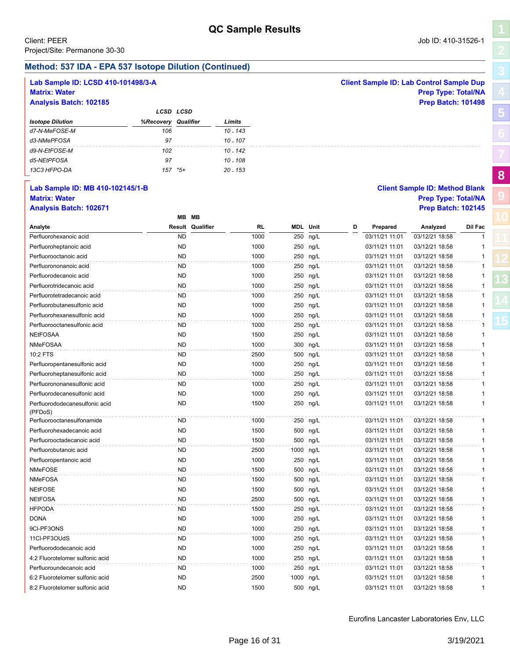**Method: 537 IDA - EPA 537 Isotope Dilution (Continued)**

| Lab Sample ID: LCSD 410-101498/3-A |           |                         |            |      |           |                 |   |                | <b>Client Sample ID: Lab Control Sample Dup</b> |              |
|------------------------------------|-----------|-------------------------|------------|------|-----------|-----------------|---|----------------|-------------------------------------------------|--------------|
| <b>Matrix: Water</b>               |           |                         |            |      |           |                 |   |                | <b>Prep Type: Total/NA</b>                      |              |
| <b>Analysis Batch: 102185</b>      |           |                         |            |      |           |                 |   |                | <b>Prep Batch: 101498</b>                       |              |
|                                    |           | LCSD LCSD               |            |      |           |                 |   |                |                                                 |              |
| <b>Isotope Dilution</b>            | %Recovery | Qualifier               | Limits     |      |           |                 |   |                |                                                 |              |
| d7-N-MeFOSE-M                      | 106       |                         | $10 - 143$ |      |           |                 |   |                |                                                 |              |
| d3-NMePFOSA                        | 97        |                         | $10 - 107$ |      |           |                 |   |                |                                                 |              |
|                                    |           |                         |            |      |           |                 |   |                |                                                 |              |
| d9-N-EtFOSE-M                      | 102       |                         | $10 - 142$ |      |           |                 |   |                |                                                 |              |
| d5-NEtPFOSA                        | 97        |                         | $10 - 108$ |      |           |                 |   |                |                                                 |              |
| 13C3 HFPO-DA                       | $157$ *5+ |                         | $20 - 153$ |      |           |                 |   |                |                                                 |              |
| Lab Sample ID: MB 410-102145/1-B   |           |                         |            |      |           |                 |   |                | <b>Client Sample ID: Method Blank</b>           |              |
| <b>Matrix: Water</b>               |           |                         |            |      |           |                 |   |                | <b>Prep Type: Total/NA</b>                      |              |
|                                    |           |                         |            |      |           |                 |   |                |                                                 |              |
| <b>Analysis Batch: 102671</b>      |           | MB MB                   |            |      |           |                 |   |                | <b>Prep Batch: 102145</b>                       |              |
|                                    |           |                         |            |      |           |                 |   |                |                                                 |              |
| Analyte                            |           | <b>Result Qualifier</b> |            | RL   |           | <b>MDL</b> Unit | D | Prepared       | Analyzed                                        | Dil Fac      |
| Perfluorohexanoic acid             |           | <b>ND</b>               |            | 1000 |           | 250 ng/L        |   | 03/11/21 11:01 | 03/12/21 18:58                                  | $\mathbf{1}$ |
| Perfluoroheptanoic acid            |           | <b>ND</b>               |            | 1000 |           | 250 ng/L        |   | 03/11/21 11:01 | 03/12/21 18:58                                  | 1            |
| Perfluorooctanoic acid             |           | <b>ND</b>               |            | 1000 |           | 250 ng/L        |   | 03/11/21 11:01 | 03/12/21 18:58                                  | $\mathbf{1}$ |
| Perfluorononanoic acid             |           | ND                      |            | 1000 |           | 250 ng/L        |   | 03/11/21 11:01 | 03/12/21 18:58                                  | 1            |
| Perfluorodecanoic acid             |           | <b>ND</b>               |            | 1000 |           | 250 ng/L        |   | 03/11/21 11:01 | 03/12/21 18:58                                  | 1            |
| Perfluorotridecanoic acid          |           | <b>ND</b>               |            | 1000 |           | 250 ng/L        |   | 03/11/21 11:01 | 03/12/21 18:58                                  | $\mathbf{1}$ |
| Perfluorotetradecanoic acid        |           | ND                      |            | 1000 |           | 250 ng/L        |   | 03/11/21 11:01 | 03/12/21 18:58                                  | 1            |
| Perfluorobutanesulfonic acid       |           | <b>ND</b>               |            | 1000 |           | 250 ng/L        |   | 03/11/21 11:01 | 03/12/21 18:58                                  | 1            |
| Perfluorohexanesulfonic acid       |           | <b>ND</b>               |            | 1000 |           | 250 ng/L        |   | 03/11/21 11:01 | 03/12/21 18:58                                  | 1            |
| Perfluorooctanesulfonic acid       |           | ND                      |            | 1000 |           | 250 ng/L        |   | 03/11/21 11:01 | 03/12/21 18:58                                  | 1            |
| <b>NEtFOSAA</b>                    |           | <b>ND</b>               |            | 1500 |           | 250 ng/L        |   | 03/11/21 11:01 | 03/12/21 18:58                                  | 1            |
| <b>NMeFOSAA</b>                    |           | <b>ND</b>               |            | 1000 |           | 300 ng/L        |   | 03/11/21 11:01 | 03/12/21 18:58                                  | $\mathbf{1}$ |
| 10:2 FTS                           |           | <b>ND</b>               |            | 2500 |           | 500 ng/L        |   | 03/11/21 11:01 | 03/12/21 18:58                                  | $\mathbf{1}$ |
| Perfluoropentanesulfonic acid      |           | <b>ND</b>               |            | 1000 |           | 250 ng/L        |   | 03/11/21 11:01 | 03/12/21 18:58                                  | 1            |
| Perfluoroheptanesulfonic acid      |           | <b>ND</b>               |            | 1000 |           | 250 ng/L        |   | 03/11/21 11:01 | 03/12/21 18:58                                  | $\mathbf{1}$ |
| Perfluorononanesulfonic acid       |           | ND.                     |            | 1000 |           | 250 ng/L        |   | 03/11/21 11:01 | 03/12/21 18:58                                  | 1            |
| Perfluorodecanesulfonic acid       |           | ND.                     |            | 1000 |           | 250 ng/L        |   | 03/11/21 11:01 | 03/12/21 18:58                                  | 1            |
| Perfluorododecanesulfonic acid     |           | <b>ND</b>               |            | 1500 |           | 250 ng/L        |   | 03/11/21 11:01 | 03/12/21 18:58                                  | $\mathbf{1}$ |
| (PFDoS)                            |           |                         |            |      |           |                 |   |                |                                                 |              |
| Perfluorooctanesulfonamide         |           | ND                      |            | 1000 |           | 250 ng/L        |   | 03/11/21 11:01 | 03/12/21 18:58                                  | 1            |
| Perfluorohexadecanoic acid         |           | <b>ND</b>               |            | 1500 |           | 500 ng/L        |   | 03/11/21 11:01 | 03/12/21 18:58                                  | 1            |
| Perfluorooctadecanoic acid         |           | ND.                     |            | 1500 |           | 500 ng/L        |   | 03/11/21 11:01 | 03/12/21 18:58                                  | 1            |
| Perfluorobutanoic acid             |           | ND.                     |            | 2500 | 1000 ng/L |                 |   | 03/11/21 11:01 | 03/12/21 18:58                                  |              |
|                                    |           |                         |            |      |           |                 |   |                |                                                 |              |
| Perfluoropentanoic acid            |           | ND                      |            | 1000 |           | 250 ng/L        |   | 03/11/21 11:01 | 03/12/21 18:58                                  |              |
| NMeFOSE                            |           | <b>ND</b>               |            | 1500 |           | 500 ng/L        |   | 03/11/21 11:01 | 03/12/21 18:58                                  | 1            |
| NMeFOSA                            |           | ND                      |            | 1500 |           | 500 ng/L        |   | 03/11/21 11:01 | 03/12/21 18:58                                  | 1            |
| <b>NEtFOSE</b>                     |           | <b>ND</b>               |            | 1500 |           | 500 ng/L        |   | 03/11/21 11:01 | 03/12/21 18:58                                  | 1            |
| <b>NEtFOSA</b>                     |           | ND                      |            | 2500 |           | 500 ng/L        |   | 03/11/21 11:01 | 03/12/21 18:58                                  | 1            |
| <b>HFPODA</b>                      |           | ND                      |            | 1500 |           | 250 ng/L        |   | 03/11/21 11:01 | 03/12/21 18:58                                  | 1            |
| <b>DONA</b>                        |           | ND                      |            | 1000 |           | 250 ng/L        |   | 03/11/21 11:01 | 03/12/21 18:58                                  | 1            |
| 9CI-PF3ONS                         |           | ND                      |            | 1000 |           | 250 ng/L        |   | 03/11/21 11:01 | 03/12/21 18:58                                  | 1            |
| 11Cl-PF3OUdS                       |           | ND                      |            | 1000 |           | 250 ng/L        |   | 03/11/21 11:01 | 03/12/21 18:58                                  | 1            |
| Perfluorododecanoic acid           |           | ND                      |            | 1000 |           | 250 ng/L        |   | 03/11/21 11:01 | 03/12/21 18:58                                  |              |
| 4:2 Fluorotelomer sulfonic acid    |           | ND                      |            | 1000 |           | 250 ng/L        |   | 03/11/21 11:01 | 03/12/21 18:58                                  |              |
| Perfluoroundecanoic acid           |           | ND                      |            | 1000 |           | 250 ng/L        |   | 03/11/21 11:01 | 03/12/21 18:58                                  | 1            |
| 6:2 Fluorotelomer sulfonic acid    |           | ND                      |            | 2500 |           | 1000 ng/L       |   | 03/11/21 11:01 | 03/12/21 18:58                                  | 1            |
| 8:2 Fluorotelomer sulfonic acid    |           | <b>ND</b>               |            | 1500 |           | 500 ng/L        |   | 03/11/21 11:01 | 03/12/21 18:58                                  | 1            |

**[5](#page-5-0)**

**[8](#page-11-0)**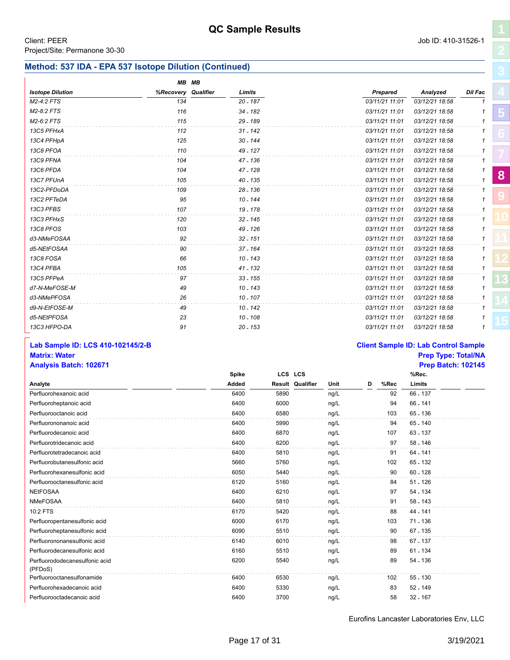### **Method: 537 IDA - EPA 537 Isotope Dilution (Continued)**

|                         | MB MB               |            |                |                |         |  |
|-------------------------|---------------------|------------|----------------|----------------|---------|--|
| <b>Isotope Dilution</b> | %Recovery Qualifier | Limits     | Prepared       | Analyzed       | Dil Fac |  |
| M2-4:2 FTS              | 134                 | $20 - 187$ | 03/11/21 11:01 | 03/12/21 18:58 |         |  |
| M2-8:2 FTS              | 116                 | 34 - 182   | 03/11/21 11:01 | 03/12/21 18:58 |         |  |
| M2-6:2 FTS              | 115                 | $29 - 189$ | 03/11/21 11:01 | 03/12/21 18:58 |         |  |
| 13C5 PFHxA              | 112                 | $31 - 142$ | 03/11/21 11:01 | 03/12/21 18:58 |         |  |
| 13C4 PFHpA              | 125                 | $30 - 144$ | 03/11/21 11:01 | 03/12/21 18:58 |         |  |
| 13C8 PFOA               | 110                 | 49 - 127   | 03/11/21 11:01 | 03/12/21 18:58 |         |  |
| 13C9 PFNA               | 104                 | 47 - 136   | 03/11/21 11:01 | 03/12/21 18:58 |         |  |
| 13C6 PFDA               | 104                 | 47 - 128   | 03/11/21 11:01 | 03/12/21 18:58 |         |  |
| 13C7 PFUnA              | 105                 | 40 - 135   | 03/11/21 11:01 | 03/12/21 18:58 |         |  |
| 13C2-PFDoDA             | 109                 | $28 - 136$ | 03/11/21 11:01 | 03/12/21 18:58 |         |  |
| 13C2 PFTeDA             | 95                  | $10 - 144$ | 03/11/21 11:01 | 03/12/21 18:58 |         |  |
| 13C3 PFBS               | 107                 | 19 - 178   | 03/11/21 11:01 | 03/12/21 18:58 |         |  |
| 13C3 PFHxS              | 120                 | $32 - 145$ | 03/11/21 11:01 | 03/12/21 18:58 |         |  |
| 13C8 PFOS               | 103                 | 49 - 126   | 03/11/21 11:01 | 03/12/21 18:58 |         |  |
| d3-NMeFOSAA             | 92                  | $32 - 151$ | 03/11/21 11:01 | 03/12/21 18:58 |         |  |
| d5-NEtFOSAA             | 90                  | $37 - 164$ | 03/11/21 11:01 | 03/12/21 18:58 |         |  |
| 13C8 FOSA               | 66                  | $10 - 143$ | 03/11/21 11:01 | 03/12/21 18:58 |         |  |
| 13C4 PFBA               | 105                 | $41 - 132$ | 03/11/21 11:01 | 03/12/21 18:58 |         |  |
| 13C5 PFPeA              | 97                  | $33 - 155$ | 03/11/21 11:01 | 03/12/21 18:58 |         |  |
| d7-N-MeFOSE-M           | 49                  | $10 - 143$ | 03/11/21 11:01 | 03/12/21 18:58 |         |  |
| d3-NMePFOSA             | 26                  | $10 - 107$ | 03/11/21 11:01 | 03/12/21 18:58 |         |  |
| d9-N-EtFOSE-M           | 49                  | $10 - 142$ | 03/11/21 11:01 | 03/12/21 18:58 |         |  |
| d5-NEtPFOSA             | 23                  | 10 - 108   | 03/11/21 11:01 | 03/12/21 18:58 |         |  |
| 13C3 HFPO-DA            | 91                  | $20 - 153$ | 03/11/21 11:01 | 03/12/21 18:58 |         |  |

### **Lab Sample ID: LCS 410-102145/2-B Client Sample ID: Lab Control Sample Matrix: Water Prep Type: Total/NA**

### **Analysis Batch: 102671 Prep Batch: 102145** Perfluorohexanoic acid 6400 6400 5890 ng/L 92 66 - 137 **Analyte LCS LCS Result Qualifier Unit D %Rec Spike Added %Rec. Limits** Perfluoroheptanoic acid and the content of the content of the content of the content of the content of the content of the content of the content of the content of the content of the content of the content of the content of Perfluorooctanoic acid acid accords acid accords to the contract of the contract of the 6400 6580 ng/L 103 65 - 136 Perfluorononanoic acid active active active active active active active active active behavior of the contract of the 65 - 140 m  $6400$  and  $6400$  5990 m  $19/$ L 94 65 - 140 Perfluorodecanoic acid acid acid control control of the control of the 6400 control of the formula of the 63 - 137 control of the 63 - 137 control of the formula of the formula of the formula of the formula of the formula Perfluorotridecanoic acid and the control of the control of the 6400 6200 ng/L 97 58 - 146 Perfluorotetradecanoic acid and the content of the content of the 6400 6810 ng/L 91 64 - 141 Perfluorobutanesulfonic acid and the state of the state of the state of the state of the state of the state of the state of the state of the state of the state of the state of the state of the state of the state of the sta Perfluorohexanesulfonic acid acid according to the control of the 6050 60-128 ng/L 90 60 - 128 Perfluorooctanesulfonic acid 6120 5160 ng/L 84 51 - 126 NEtFOSAA 6400 6210 ng/L 97 54 - 134 NMeFOSAA 6400 5810 ng/L 91 58 - 143 10:2 FTS 6170 5420 ng/L 88 44 - 141 Perfluoropentanesulfonic acid according to the control of the control of the 6000 6170 ng/L 103 71 - 136 Perfluoroheptanesulfonic acid acid according to the context of the context of the context of the context of the context of the context of the context of the context of the context of the context of the context of the conte Perfluorononanesulfonic acid acid according to the control of the 6140 6010 ng/L 98 67 - 137 Perfluorodecanesulfonic acid acid according to the control of the 6160 6160 of the fluorodecanesulfonic acid 61 - 134 Perfluorododecanesulfonic acid (PFDoS) 6200 5540 ng/L 89 54 - 136 Perfluorooctanesulfonamide and the content of the content of the 6400 content of the formula to the formula of the formula of the formula of the formula of the formula of the formula of the formula of the formula of the fo Perfluorohexadecanoic acid **6400** 5330 ng/L 83 52 - 149 Perfluorooctadecanoic acid and the control of the control of the 6400 control of the control of the 32 - 167 control of the control of the control of the control of the control of the control of the control of the control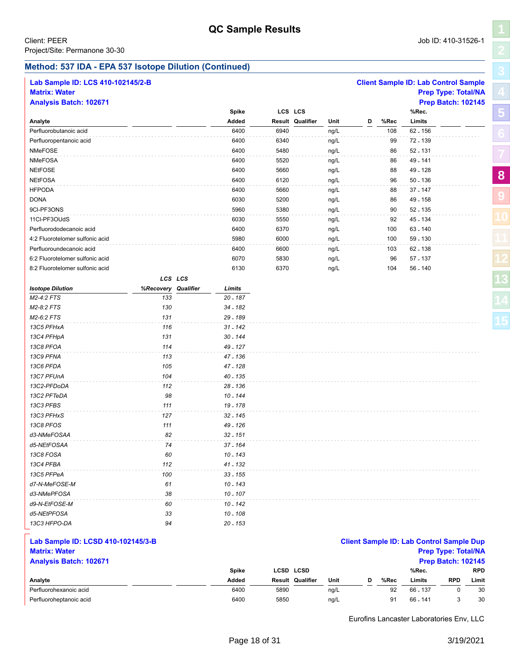Perfluorohexanoic acid

Perfluoroheptanoic acid

**[5](#page-5-0)**

**[8](#page-11-0)**

**[9](#page-20-0)**

### **Method: 537 IDA - EPA 537 Isotope Dilution (Continued)**

| Lab Sample ID: LCS 410-102145/2-B  |                     |  |              |      |                  |      |   |      | <b>Client Sample ID: Lab Control Sample</b>     |                            |
|------------------------------------|---------------------|--|--------------|------|------------------|------|---|------|-------------------------------------------------|----------------------------|
| <b>Matrix: Water</b>               |                     |  |              |      |                  |      |   |      |                                                 | <b>Prep Type: Total/NA</b> |
| <b>Analysis Batch: 102671</b>      |                     |  |              |      |                  |      |   |      |                                                 | <b>Prep Batch: 102145</b>  |
|                                    |                     |  | <b>Spike</b> |      | LCS LCS          |      |   |      | %Rec.                                           |                            |
| Analyte                            |                     |  | Added        |      | Result Qualifier | Unit | D | %Rec | Limits                                          |                            |
| Perfluorobutanoic acid             |                     |  | 6400         | 6940 |                  | ng/L |   | 108  | 62 - 156                                        |                            |
| Perfluoropentanoic acid            |                     |  | 6400         | 6340 |                  | ng/L |   | 99   | 72 - 139                                        |                            |
| <b>NMeFOSE</b>                     |                     |  | 6400         | 5480 |                  | ng/L |   | 86   | 52 - 131                                        |                            |
| <b>NMeFOSA</b>                     |                     |  | 6400         | 5520 |                  | ng/L |   | 86   | 49 - 141                                        |                            |
| <b>NEtFOSE</b>                     |                     |  | 6400         | 5660 |                  | ng/L |   | 88   | 49 - 128                                        |                            |
| <b>NEtFOSA</b>                     |                     |  | 6400         | 6120 |                  | ng/L |   | 96   | $50 - 136$                                      |                            |
| <b>HFPODA</b>                      |                     |  | 6400         | 5660 |                  | ng/L |   | 88   | 37 - 147                                        |                            |
| <b>DONA</b>                        |                     |  | 6030         | 5200 |                  | ng/L |   | 86   | 49 - 158                                        |                            |
| 9CI-PF3ONS                         |                     |  | 5960         | 5380 |                  | ng/L |   | 90   | 52 - 135                                        |                            |
| 11Cl-PF3OUdS                       |                     |  | 6030         | 5550 |                  | ng/L |   | 92   | 45 - 134                                        |                            |
| Perfluorododecanoic acid           |                     |  | 6400         | 6370 |                  | ng/L |   | 100  | 63 - 140                                        |                            |
| 4:2 Fluorotelomer sulfonic acid    |                     |  | 5980         | 6000 |                  | ng/L |   | 100  | 59 - 130                                        |                            |
| Perfluoroundecanoic acid           |                     |  | 6400         | 6600 |                  | ng/L |   | 103  | 62 - 138                                        |                            |
| 6:2 Fluorotelomer sulfonic acid    |                     |  | 6070         | 5830 |                  | ng/L |   | 96   | 57 - 137                                        |                            |
| 8:2 Fluorotelomer sulfonic acid    |                     |  | 6130         | 6370 |                  | ng/L |   | 104  | 56 - 140                                        |                            |
|                                    | LCS LCS             |  |              |      |                  |      |   |      |                                                 |                            |
| <b>Isotope Dilution</b>            | %Recovery Qualifier |  | Limits       |      |                  |      |   |      |                                                 |                            |
| M2-4:2 FTS                         | 133                 |  | 20 - 187     |      |                  |      |   |      |                                                 |                            |
| M2-8:2 FTS                         | 130                 |  | 34 - 182     |      |                  |      |   |      |                                                 |                            |
| M2-6:2 FTS                         | 131                 |  | 29 - 189     |      |                  |      |   |      |                                                 |                            |
| 13C5 PFHxA                         | 116                 |  | $31 - 142$   |      |                  |      |   |      |                                                 |                            |
| 13C4 PFHpA                         | 131                 |  | 30 - 144     |      |                  |      |   |      |                                                 |                            |
| 13C8 PFOA                          | 114                 |  | 49 - 127     |      |                  |      |   |      |                                                 |                            |
| 13C9 PFNA                          | 113                 |  | 47 - 136     |      |                  |      |   |      |                                                 |                            |
| 13C6 PFDA                          | 105                 |  | 47 - 128     |      |                  |      |   |      |                                                 |                            |
| 13C7 PFUnA                         | 104                 |  | 40 - 135     |      |                  |      |   |      |                                                 |                            |
| 13C2-PFDoDA                        | 112                 |  | 28 - 136     |      |                  |      |   |      |                                                 |                            |
| 13C2 PFTeDA                        | 98                  |  | 10 - 144     |      |                  |      |   |      |                                                 |                            |
| 13C3 PFBS                          | 111                 |  | 19 - 178     |      |                  |      |   |      |                                                 |                            |
| 13C3 PFHxS                         | 127                 |  | 32 - 145     |      |                  |      |   |      |                                                 |                            |
| 13C8 PFOS                          | 111                 |  | 49 - 126     |      |                  |      |   |      |                                                 |                            |
| d3-NMeFOSAA                        | 82                  |  | $32 - 151$   |      |                  |      |   |      |                                                 |                            |
| d5-NEtFOSAA                        | 74                  |  | 37 - 164     |      |                  |      |   |      |                                                 |                            |
| 13C8 FOSA                          | 60                  |  | 10 - 143     |      |                  |      |   |      |                                                 |                            |
| 13C4 PFBA                          | 112                 |  | 41 - 132     |      |                  |      |   |      |                                                 |                            |
| 13C5 PFPeA                         | 100                 |  | $33 - 155$   |      |                  |      |   |      |                                                 |                            |
| d7-N-MeFOSE-M                      | 61                  |  | $10 - 143$   |      |                  |      |   |      |                                                 |                            |
| d3-NMePFOSA                        | 38                  |  | $10 - 107$   |      |                  |      |   |      |                                                 |                            |
| d9-N-EtFOSE-M                      | 60                  |  | $10 - 142$   |      |                  |      |   |      |                                                 |                            |
| d5-NEtPFOSA                        | 33                  |  | 10 - 108     |      |                  |      |   |      |                                                 |                            |
| 13C3 HFPO-DA                       | 94                  |  | $20 - 153$   |      |                  |      |   |      |                                                 |                            |
|                                    |                     |  |              |      |                  |      |   |      |                                                 |                            |
| Lab Sample ID: LCSD 410-102145/3-B |                     |  |              |      |                  |      |   |      | <b>Client Sample ID: Lab Control Sample Dup</b> |                            |
| <b>Matrix: Water</b>               |                     |  |              |      |                  |      |   |      | <b>Prep Type: Total/NA</b>                      |                            |
| <b>Analysis Batch: 102671</b>      |                     |  |              |      |                  |      |   |      |                                                 | <b>Prep Batch: 102145</b>  |
|                                    |                     |  | <b>Spike</b> |      | LCSD LCSD        |      |   |      | %Rec.                                           | <b>RPD</b>                 |
| Analyte                            |                     |  | Added        |      | Result Qualifier | Unit | D | %Rec | Limits                                          | <b>RPD</b><br>Limit        |

| 6400 | 5890 | ng/L | 92 | 66 - 137 0  | - 30 |
|------|------|------|----|-------------|------|
| 6400 | 5850 | ng/L |    | 91 66 141 3 | - 30 |
|      |      |      |    |             |      |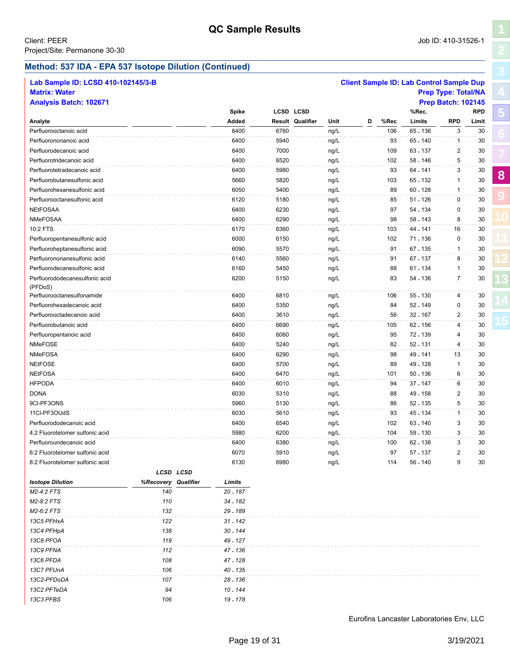**[5](#page-5-0)**

**[8](#page-11-0)**

**[9](#page-20-0)**

# **Method: 537 IDA - EPA 537 Isotope Dilution (Continued)**

*13C3 PFBS 106 19 - 178*

| Lab Sample ID: LCSD 410-102145/3-B |                     |            |      |                         |      |   |      | <b>Client Sample ID: Lab Control Sample Dup</b> |                            |            |
|------------------------------------|---------------------|------------|------|-------------------------|------|---|------|-------------------------------------------------|----------------------------|------------|
| <b>Matrix: Water</b>               |                     |            |      |                         |      |   |      |                                                 | <b>Prep Type: Total/NA</b> |            |
| <b>Analysis Batch: 102671</b>      |                     |            |      |                         |      |   |      |                                                 | <b>Prep Batch: 102145</b>  |            |
|                                    |                     | Spike      |      | <b>LCSD LCSD</b>        |      |   |      | %Rec.                                           |                            | <b>RPD</b> |
| Analyte                            |                     | Added      |      | <b>Result Qualifier</b> | Unit | D | %Rec | Limits                                          | <b>RPD</b>                 | Limit      |
| Perfluorooctanoic acid             |                     | 6400       | 6760 |                         | ng/L |   | 106  | 65 - 136                                        | 3                          | 30         |
| Perfluorononanoic acid             |                     | 6400       | 5940 |                         | ng/L |   | 93   | 65 - 140                                        | 1                          | 30         |
| Perfluorodecanoic acid             |                     | 6400       | 7000 |                         | ng/L |   | 109  | 63 - 137                                        | $\overline{2}$             | 30         |
| Perfluorotridecanoic acid          |                     | 6400       | 6520 |                         | ng/L |   | 102  | 58 - 146                                        | 5                          | 30         |
| Perfluorotetradecanoic acid        |                     | 6400       | 5980 |                         | ng/L |   | 93   | 64 - 141                                        | 3                          | 30         |
| Perfluorobutanesulfonic acid       |                     | 5660       | 5820 |                         | ng/L |   | 103  | 65 - 132                                        | 1                          | 30         |
| Perfluorohexanesulfonic acid       |                     | 6050       | 5400 |                         | ng/L |   | 89   | $60 - 128$                                      | 1                          | 30         |
| Perfluorooctanesulfonic acid       |                     | 6120       | 5180 |                         | ng/L |   | 85   | 51 - 126                                        | 0                          | 30         |
| <b>NEtFOSAA</b>                    |                     | 6400       | 6230 |                         | ng/L |   | 97   | 54 - 134                                        | 0                          | 30         |
| <b>NMeFOSAA</b>                    |                     | 6400       | 6290 |                         | ng/L |   | 98   | 58 - 143                                        | 8                          | 30         |
| 10:2 FTS                           |                     | 6170       | 6360 |                         | ng/L |   | 103  | 44 - 141                                        | 16                         | 30         |
| Perfluoropentanesulfonic acid      |                     | 6000       | 6150 |                         | ng/L |   | 102  | 71 - 136                                        | 0                          | 30         |
| Perfluoroheptanesulfonic acid      |                     | 6090       | 5570 |                         | ng/L |   | 91   | 67 - 135                                        | $\mathbf{1}$               | 30         |
| Perfluorononanesulfonic acid       |                     | 6140       | 5560 |                         | ng/L |   | 91   | 67 - 137                                        | 8                          | 30         |
| Perfluorodecanesulfonic acid       |                     | 6160       | 5450 |                         | ng/L |   | 88   | 61 - 134                                        | 1                          | 30         |
| Perfluorododecanesulfonic acid     |                     | 6200       | 5150 |                         | ng/L |   | 83   | 54 - 136                                        | 7                          | 30         |
| (PFDoS)                            |                     |            |      |                         |      |   |      |                                                 |                            |            |
| Perfluorooctanesulfonamide         |                     | 6400       | 6810 |                         | ng/L |   | 106  | 55 - 130                                        | 4                          | 30         |
| Perfluorohexadecanoic acid         |                     | 6400       | 5350 |                         | ng/L |   | 84   | $52 - 149$                                      | 0                          | 30         |
| Perfluorooctadecanoic acid         |                     | 6400       | 3610 |                         | ng/L |   | 56   | $32 - 167$                                      | 2                          | 30         |
| Perfluorobutanoic acid             |                     | 6400       | 6690 |                         | ng/L |   | 105  | 62 - 156                                        | $\overline{4}$             | 30         |
| Perfluoropentanoic acid            |                     | 6400       | 6060 |                         | ng/L |   | 95   | 72 - 139                                        | 4                          | 30         |
| NMeFOSE                            |                     | 6400       | 5240 |                         | ng/L |   | 82   | 52 - 131                                        | $\overline{\mathbf{4}}$    | 30         |
| <b>NMeFOSA</b>                     |                     | 6400       | 6290 |                         | ng/L |   | 98   | 49 - 141                                        | 13                         | 30         |
| <b>NEtFOSE</b>                     |                     | 6400       | 5700 |                         | ng/L |   | 89   | 49 - 128                                        | $\mathbf{1}$               | 30         |
| <b>NEtFOSA</b>                     |                     | 6400       | 6470 |                         | ng/L |   | 101  | 50 - 136                                        | 6                          | 30         |
| <b>HFPODA</b>                      |                     | 6400       | 6010 |                         | ng/L |   | 94   | 37 - 147                                        | 6                          | 30         |
| <b>DONA</b>                        |                     | 6030       | 5310 |                         | ng/L |   | 88   | 49 - 158                                        | 2                          | 30         |
| 9CI-PF3ONS                         |                     | 5960       | 5130 |                         | ng/L |   | 86   | 52 - 135                                        | 5                          | 30         |
| 11Cl-PF3OUdS                       |                     | 6030       | 5610 |                         | ng/L |   | 93   | 45 - 134                                        | 1                          | 30         |
| Perfluorododecanoic acid           |                     | 6400       | 6540 |                         | ng/L |   | 102  | 63 - 140                                        | 3                          | 30         |
| 4:2 Fluorotelomer sulfonic acid    |                     | 5980       | 6200 |                         | ng/L |   | 104  | 59 - 130                                        | 3                          | 30         |
| Perfluoroundecanoic acid           |                     | 6400       | 6380 |                         | ng/L |   | 100  | 62 - 138                                        | 3                          | 30         |
| 6:2 Fluorotelomer sulfonic acid    |                     | 6070       | 5910 |                         | ng/L |   | 97   | 57 - 137                                        | 2                          | 30         |
| 8:2 Fluorotelomer sulfonic acid    |                     | 6130       | 6980 |                         | ng/L |   | 114  | 56 - 140                                        | 9                          | 30         |
|                                    | LCSD LCSD           |            |      |                         |      |   |      |                                                 |                            |            |
| <b>Isotope Dilution</b>            | %Recovery Qualifier | Limits     |      |                         |      |   |      |                                                 |                            |            |
| M2-4:2 FTS                         | 140                 | $20 - 187$ |      |                         |      |   |      |                                                 |                            |            |
| M2-8:2 FTS                         | 110                 | 34 - 182   |      |                         |      |   |      |                                                 |                            |            |
| M2-6:2 FTS                         | 132                 | 29 - 189   |      |                         |      |   |      |                                                 |                            |            |
| 13C5 PFHxA                         | 122                 | $31 - 142$ |      |                         |      |   |      |                                                 |                            |            |
| 13C4 PFHpA                         | 138                 | $30 - 144$ |      |                         |      |   |      |                                                 |                            |            |
| 13C8 PFOA                          | 119                 | 49 - 127   |      |                         |      |   |      |                                                 |                            |            |
| 13C9 PFNA                          | 112                 | 47 - 136   |      |                         |      |   |      |                                                 |                            |            |
| 13C6 PFDA                          | 108                 | 47 - 128   |      |                         |      |   |      |                                                 |                            |            |
| 13C7 PFUnA                         | 106                 | 40 - 135   |      |                         |      |   |      |                                                 |                            |            |
| 13C2-PFDoDA                        | 107                 | 28 - 136   |      |                         |      |   |      |                                                 |                            |            |
| 13C2 PFTeDA                        | 94                  | $10 - 144$ |      |                         |      |   |      |                                                 |                            |            |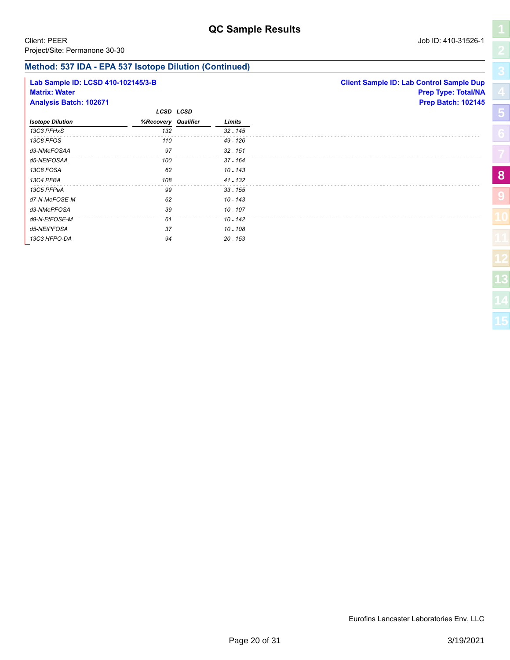### **Method: 537 IDA - EPA 537 Isotope Dilution (Continued)**

| Lab Sample ID: LCSD 410-102145/3-B<br><b>Matrix: Water</b><br><b>Analysis Batch: 102671</b> |                     |           |            | <b>Client Sample ID: Lab Control Sample Dup</b><br><b>Prep Type: Total/NA</b><br><b>Prep Batch: 102145</b> |
|---------------------------------------------------------------------------------------------|---------------------|-----------|------------|------------------------------------------------------------------------------------------------------------|
|                                                                                             |                     | LCSD LCSD |            |                                                                                                            |
| <b>Isotope Dilution</b>                                                                     | %Recovery Qualifier |           | Limits     |                                                                                                            |
| 13C3 PFHxS                                                                                  | 132                 |           | $32 - 145$ |                                                                                                            |
| 13C8 PFOS                                                                                   | 110                 |           | 49 - 126   |                                                                                                            |
| d3-NMeFOSAA                                                                                 | 97                  |           | $32 - 151$ |                                                                                                            |
| d5-NEtFOSAA                                                                                 | 100                 |           | 37 - 164   |                                                                                                            |
| 13C8 FOSA                                                                                   | 62                  |           | $10 - 143$ |                                                                                                            |
| 13C4 PFBA                                                                                   | 108                 |           | $41 - 132$ |                                                                                                            |
| 13C5 PFPeA                                                                                  | 99                  |           | $33 - 155$ |                                                                                                            |
| d7-N-MeFOSE-M                                                                               | 62                  |           | 10 - 143   |                                                                                                            |
| d3-NMePFOSA                                                                                 | 39                  |           | $10 - 107$ |                                                                                                            |
| d9-N-EtFOSE-M                                                                               | 61                  |           | 10 - 142   |                                                                                                            |
| d5-NEtPFOSA                                                                                 | 37                  |           | $10 - 108$ |                                                                                                            |
| 13C3 HFPO-DA                                                                                | 94                  |           | $20 - 153$ |                                                                                                            |
|                                                                                             |                     |           |            |                                                                                                            |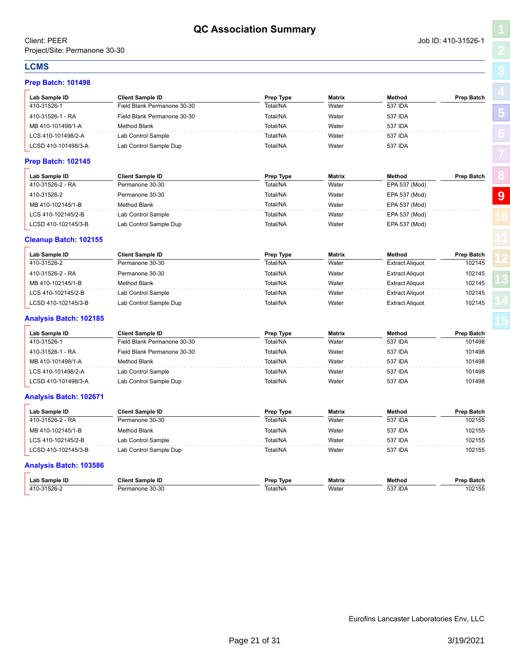410-31526-1 Field Blank Permanone 30-30 Total/NA Water 537 IDA 410-31526-1 - RA Field Blank Permanone 30-30 Total/NA Water 537 IDA MB 410-101498/1-A Method Blank Total/NA Water 537 IDA LCS 410-101498/2-A Lab Control Sample Control Sample Total/NA Water 537 IDA LCSD 410-101498/3-A Lab Control Sample Dup Total/NA Water 9537 IDA

| Lab Sample ID                | <b>Client Sample ID</b>     | Prep Type | <b>Matrix</b> | Method                 | <b>Prep Batch</b> |
|------------------------------|-----------------------------|-----------|---------------|------------------------|-------------------|
| 410-31526-2 - RA             | Permanone 30-30             | Total/NA  | Water         | EPA 537 (Mod)          |                   |
| 410-31526-2                  | Permanone 30-30             | Total/NA  | Water         | EPA 537 (Mod)          |                   |
| MB 410-102145/1-B            | <b>Method Blank</b>         | Total/NA  | Water         | EPA 537 (Mod)          |                   |
| LCS 410-102145/2-B           | Lab Control Sample          | Total/NA  | Water         | EPA 537 (Mod)          |                   |
| LCSD 410-102145/3-B          | Lab Control Sample Dup      | Total/NA  | Water         | EPA 537 (Mod)          |                   |
| <b>Cleanup Batch: 102155</b> |                             |           |               |                        |                   |
| Lab Sample ID                | <b>Client Sample ID</b>     | Prep Type | <b>Matrix</b> | Method                 | <b>Prep Batch</b> |
| 410-31526-2                  | Permanone 30-30             | Total/NA  | Water         | <b>Extract Aliquot</b> | 102145            |
| 410-31526-2 - RA             | Permanone 30-30             | Total/NA  | Water         | <b>Extract Aliquot</b> | 102145            |
| MB 410-102145/1-B            | <b>Method Blank</b>         | Total/NA  | Water         | <b>Extract Aliquot</b> | 102145            |
| LCS 410-102145/2-B           | Lab Control Sample          | Total/NA  | Water         | <b>Extract Aliquot</b> | 102145            |
| LCSD 410-102145/3-B          | Lab Control Sample Dup      | Total/NA  | Water         | <b>Extract Aliquot</b> | 102145            |
| Analysis Batch: 102185       |                             |           |               |                        |                   |
| Lab Sample ID                | <b>Client Sample ID</b>     | Prep Type | <b>Matrix</b> | Method                 | <b>Prep Batch</b> |
| 410-31526-1                  | Field Blank Permanone 30-30 | Total/NA  | Water         | <b>537 IDA</b>         | 101498            |
| 410-31526-1 - RA             | Field Blank Permanone 30-30 | Total/NA  | Water         | <b>537 IDA</b>         | 101498            |
| MB 410-101498/1-A            | <b>Method Blank</b>         | Total/NA  | Water         | 537 IDA                | 101498            |
| LCS 410-101498/2-A           | Lab Control Sample          | Total/NA  | Water         | 537 IDA                | 101498            |
| LCSD 410-101498/3-A          | Lab Control Sample Dup      | Total/NA  | Water         | <b>537 IDA</b>         | 101498            |
| Analysis Batch: 102671       |                             |           |               |                        |                   |
| Lab Sample ID                | <b>Client Sample ID</b>     | Prep Type | <b>Matrix</b> | Method                 | <b>Prep Batch</b> |
| 410-31526-2 - RA             | Permanone 30-30             | Total/NA  | Water         | <b>537 IDA</b>         | 102155            |
| MB 410-102145/1-B            | <b>Method Blank</b>         | Total/NA  | Water         | <b>537 IDA</b>         | 102155            |

|  | <b>Analysis Batch: 103586</b> |
|--|-------------------------------|

| `ample ID-<br>_ar | <b>Cliem</b><br>`amnie                        | Tvpe<br>Dran         | Matrix | Methoc                     | пи                       |
|-------------------|-----------------------------------------------|----------------------|--------|----------------------------|--------------------------|
| 411               | $\sim$<br>$\sim$<br>- 3U<br>من المالي<br>-115 | ™htal/N <sub>A</sub> | Water  | <b>FO7</b><br>۰۱DΑ<br>ວວ / | . <i>. .</i><br>ے∪י<br>. |

LCS 410-102145/2-B Lab Control Sample Total/NA Water 537 IDA 102155 LCSD 410-102145/3-B Lab Control Sample Dup Total/NA Water 537 IDA 102155

**Prep Batch: 101498 Lab Sample ID Client Sample ID Prep Type Matrix Method Prep Batch**

**Prep Batch: 102145**

<span id="page-20-1"></span><span id="page-20-0"></span>**LCMS**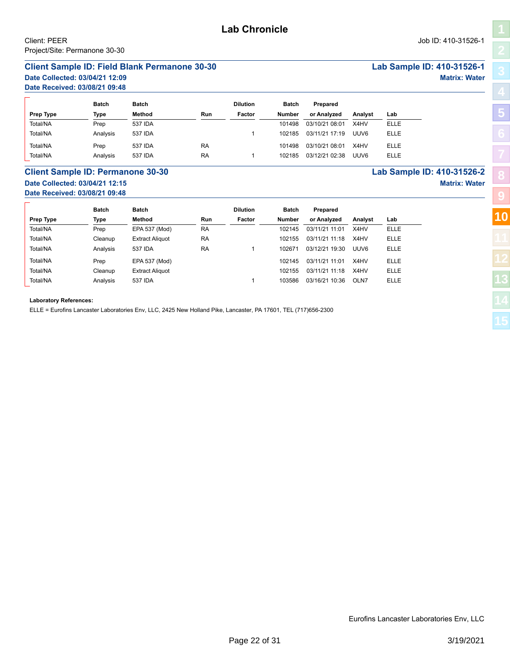### <span id="page-21-1"></span><span id="page-21-0"></span>**Client Sample ID: Field Blank Permanone 30-30 Lab Sample ID: 410-31526-1**

# **Date Collected: 03/04/21 12:09 Matrix: Water**

**Date Received: 03/08/21 09:48**

|                  | <b>Batch</b> | Batch   |           | <b>Dilution</b> | <b>Batch</b> | Prepared       |                  |             |
|------------------|--------------|---------|-----------|-----------------|--------------|----------------|------------------|-------------|
| <b>Prep Type</b> | Type         | Method  | Run       | Factor          | Number       | or Analyzed    | Analyst          | Lab         |
| Total/NA         | Prep         | 537 IDA |           |                 | 101498       | 03/10/21 08:01 | X4HV             | <b>ELLE</b> |
| Total/NA         | Analysis     | 537 IDA |           |                 | 102185       | 03/11/21 17:19 | UUV <sub>6</sub> | <b>ELLE</b> |
| Total/NA         | Prep         | 537 IDA | <b>RA</b> |                 | 101498       | 03/10/21 08:01 | X4HV             | <b>ELLE</b> |
| Total/NA         | Analysis     | 537 IDA | <b>RA</b> |                 | 102185       | 03/12/21 02:38 | UUV <sub>6</sub> | <b>ELLE</b> |

### **Client Sample ID: Permanone 30-30 Lab Sample ID: 410-31526-2 Date Collected: 03/04/21 12:15 Matrix: Water Date Received: 03/08/21 09:48**

|           | Batch    | <b>Batch</b>           |           | <b>Dilution</b> | Batch  | Prepared       |         |             |
|-----------|----------|------------------------|-----------|-----------------|--------|----------------|---------|-------------|
| Prep Type | Type     | Method                 | Run       | Factor          | Number | or Analyzed    | Analyst | Lab         |
| Total/NA  | Prep     | EPA 537 (Mod)          | <b>RA</b> |                 | 102145 | 03/11/21 11:01 | X4HV    | <b>ELLE</b> |
| Total/NA  | Cleanup  | <b>Extract Aliquot</b> | <b>RA</b> |                 | 102155 | 03/11/21 11:18 | X4HV    | <b>ELLE</b> |
| Total/NA  | Analysis | 537 IDA                | <b>RA</b> |                 | 102671 | 03/12/21 19:30 | UUV6    | <b>ELLE</b> |
| Total/NA  | Prep     | EPA 537 (Mod)          |           |                 | 102145 | 03/11/21 11:01 | X4HV    | <b>ELLE</b> |
| Total/NA  | Cleanup  | <b>Extract Aliquot</b> |           |                 | 102155 | 03/11/21 11:18 | X4HV    | <b>ELLE</b> |
| Total/NA  | Analysis | 537 IDA                |           |                 | 103586 | 03/16/21 10:36 | OLN7    | <b>ELLE</b> |

### **Laboratory References:**

ELLE = Eurofins Lancaster Laboratories Env, LLC, 2425 New Holland Pike, Lancaster, PA 17601, TEL (717)656-2300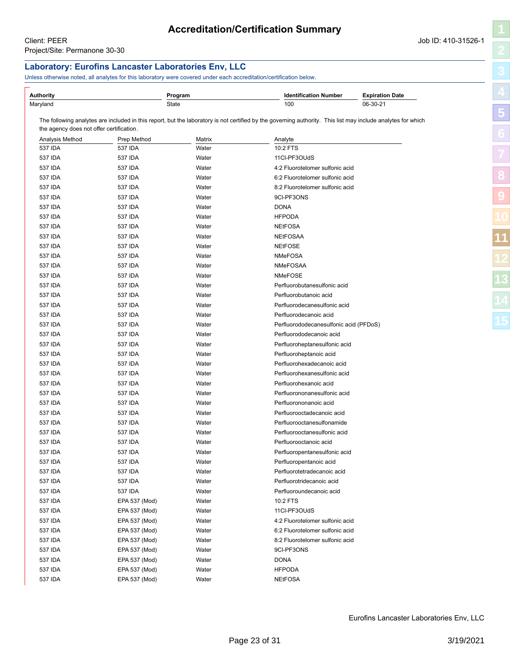# **Accreditation/Certification Summary**

### <span id="page-22-1"></span><span id="page-22-0"></span>**Laboratory: Eurofins Lancaster Laboratories Env, LLC** Unless otherwise noted, all analytes for this laboratory were covered under each accreditation/certification below. **Authority Program Identification Number Expiration Date** Maryland State 100 06-30-21 The following analytes are included in this report, but the laboratory is not certified by the governing authority. This list may include analytes for which the agency does not offer certification. Analysis Method **Prep Method** Matrix **Analyte** Analyte 537 IDA 537 IDA Water 10:2 FTS 537 IDA 537 IDA Water 11Cl-PF3OUdS 537 IDA 537 IDA Water 4:2 Fluorotelomer sulfonic acid 537 IDA 537 IDA Water 6:2 Fluorotelomer sulfonic acid 537 IDA 537 IDA 537 IDA Water 8:2 Fluorotelomer sulfonic acid 537 IDA 537 IDA Water 9Cl-PF3ONS 537 IDA 537 IDA Water DONA 537 IDA 537 IDA Water HFPODA 537 IDA 537 IDA Water Water NEtFOSA 537 IDA 537 IDA Water NEtFOSAA 537 IDA 537 IDA Water Water NEtFOSE 537 IDA 537 IDA Water NMeFOSA 537 IDA 537 IDA Water NMeFOSAA 537 IDA 537 IDA Water NMeFOSE 537 IDA 537 IDA Water Perfluorobutanesulfonic acid 537 IDA 537 IDA Water Perfluorobutanoic acid 537 IDA 537 IDA Water Perfluorodecanesulfonic acid 537 IDA 537 IDA Water Perfluorodecanoic acid 537 IDA 537 IDA Water Perfluorododecanesulfonic acid (PFDoS) 537 IDA 537 IDA Water Perfluorododecanoic acid 537 IDA 537 IDA Water Perfluoroheptanesulfonic acid 537 IDA 537 IDA Water Perfluoroheptanoic acid 537 IDA 537 IDA Water Perfluorohexadecanoic acid 537 IDA 537 IDA Water Perfluorohexanesulfonic acid 537 IDA 537 IDA Water Perfluorohexanoic acid 537 IDA 537 IDA Water Perfluorononanesulfonic acid 537 IDA 537 IDA Water Perfluorononanoic acid 537 IDA 537 IDA Water Perfluorooctadecanoic acid 537 IDA 537 IDA Water Perfluorooctanesulfonamide 537 IDA 537 IDA Water Perfluorooctanesulfonic acid 537 IDA 537 IDA Water Perfluorooctanoic acid 537 IDA 537 IDA Water Perfluoropentanesulfonic acid 537 IDA 537 IDA Water Perfluoropentanoic acid 537 IDA 537 IDA Water Perfluorotetradecanoic acid 537 IDA 537 IDA Water Perfluorotridecanoic acid 537 IDA 537 IDA Water Perfluoroundecanoic acid 537 IDA EPA 537 (Mod) Water 10:2 FTS 537 IDA EPA 537 (Mod) Water 11Cl-PF3OUdS 537 IDA EPA 537 (Mod) Water 4:2 Fluorotelomer sulfonic acid 537 IDA EPA 537 (Mod) Water 6:2 Fluorotelomer sulfonic acid 537 IDA EPA 537 (Mod) Water 8:2 Fluorotelomer sulfonic acid 537 IDA EPA 537 (Mod) Water 9Cl-PF3ONS 537 IDA EPA 537 (Mod) Water DONA 537 IDA EPA 537 (Mod) Water HFPODA 537 IDA EPA 537 (Mod) Water NEtFOSA **[8](#page-11-0) [9](#page-20-0) [11](#page-22-0)**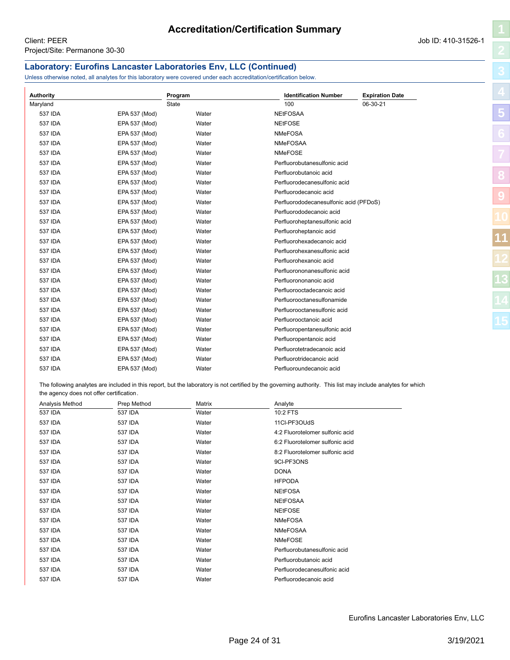# **Laboratory: Eurofins Lancaster Laboratories Env, LLC (Continued)**

Unless otherwise noted, all analytes for this laboratory were covered under each accreditation/certification below.

| <b>Authority</b> |               | Program      | <b>Identification Number</b>           | <b>Expiration Date</b> |    |
|------------------|---------------|--------------|----------------------------------------|------------------------|----|
| Maryland         |               | <b>State</b> | 100                                    | 06-30-21               |    |
| 537 IDA          | EPA 537 (Mod) | Water        | <b>NEtFOSAA</b>                        |                        | 5  |
| 537 IDA          | EPA 537 (Mod) | Water        | <b>NEtFOSE</b>                         |                        |    |
| 537 IDA          | EPA 537 (Mod) | Water        | <b>NMeFOSA</b>                         |                        |    |
| 537 IDA          | EPA 537 (Mod) | Water        | <b>NMeFOSAA</b>                        |                        |    |
| 537 IDA          | EPA 537 (Mod) | Water        | <b>NMeFOSE</b>                         |                        |    |
| 537 IDA          | EPA 537 (Mod) | Water        | Perfluorobutanesulfonic acid           |                        |    |
| 537 IDA          | EPA 537 (Mod) | Water        | Perfluorobutanoic acid                 |                        |    |
| 537 IDA          | EPA 537 (Mod) | Water        | Perfluorodecanesulfonic acid           |                        |    |
| <b>537 IDA</b>   | EPA 537 (Mod) | Water        | Perfluorodecanoic acid                 |                        | 9  |
| 537 IDA          | EPA 537 (Mod) | Water        | Perfluorododecanesulfonic acid (PFDoS) |                        |    |
| <b>537 IDA</b>   | EPA 537 (Mod) | Water        | Perfluorododecanoic acid               |                        |    |
| 537 IDA          | EPA 537 (Mod) | Water        | Perfluoroheptanesulfonic acid          |                        |    |
| <b>537 IDA</b>   | EPA 537 (Mod) | Water        | Perfluoroheptanoic acid                |                        |    |
| 537 IDA          | EPA 537 (Mod) | Water        | Perfluorohexadecanoic acid             |                        | 11 |
| 537 IDA          | EPA 537 (Mod) | Water        | Perfluorohexanesulfonic acid           |                        |    |
| 537 IDA          | EPA 537 (Mod) | Water        | Perfluorohexanoic acid                 |                        |    |
| 537 IDA          | EPA 537 (Mod) | Water        | Perfluorononanesulfonic acid           |                        |    |
| 537 IDA          | EPA 537 (Mod) | Water        | Perfluorononanoic acid                 |                        | 13 |
| 537 IDA          | EPA 537 (Mod) | Water        | Perfluorooctadecanoic acid             |                        |    |
| 537 IDA          | EPA 537 (Mod) | Water        | Perfluorooctanesulfonamide             |                        |    |
| 537 IDA          | EPA 537 (Mod) | Water        | Perfluorooctanesulfonic acid           |                        |    |
| 537 IDA          | EPA 537 (Mod) | Water        | Perfluorooctanoic acid                 |                        |    |
| 537 IDA          | EPA 537 (Mod) | Water        | Perfluoropentanesulfonic acid          |                        |    |
| 537 IDA          | EPA 537 (Mod) | Water        | Perfluoropentanoic acid                |                        |    |
| 537 IDA          | EPA 537 (Mod) | Water        | Perfluorotetradecanoic acid            |                        |    |
| 537 IDA          | EPA 537 (Mod) | Water        | Perfluorotridecanoic acid              |                        |    |
| <b>537 IDA</b>   | EPA 537 (Mod) | Water        | Perfluoroundecanoic acid               |                        |    |

The following analytes are included in this report, but the laboratory is not certified by the governing authority. This list may include analytes for which the agency does not offer certification.

| Analysis Method<br>Prep Method |         | Matrix | Analyte                         |
|--------------------------------|---------|--------|---------------------------------|
| 537 IDA                        | 537 IDA | Water  | 10:2 FTS                        |
| 537 IDA                        | 537 IDA | Water  | 11Cl-PF3OUdS                    |
| 537 IDA                        | 537 IDA | Water  | 4:2 Fluorotelomer sulfonic acid |
| 537 IDA                        | 537 IDA | Water  | 6:2 Fluorotelomer sulfonic acid |
| 537 IDA                        | 537 IDA | Water  | 8:2 Fluorotelomer sulfonic acid |
| 537 IDA                        | 537 IDA | Water  | 9CI-PF3ONS                      |
| 537 IDA                        | 537 IDA | Water  | <b>DONA</b>                     |
| 537 IDA                        | 537 IDA | Water  | <b>HFPODA</b>                   |
| 537 IDA                        | 537 IDA | Water  | <b>NEtFOSA</b>                  |
| 537 IDA                        | 537 IDA | Water  | <b>NEtFOSAA</b>                 |
| 537 IDA                        | 537 IDA | Water  | <b>NEtFOSE</b>                  |
| 537 IDA                        | 537 IDA | Water  | <b>NMeFOSA</b>                  |
| 537 IDA                        | 537 IDA | Water  | <b>NMeFOSAA</b>                 |
| 537 IDA                        | 537 IDA | Water  | <b>NMeFOSE</b>                  |
| 537 IDA                        | 537 IDA | Water  | Perfluorobutanesulfonic acid    |
| 537 IDA                        | 537 IDA | Water  | Perfluorobutanoic acid          |
| 537 IDA                        | 537 IDA | Water  | Perfluorodecanesulfonic acid    |
| 537 IDA                        | 537 IDA | Water  | Perfluorodecanoic acid          |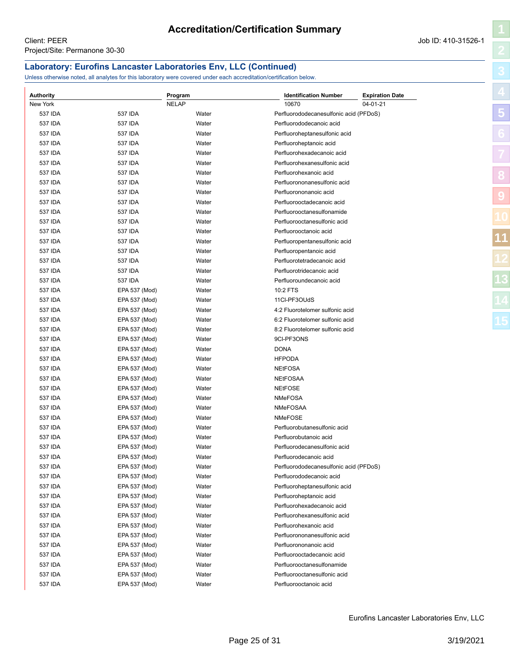### **Laboratory: Eurofins Lancaster Laboratories Env, LLC (Continued)**

Unless otherwise noted, all analytes for this laboratory were covered under each accreditation/certification below.

| <b>Authority</b> |                                | Program      | <b>Identification Number</b>           | <b>Expiration Date</b> |    |
|------------------|--------------------------------|--------------|----------------------------------------|------------------------|----|
| New York         |                                | <b>NELAP</b> | 10670                                  | 04-01-21               |    |
| 537 IDA          | 537 IDA                        | Water        | Perfluorododecanesulfonic acid (PFDoS) |                        | 5  |
| 537 IDA          | 537 IDA                        | Water        | Perfluorododecanoic acid               |                        |    |
| 537 IDA          | 537 IDA                        | Water        | Perfluoroheptanesulfonic acid          |                        |    |
| 537 IDA          | 537 IDA                        | Water        | Perfluoroheptanoic acid                |                        |    |
| 537 IDA          | 537 IDA                        | Water        | Perfluorohexadecanoic acid             |                        |    |
| 537 IDA          | 537 IDA                        | Water        | Perfluorohexanesulfonic acid           |                        |    |
| 537 IDA          | 537 IDA                        | Water        | Perfluorohexanoic acid                 |                        |    |
| 537 IDA          | 537 IDA                        | Water        | Perfluorononanesulfonic acid           |                        |    |
| 537 IDA          | 537 IDA                        | Water        | Perfluorononanoic acid                 |                        |    |
| 537 IDA          | 537 IDA                        | Water        | Perfluorooctadecanoic acid             |                        |    |
| 537 IDA          | 537 IDA                        | Water        | Perfluorooctanesulfonamide             |                        |    |
| 537 IDA          | 537 IDA                        | Water        | Perfluorooctanesulfonic acid           |                        |    |
| 537 IDA          | 537 IDA                        | Water        | Perfluorooctanoic acid                 |                        |    |
| 537 IDA          | 537 IDA                        | Water        | Perfluoropentanesulfonic acid          |                        | 11 |
| 537 IDA          | 537 IDA                        | Water        | Perfluoropentanoic acid                |                        |    |
| 537 IDA          | 537 IDA                        | Water        | Perfluorotetradecanoic acid            |                        |    |
| 537 IDA          | 537 IDA                        | Water        | Perfluorotridecanoic acid              |                        |    |
| 537 IDA          | 537 IDA                        | Water        | Perfluoroundecanoic acid               |                        |    |
| 537 IDA          | EPA 537 (Mod)                  | Water        | 10:2 FTS                               |                        |    |
| 537 IDA          | EPA 537 (Mod)                  | Water        | 11Cl-PF3OUdS                           |                        |    |
| 537 IDA          | EPA 537 (Mod)                  | Water        | 4:2 Fluorotelomer sulfonic acid        |                        |    |
| 537 IDA          | EPA 537 (Mod)                  | Water        | 6:2 Fluorotelomer sulfonic acid        |                        | 15 |
| 537 IDA          | EPA 537 (Mod)                  | Water        | 8:2 Fluorotelomer sulfonic acid        |                        |    |
| 537 IDA          | EPA 537 (Mod)                  | Water        | 9CI-PF3ONS                             |                        |    |
| 537 IDA          | EPA 537 (Mod)                  | Water        | <b>DONA</b>                            |                        |    |
| 537 IDA          | EPA 537 (Mod)                  | Water        | <b>HFPODA</b>                          |                        |    |
| 537 IDA          | EPA 537 (Mod)                  | Water        | <b>NEtFOSA</b>                         |                        |    |
| 537 IDA          | EPA 537 (Mod)                  | Water        | <b>NEtFOSAA</b>                        |                        |    |
| 537 IDA          | EPA 537 (Mod)                  | Water        | <b>NEtFOSE</b>                         |                        |    |
| 537 IDA          | EPA 537 (Mod)                  | Water        | <b>NMeFOSA</b>                         |                        |    |
| 537 IDA          | EPA 537 (Mod)                  | Water        | NMeFOSAA                               |                        |    |
| 537 IDA          | EPA 537 (Mod)                  | Water        | NMeFOSE                                |                        |    |
| 537 IDA          | EPA 537 (Mod)                  | Water        | Perfluorobutanesulfonic acid           |                        |    |
| 537 IDA          | EPA 537 (Mod)                  | Water        | Perfluorobutanoic acid                 |                        |    |
| 537 IDA          | EPA 537 (Mod)                  | Water        | Perfluorodecanesulfonic acid           |                        |    |
| 537 IDA          | EPA 537 (Mod)                  | Water        | Perfluorodecanoic acid                 |                        |    |
| 537 IDA          | EPA 537 (Mod)                  | Water        | Perfluorododecanesulfonic acid (PFDoS) |                        |    |
| 537 IDA          | EPA 537 (Mod)                  | Water        | Perfluorododecanoic acid               |                        |    |
| 537 IDA          | EPA 537 (Mod)                  | Water        | Perfluoroheptanesulfonic acid          |                        |    |
| 537 IDA          | EPA 537 (Mod)                  | Water        | Perfluoroheptanoic acid                |                        |    |
| 537 IDA          |                                |              | Perfluorohexadecanoic acid             |                        |    |
| 537 IDA          | EPA 537 (Mod)<br>EPA 537 (Mod) | Water        | Perfluorohexanesulfonic acid           |                        |    |
|                  | EPA 537 (Mod)                  | Water        | Perfluorohexanoic acid                 |                        |    |
| 537 IDA          |                                | Water        |                                        |                        |    |
| 537 IDA          | EPA 537 (Mod)                  | Water        | Perfluorononanesulfonic acid           |                        |    |
| 537 IDA          | EPA 537 (Mod)                  | Water        | Perfluorononanoic acid                 |                        |    |
| 537 IDA          | EPA 537 (Mod)                  | Water        | Perfluorooctadecanoic acid             |                        |    |
| 537 IDA          | EPA 537 (Mod)                  | Water        | Perfluorooctanesulfonamide             |                        |    |
| 537 IDA          | EPA 537 (Mod)                  | Water        | Perfluorooctanesulfonic acid           |                        |    |
| 537 IDA          | EPA 537 (Mod)                  | Water        | Perfluorooctanoic acid                 |                        |    |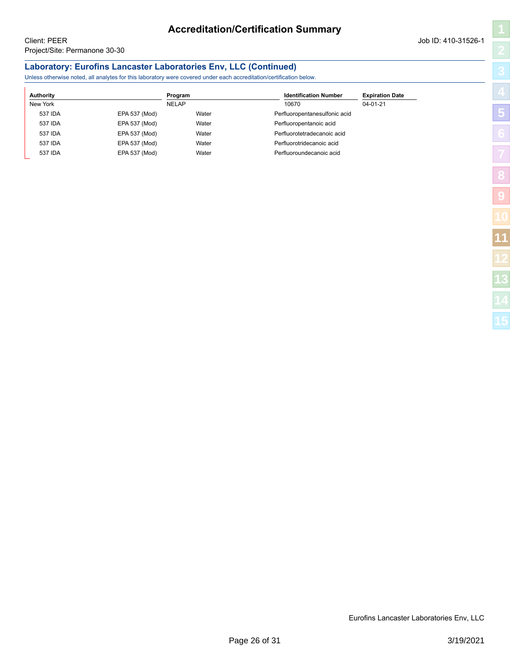# **Accreditation/Certification Summary**

**[5](#page-5-0)**

**[8](#page-11-0)**

**[9](#page-20-0)**

**[11](#page-22-0)**

# **Laboratory: Eurofins Lancaster Laboratories Env, LLC (Continued)**

Unless otherwise noted, all analytes for this laboratory were covered under each accreditation/certification below.

| Authority                | Program      | <b>Identification Number</b>  | <b>Expiration Date</b> |
|--------------------------|--------------|-------------------------------|------------------------|
| New York                 | <b>NELAP</b> | 10670                         | $04 - 01 - 21$         |
| 537 IDA<br>EPA 537 (Mod) | Water        | Perfluoropentanesulfonic acid |                        |
| EPA 537 (Mod)<br>537 IDA | Water        | Perfluoropentanoic acid       |                        |
| EPA 537 (Mod)<br>537 IDA | Water        | Perfluorotetradecanoic acid   |                        |
| EPA 537 (Mod)<br>537 IDA | Water        | Perfluorotridecanoic acid     |                        |
| EPA 537 (Mod)<br>537 IDA | Water        | Perfluoroundecanoic acid      |                        |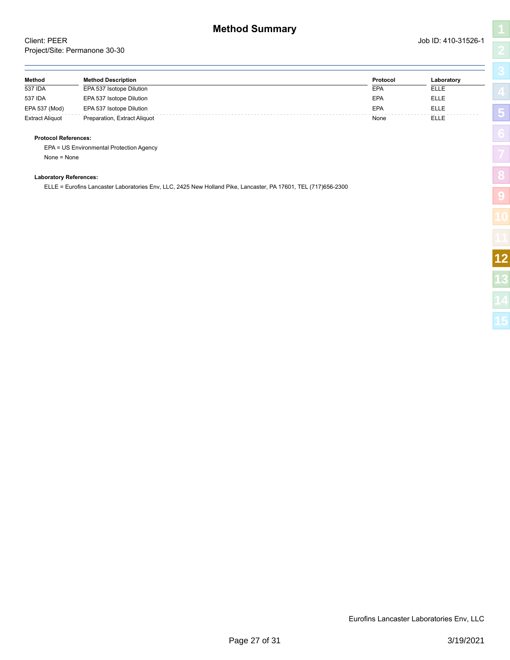<span id="page-26-1"></span><span id="page-26-0"></span>

| Method                 | <b>Method Description</b>    | Protocol | Laboratory  |
|------------------------|------------------------------|----------|-------------|
| 537 IDA                | EPA 537 Isotope Dilution     | EPA      | <b>ELLE</b> |
| 537 IDA                | EPA 537 Isotope Dilution     | EPA      | <b>ELLE</b> |
| EPA 537 (Mod)          | EPA 537 Isotope Dilution     | EPA      | <b>ELLE</b> |
| <b>Extract Aliquot</b> | Preparation, Extract Aliquot | None     | <b>ELLE</b> |

### **Protocol References:**

EPA = US Environmental Protection Agency None = None

### **Laboratory References:**

ELLE = Eurofins Lancaster Laboratories Env, LLC, 2425 New Holland Pike, Lancaster, PA 17601, TEL (717)656-2300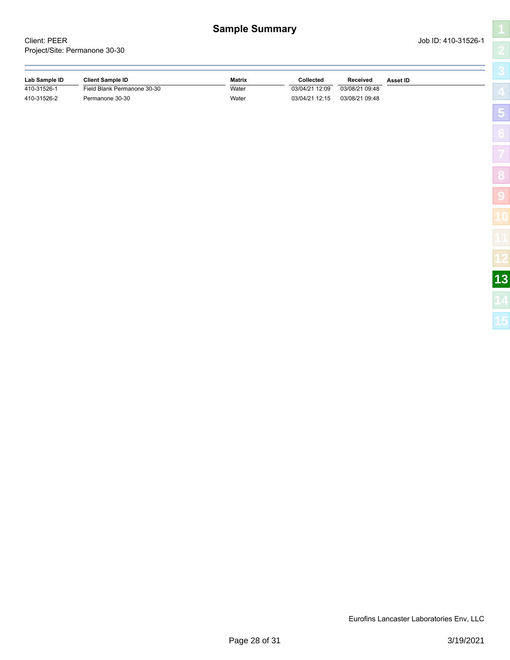<span id="page-27-1"></span><span id="page-27-0"></span>Client: PEER Job ID: 410-31526-1 Project/Site: Permanone 30-30

**[5](#page-5-0)**

**[8](#page-11-0)**

**[9](#page-20-0)**

| Lab Sample ID | <b>Client Sample ID</b>     | Matrix | Collected      | Received       | Asset ID |
|---------------|-----------------------------|--------|----------------|----------------|----------|
| 410-31526-1   | Field Blank Permanone 30-30 | Water  | 03/04/21 12:09 | 03/08/21 09:48 |          |
| 410-31526-2   | Permanone 30-30             | Water  | 03/04/21 12:15 | 03/08/21 09:48 |          |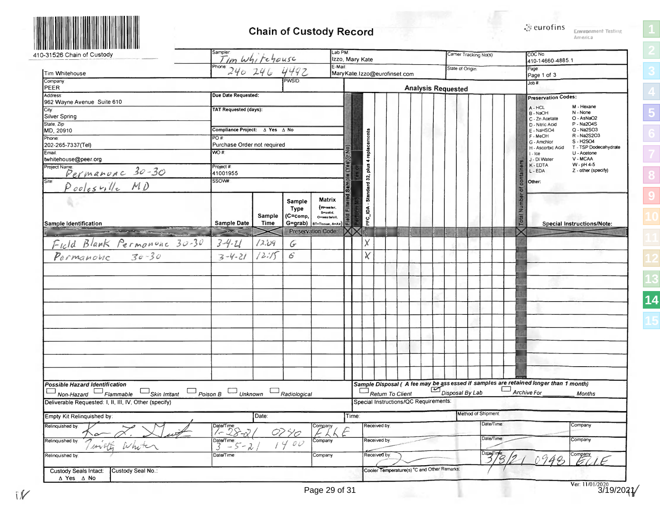<span id="page-28-1"></span>

# **Chain of Custody Record**

**Environment Testing** America

**[1](#page-0-1)[2](#page-2-1)[3](#page-3-1)[4](#page-4-1)[5](#page-5-1)[6](#page-6-1)[7](#page-9-1)[8](#page-11-1)[9](#page-20-1)**

<span id="page-28-0"></span>

| 0-31526 Chain of Custody                                                                                                                       |                                                       |             |                | Lab PM                                           | Izzo, Mary Kate   |              |                                             |  |                           |                 | Carrier Tracking No(s) |            | COC No<br>410-14660-4885.1                                                                         |                                      |
|------------------------------------------------------------------------------------------------------------------------------------------------|-------------------------------------------------------|-------------|----------------|--------------------------------------------------|-------------------|--------------|---------------------------------------------|--|---------------------------|-----------------|------------------------|------------|----------------------------------------------------------------------------------------------------|--------------------------------------|
| Tim Whitehouse                                                                                                                                 | Sampler<br>Tim Whitehouse                             |             |                | E-Mail                                           |                   |              | MaryKate.Izzo@eurofinset.com                |  |                           | State of Origin |                        |            | Page<br>Page 1 of 3                                                                                |                                      |
| Company<br>PEER                                                                                                                                |                                                       |             |                |                                                  |                   |              |                                             |  | <b>Analysis Requested</b> |                 |                        |            | Job #                                                                                              |                                      |
| <b>Address</b>                                                                                                                                 | Due Date Requested:                                   |             |                |                                                  |                   |              |                                             |  |                           |                 |                        |            | <b>Preservation Codes:</b>                                                                         |                                      |
| 962 Wayne Avenue Suite 610                                                                                                                     | <b>TAT Requested (days):</b>                          |             |                |                                                  |                   |              |                                             |  |                           |                 |                        |            | A - HCL<br>B - NaOH                                                                                | M - Hexane<br>N - None               |
| Silver Spring<br>State, Zip                                                                                                                    |                                                       |             |                |                                                  |                   |              |                                             |  |                           |                 |                        |            | C - Zn Acetate                                                                                     | O - AsNaO2<br>P - Na2O4S             |
| MD, 20910                                                                                                                                      | Compliance Project: A Yes A No                        |             |                |                                                  |                   |              |                                             |  |                           |                 |                        |            | D - Nitric Acid<br>E - NaHSO4                                                                      | Q - Na2SO3<br>R - Na2S2O3            |
| Phone:<br>202-265-7337(Tel)                                                                                                                    | PO#<br>Purchase Order not required                    |             |                |                                                  |                   | replacements |                                             |  |                           |                 |                        |            | F - MeOH<br>G - Amchior                                                                            | S-H2SO4                              |
| Email.                                                                                                                                         | WO#                                                   |             |                |                                                  |                   |              |                                             |  |                           |                 |                        |            | H - Ascorbic Acid<br>$  -  $ ce                                                                    | T - TSP Dodecahydrate<br>U - Acetone |
| twhitehouse@peer.org                                                                                                                           | Project #                                             |             |                |                                                  |                   | gulq         |                                             |  |                           |                 |                        |            | J - DI Water<br>K-EDTA                                                                             | V - MCAA<br>W - pH 4-5               |
|                                                                                                                                                | 41001955<br>SSOW#                                     |             |                |                                                  |                   | 32,          |                                             |  |                           |                 |                        |            | container<br>L - EDA                                                                               | Z - other (specify)                  |
| Project Name<br>Site Permanunc 30-30<br>Pooles ville MD                                                                                        |                                                       |             |                |                                                  | Sample (Yes)Or No | Standard     |                                             |  |                           |                 |                        |            | Other:<br>đ                                                                                        |                                      |
|                                                                                                                                                |                                                       |             | Sample<br>Type | Matrix<br>(Www.ter.                              | $\overline{B}$    |              |                                             |  |                           |                 |                        |            | Total Number                                                                                       |                                      |
|                                                                                                                                                |                                                       | Sample      | (C=comp,       | S=solid,<br>O=waste/oil,                         |                   | PFC_IDA      |                                             |  |                           |                 |                        |            |                                                                                                    |                                      |
| Sample Identification<br><u>a sanat da sanat da sanat da sanat da sanat da sanat da sanat da sanat da sanat da sanat da sanat da sanat da </u> | <b>Sample Date</b>                                    | <b>Time</b> |                | G=grab)  BT=Tissue, A=Air)<br>Preservation Code: |                   |              |                                             |  |                           |                 |                        |            |                                                                                                    | <b>Special Instructions/Note:</b>    |
| Field Blank Permonance 30-30                                                                                                                   | $3 - 4 - 11$                                          | 12.09       | G              |                                                  |                   | Χ            |                                             |  |                           |                 |                        |            |                                                                                                    |                                      |
|                                                                                                                                                | $3 - 4 - 21$                                          | 12:15       | $\mathcal{L}$  |                                                  |                   | χ            |                                             |  |                           |                 |                        |            |                                                                                                    |                                      |
|                                                                                                                                                |                                                       |             |                |                                                  |                   |              |                                             |  |                           |                 |                        |            |                                                                                                    |                                      |
|                                                                                                                                                |                                                       |             |                |                                                  |                   |              |                                             |  |                           |                 |                        |            |                                                                                                    |                                      |
|                                                                                                                                                |                                                       |             |                |                                                  |                   |              |                                             |  |                           |                 |                        |            |                                                                                                    |                                      |
|                                                                                                                                                |                                                       |             |                |                                                  |                   |              |                                             |  |                           |                 |                        |            |                                                                                                    |                                      |
|                                                                                                                                                |                                                       |             |                |                                                  |                   |              |                                             |  |                           |                 |                        |            |                                                                                                    |                                      |
|                                                                                                                                                |                                                       |             |                |                                                  |                   |              |                                             |  |                           |                 |                        |            |                                                                                                    |                                      |
|                                                                                                                                                |                                                       |             |                |                                                  |                   |              |                                             |  |                           |                 |                        |            |                                                                                                    |                                      |
|                                                                                                                                                |                                                       |             |                |                                                  |                   |              |                                             |  |                           |                 |                        |            |                                                                                                    |                                      |
|                                                                                                                                                |                                                       |             |                |                                                  |                   |              |                                             |  |                           |                 |                        |            |                                                                                                    |                                      |
|                                                                                                                                                |                                                       |             |                |                                                  |                   |              |                                             |  |                           |                 |                        |            |                                                                                                    |                                      |
|                                                                                                                                                |                                                       |             |                |                                                  |                   |              |                                             |  |                           |                 |                        |            |                                                                                                    |                                      |
| Possible Hazard Identification<br>$\Box$ Skin Irritant<br>$\Box$ Non-Hazard $\Box$ Flammable                                                   | $\Box$ Poison B $\Box$ Unknown                        |             | Radiological   |                                                  |                   |              | $\Box_{\mathit{Return} \ To \ Client}$      |  |                           | Disposal By Lab |                        |            | Sample Disposal (A fee may be assessed if samples are retained longer than 1 month)<br>Archive For | <b>Months</b>                        |
| Deliverable Requested: I, II, III, IV, Other (specify)                                                                                         |                                                       |             |                |                                                  |                   |              | Special Instructions/QC Requirements:       |  |                           |                 |                        |            |                                                                                                    |                                      |
| Empty Kit Relinquished by:                                                                                                                     |                                                       | Date:       |                |                                                  | Time:             |              |                                             |  |                           |                 | Method of Shipment:    |            |                                                                                                    |                                      |
| Relinquished by:                                                                                                                               | Date/Time:<br>$\angle - \angle - \angle$              |             | 0290           | Company<br>26F                                   |                   | Received by: |                                             |  |                           |                 |                        | Date/Time: |                                                                                                    | Company                              |
| Relinquished by<br>milly<br>White                                                                                                              | Date/Time:<br>$\overline{3} - \overline{5} - \lambda$ |             | 1400           | Company                                          |                   | Received by  |                                             |  |                           |                 |                        | Date/Time: |                                                                                                    | Company                              |
| Relinquished by:                                                                                                                               | Date/Time:                                            |             |                | Company                                          |                   | Received by: |                                             |  |                           |                 |                        | 3/8        | 48                                                                                                 |                                      |
| Custody Seal No.:<br><b>Custody Seals Intact:</b>                                                                                              |                                                       |             |                |                                                  |                   |              | Cooler Temperature(s) °C and Other Remarks: |  |                           |                 |                        |            |                                                                                                    |                                      |
| ∆ Yes ∆ No                                                                                                                                     |                                                       |             |                |                                                  |                   |              |                                             |  |                           |                 |                        |            |                                                                                                    | Ver: $\frac{11/01/2020}{3/19/202}$   |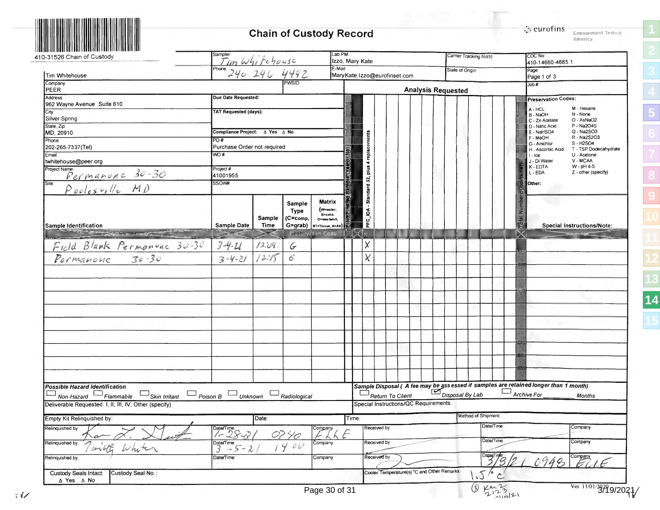# **Chain of Custody Record**

| $\ddot{\rm s}$ eurofins |                   |  |
|-------------------------|-------------------|--|
|                         | Envanment Testing |  |
|                         | America           |  |

| Lab PM:<br>sampler<br>Tim Whitehouse<br>410-31526 Chain of Custody<br>Izzo, Mary Kate<br>$E$ -Mail:<br>Phone: 240 246 4492<br>Tim Whitehouse |                                                        |                |               |                                            |                              |                            |                                             |  |                           |  | Camer Tracking No(s) |                       |                     | COC No:<br>410-14660-4885.1 |                                                                                                                                                     |
|----------------------------------------------------------------------------------------------------------------------------------------------|--------------------------------------------------------|----------------|---------------|--------------------------------------------|------------------------------|----------------------------|---------------------------------------------|--|---------------------------|--|----------------------|-----------------------|---------------------|-----------------------------|-----------------------------------------------------------------------------------------------------------------------------------------------------|
|                                                                                                                                              |                                                        |                |               |                                            | MaryKate.Izzo@eurofinset.com |                            |                                             |  |                           |  |                      | State of Ongin        |                     |                             | Page <sup>®</sup><br>Page 1 of 3                                                                                                                    |
| Company<br>PEER                                                                                                                              |                                                        |                | PWSID         |                                            |                              |                            |                                             |  | <b>Analysis Requested</b> |  |                      |                       |                     |                             | Job #                                                                                                                                               |
| Address                                                                                                                                      | Due Date Requested:                                    |                |               |                                            |                              |                            |                                             |  |                           |  |                      |                       |                     |                             | <b>Preservation Codes:</b>                                                                                                                          |
| 962 Wayne Avenue Suite 610<br>City:                                                                                                          | <b>TAT Requested (days):</b>                           |                |               |                                            |                              |                            |                                             |  |                           |  |                      |                       |                     |                             | M - Hexane<br>A - HCL<br>N - None<br>B - NaOH                                                                                                       |
| Silver Spring                                                                                                                                |                                                        |                |               |                                            |                              |                            |                                             |  |                           |  |                      |                       |                     |                             | O - AsNaO2<br>C - Zn Acetate                                                                                                                        |
| State, Zip<br>MD, 20910                                                                                                                      | Compliance Project: ∆ Yes ∆ No                         |                |               |                                            |                              |                            |                                             |  |                           |  |                      |                       |                     |                             | P - Na2O4S<br>D - Nitric Acid<br>Q - Na2SO3<br>E - NaHSO4                                                                                           |
| Phone.<br>202-265-7337(Tel)                                                                                                                  | PO#<br>Purchase Order not required                     |                |               |                                            |                              |                            |                                             |  |                           |  |                      |                       |                     |                             | R - Na2S2O3<br>F - MeOH<br>S - H2SO4<br>G - Amchlor                                                                                                 |
| Email                                                                                                                                        | WO#                                                    |                |               |                                            |                              |                            |                                             |  |                           |  |                      |                       |                     |                             | T - TSP Dodecahydrate<br>H - Ascorbic Acid<br>U - Acetone<br>$  -  $ ce                                                                             |
| twhitehouse@peer.org                                                                                                                         | Project #                                              |                |               |                                            |                              | 32, plus 4 replacements    |                                             |  |                           |  |                      |                       |                     |                             | V - MCAA<br>J - DI Water<br>W - pH 4-5<br>K-EDTA                                                                                                    |
|                                                                                                                                              | 41001955                                               |                |               |                                            | Ş                            |                            |                                             |  |                           |  |                      |                       |                     |                             | Z - other (specify)<br>L-EDA                                                                                                                        |
| Froject Name Permanunc 30-30<br>Site Poolesville MD                                                                                          | SSOW#                                                  |                |               |                                            |                              |                            |                                             |  |                           |  |                      |                       |                     |                             | Other:                                                                                                                                              |
|                                                                                                                                              |                                                        |                | Sample        | Matrix                                     |                              | Standard                   |                                             |  |                           |  |                      |                       |                     |                             |                                                                                                                                                     |
|                                                                                                                                              |                                                        |                | Type          | (W=water,<br>S=solid,                      | <b>Bendlem</b>               | PFC_IDA-                   |                                             |  |                           |  |                      |                       |                     | Total Number                |                                                                                                                                                     |
|                                                                                                                                              | <b>Sample Date</b>                                     | Sample<br>Time | (C=comp,      | O=waste/oil,<br>G=grab)  BT=Tissue, A=Air) |                              |                            |                                             |  |                           |  |                      |                       |                     |                             | Special Instructions/Note:                                                                                                                          |
| Sample Identification                                                                                                                        |                                                        |                |               | Preservation Code.                         |                              | E X N                      |                                             |  |                           |  |                      |                       |                     |                             |                                                                                                                                                     |
| Field Blank Permonunc 30-30                                                                                                                  | $3 - 4 - 11$                                           | 12.09          | G             |                                            |                              | Χ                          |                                             |  |                           |  |                      |                       |                     |                             |                                                                                                                                                     |
|                                                                                                                                              | $3 - 4 - 21$                                           | 12:15          | $\mathcal{L}$ |                                            |                              | X                          |                                             |  |                           |  |                      |                       |                     |                             |                                                                                                                                                     |
|                                                                                                                                              |                                                        |                |               |                                            |                              |                            |                                             |  |                           |  |                      |                       |                     |                             |                                                                                                                                                     |
|                                                                                                                                              |                                                        |                |               |                                            |                              |                            |                                             |  |                           |  |                      |                       |                     |                             |                                                                                                                                                     |
|                                                                                                                                              |                                                        |                |               |                                            |                              |                            |                                             |  |                           |  |                      |                       |                     |                             |                                                                                                                                                     |
|                                                                                                                                              |                                                        |                |               |                                            |                              |                            |                                             |  |                           |  |                      |                       |                     |                             |                                                                                                                                                     |
|                                                                                                                                              |                                                        |                |               |                                            |                              |                            |                                             |  |                           |  |                      |                       |                     |                             |                                                                                                                                                     |
|                                                                                                                                              |                                                        |                |               |                                            |                              |                            |                                             |  |                           |  |                      |                       |                     |                             |                                                                                                                                                     |
|                                                                                                                                              |                                                        |                |               |                                            |                              |                            |                                             |  |                           |  |                      |                       |                     |                             |                                                                                                                                                     |
|                                                                                                                                              |                                                        |                |               |                                            |                              |                            |                                             |  |                           |  |                      |                       |                     |                             |                                                                                                                                                     |
|                                                                                                                                              |                                                        |                |               |                                            |                              |                            |                                             |  |                           |  |                      |                       |                     |                             |                                                                                                                                                     |
|                                                                                                                                              |                                                        |                |               |                                            |                              |                            |                                             |  |                           |  |                      |                       |                     |                             |                                                                                                                                                     |
|                                                                                                                                              |                                                        |                |               |                                            |                              |                            |                                             |  |                           |  |                      |                       |                     |                             |                                                                                                                                                     |
| Possible Hazard Identification<br>$\Box$ Skin Irritant $\Box$ Poison B $\Box$ Unknown $\Box$ Radiological<br>Non-Hazard $\Box$ Flammable     |                                                        |                |               |                                            |                              |                            |                                             |  |                           |  |                      |                       |                     |                             | Sample Disposal (A fee may be assessed if samples are retained longer than 1 month)<br>Return To Client Disposal By Lab Archive For Month<br>Months |
| Deliverable Requested: I, II, III, IV, Other (specify)                                                                                       |                                                        |                |               |                                            |                              |                            | Special Instructions/QC Requirements:       |  |                           |  |                      |                       |                     |                             |                                                                                                                                                     |
| Empty Kit Relinquished by:                                                                                                                   |                                                        | Date:          |               |                                            | Time:                        |                            |                                             |  |                           |  |                      |                       | Method of Shipment: |                             |                                                                                                                                                     |
| Relinquished by:                                                                                                                             |                                                        |                |               | Company                                    |                              |                            | Received by:                                |  |                           |  |                      |                       | Date/Time           |                             | Company                                                                                                                                             |
|                                                                                                                                              | Date/Time:                                             |                | OP 90         |                                            |                              |                            |                                             |  |                           |  |                      |                       | Date/Time           |                             |                                                                                                                                                     |
| Relinquished by<br>mott<br>White                                                                                                             | Date/Time:<br>$3 - 7$<br>1400<br>$-5 - 2$<br>Date/Time |                |               | Company                                    |                              | Received by<br>Received by |                                             |  |                           |  |                      | Date<br>$\mathcal{B}$ |                     |                             | Company                                                                                                                                             |
| Relinquished by:                                                                                                                             |                                                        |                |               | Company                                    |                              |                            |                                             |  |                           |  |                      |                       |                     |                             | Company<br>0948                                                                                                                                     |
| Custody Seals Intact:<br>Custody Seal No.:                                                                                                   |                                                        |                |               |                                            |                              |                            | Cooler Temperature(s) °C and Other Remarks: |  |                           |  |                      |                       | 7а                  |                             |                                                                                                                                                     |
| ∆ Yes ∆ No                                                                                                                                   |                                                        |                |               |                                            |                              |                            |                                             |  |                           |  |                      |                       | $\sqrt{2}$          |                             | $\sqrt{\frac{11}{01/37}}$ 9/2021                                                                                                                    |

**[1](#page-0-1)[2](#page-2-1)[3](#page-3-1)[4](#page-4-1)[5](#page-5-1)[6](#page-6-1)[7](#page-9-1)[8](#page-11-1)[9](#page-20-1)**  $\overline{\mathbf{5}}$  $\overline{8}$ **[14](#page-28-1)**